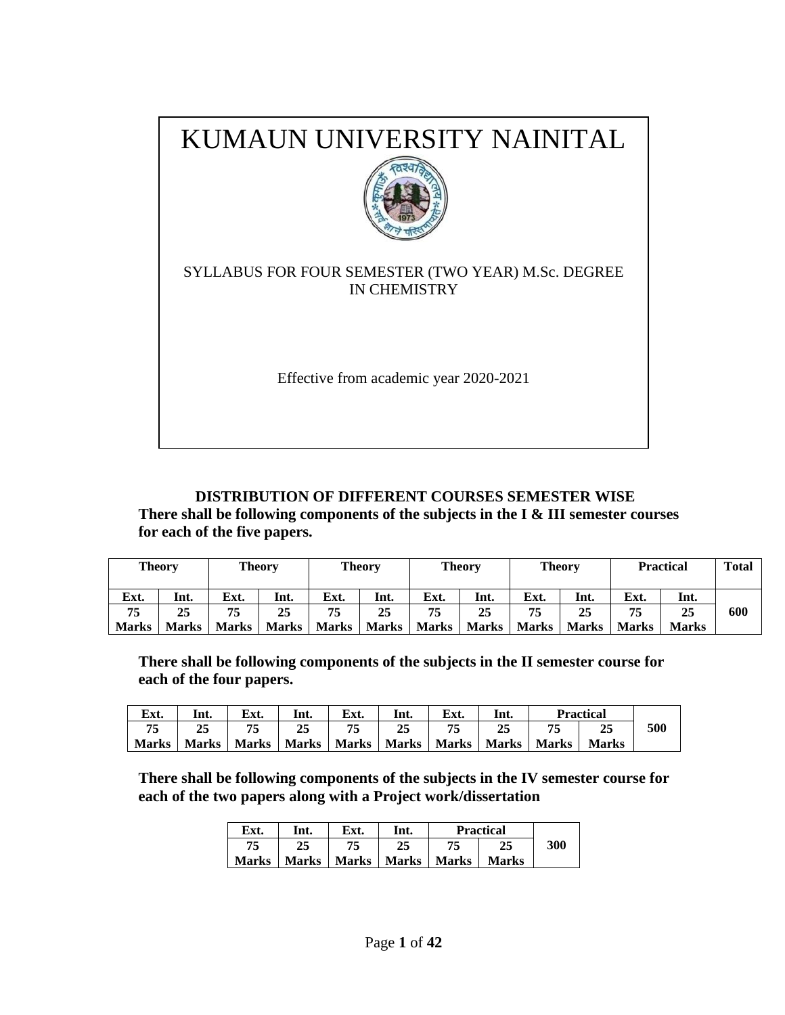

### **DISTRIBUTION OF DIFFERENT COURSES SEMESTER WISE**

**There shall be following components of the subjects in the I & III semester courses for each of the five papers.**

| <b>Theory</b> |              |              | <b>Theory</b> |       | <b>Theory</b> |              | <b>Theory</b> | <b>Theory</b> |              |              | <b>Practical</b> | <b>Total</b> |
|---------------|--------------|--------------|---------------|-------|---------------|--------------|---------------|---------------|--------------|--------------|------------------|--------------|
| Ext.          | Int.         | Ext.         | Int.          | Ext.  | Int.          | Ext.         | Int.          | Ext.          | Int.         | Ext.         | Int.             |              |
| 75            | 25           | 75           | 25            | 75    | 25            | 75           | 25            | 75            | 25           | 75           | 25               | 600          |
| <b>Marks</b>  | <b>Marks</b> | <b>Marks</b> | <b>Marks</b>  | Marks | <b>Marks</b>  | <b>Marks</b> | Marks         | <b>Marks</b>  | <b>Marks</b> | <b>Marks</b> | <b>Marks</b>     |              |

**There shall be following components of the subjects in the II semester course for each of the four papers.**

| Ext.         | Int.  | Ext.          | Int. | Ext. | Int.                  | Ext. | Int.          | <b>Practical</b> |              |     |
|--------------|-------|---------------|------|------|-----------------------|------|---------------|------------------|--------------|-----|
| 75           | 25    |               |      | 75   | 25                    |      |               | 75               | 23           | 500 |
| <b>Marks</b> | Marks | Marks   Marks |      |      | Marks   Marks   Marks |      | Marks   Marks |                  | <b>Marks</b> |     |

**There shall be following components of the subjects in the IV semester course for each of the two papers along with a Project work/dissertation** 

| Ext.         | Int.         | Ext.         | Int.         |              | <b>Practical</b> |     |
|--------------|--------------|--------------|--------------|--------------|------------------|-----|
| 75           | 25           | 75           |              | 75           |                  | 300 |
| <b>Marks</b> | <b>Marks</b> | <b>Marks</b> | <b>Marks</b> | <b>Marks</b> | <b>Marks</b>     |     |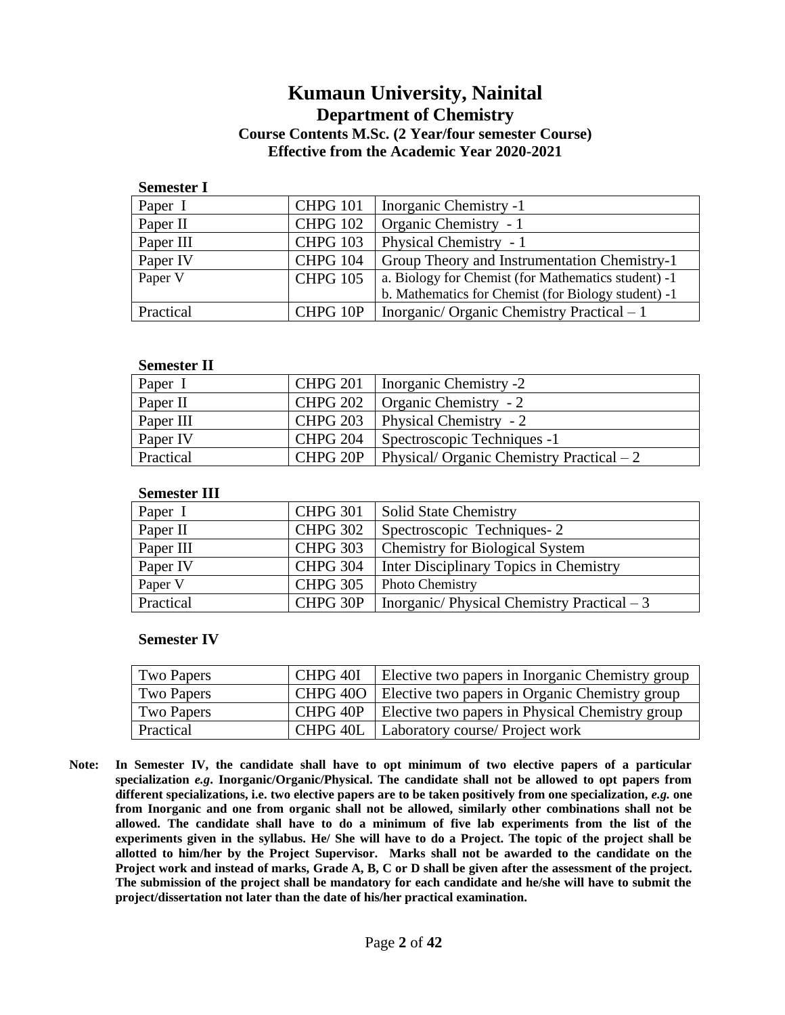## **Kumaun University, Nainital Department of Chemistry Course Contents M.Sc. (2 Year/four semester Course) Effective from the Academic Year 2020-2021**

| <b>Semester I</b> |                 |                                                     |
|-------------------|-----------------|-----------------------------------------------------|
| Paper I           | <b>CHPG 101</b> | Inorganic Chemistry -1                              |
| Paper II          | <b>CHPG 102</b> | Organic Chemistry - 1                               |
| Paper III         | <b>CHPG 103</b> | Physical Chemistry - 1                              |
| Paper IV          | <b>CHPG 104</b> | Group Theory and Instrumentation Chemistry-1        |
| Paper V           | <b>CHPG 105</b> | a. Biology for Chemist (for Mathematics student) -1 |
|                   |                 | b. Mathematics for Chemist (for Biology student) -1 |
| Practical         | CHPG 10P        | Inorganic/Organic Chemistry Practical $-1$          |

#### **Semester II**

| Paper I   | <b>CHPG 201</b> | Inorganic Chemistry -2                    |
|-----------|-----------------|-------------------------------------------|
| Paper II  | <b>CHPG 202</b> | Organic Chemistry - 2                     |
| Paper III | <b>CHPG 203</b> | Physical Chemistry - 2                    |
| Paper IV  | <b>CHPG 204</b> | Spectroscopic Techniques -1               |
| Practical | CHPG 20P        | Physical/Organic Chemistry Practical $-2$ |

#### **Semester III**

| Paper I   | <b>CHPG 301</b> | <b>Solid State Chemistry</b>                |
|-----------|-----------------|---------------------------------------------|
| Paper II  | <b>CHPG 302</b> | Spectroscopic Techniques-2                  |
| Paper III | <b>CHPG 303</b> | <b>Chemistry for Biological System</b>      |
| Paper IV  | <b>CHPG 304</b> | Inter Disciplinary Topics in Chemistry      |
| Paper V   | <b>CHPG 305</b> | <b>Photo Chemistry</b>                      |
| Practical | CHPG 30P        | Inorganic/Physical Chemistry Practical $-3$ |

#### **Semester IV**

| Two Papers | CHPG 40I | Elective two papers in Inorganic Chemistry group          |
|------------|----------|-----------------------------------------------------------|
| Two Papers |          | CHPG 400   Elective two papers in Organic Chemistry group |
| Two Papers | CHPG 40P | Elective two papers in Physical Chemistry group           |
| Practical  |          | CHPG 40L   Laboratory course/ Project work                |

**Note: In Semester IV, the candidate shall have to opt minimum of two elective papers of a particular specialization** *e.g***. Inorganic/Organic/Physical. The candidate shall not be allowed to opt papers from different specializations, i.e. two elective papers are to be taken positively from one specialization,** *e.g.* **one from Inorganic and one from organic shall not be allowed, similarly other combinations shall not be allowed. The candidate shall have to do a minimum of five lab experiments from the list of the experiments given in the syllabus. He/ She will have to do a Project. The topic of the project shall be allotted to him/her by the Project Supervisor. Marks shall not be awarded to the candidate on the Project work and instead of marks, Grade A, B, C or D shall be given after the assessment of the project. The submission of the project shall be mandatory for each candidate and he/she will have to submit the project/dissertation not later than the date of his/her practical examination.**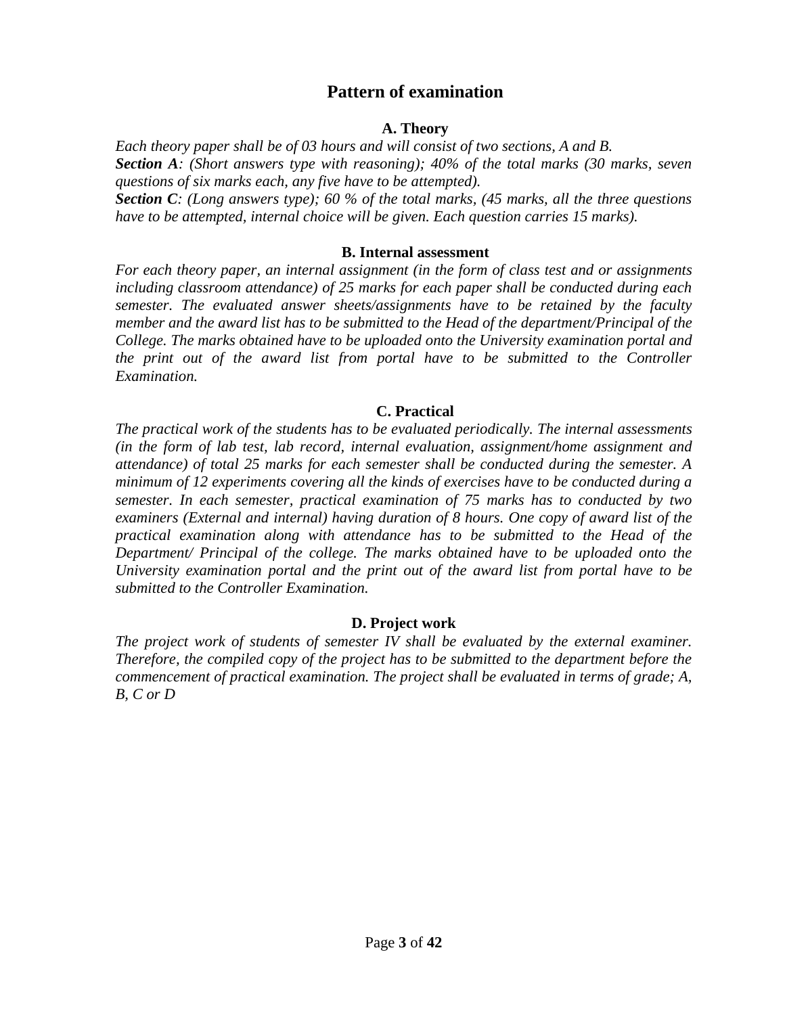## **Pattern of examination**

#### **A. Theory**

*Each theory paper shall be of 03 hours and will consist of two sections, A and B. Section A: (Short answers type with reasoning); 40% of the total marks (30 marks, seven questions of six marks each, any five have to be attempted). Section C: (Long answers type); 60 % of the total marks, (45 marks, all the three questions have to be attempted, internal choice will be given. Each question carries 15 marks).* 

#### **B. Internal assessment**

*For each theory paper, an internal assignment (in the form of class test and or assignments including classroom attendance) of 25 marks for each paper shall be conducted during each semester. The evaluated answer sheets/assignments have to be retained by the faculty member and the award list has to be submitted to the Head of the department/Principal of the College. The marks obtained have to be uploaded onto the University examination portal and the print out of the award list from portal have to be submitted to the Controller Examination.*

#### **C. Practical**

*The practical work of the students has to be evaluated periodically. The internal assessments (in the form of lab test, lab record, internal evaluation, assignment/home assignment and attendance) of total 25 marks for each semester shall be conducted during the semester. A minimum of 12 experiments covering all the kinds of exercises have to be conducted during a semester. In each semester, practical examination of 75 marks has to conducted by two examiners (External and internal) having duration of 8 hours. One copy of award list of the practical examination along with attendance has to be submitted to the Head of the Department/ Principal of the college. The marks obtained have to be uploaded onto the University examination portal and the print out of the award list from portal have to be submitted to the Controller Examination.* 

#### **D. Project work**

*The project work of students of semester IV shall be evaluated by the external examiner. Therefore, the compiled copy of the project has to be submitted to the department before the commencement of practical examination. The project shall be evaluated in terms of grade; A, B, C or D*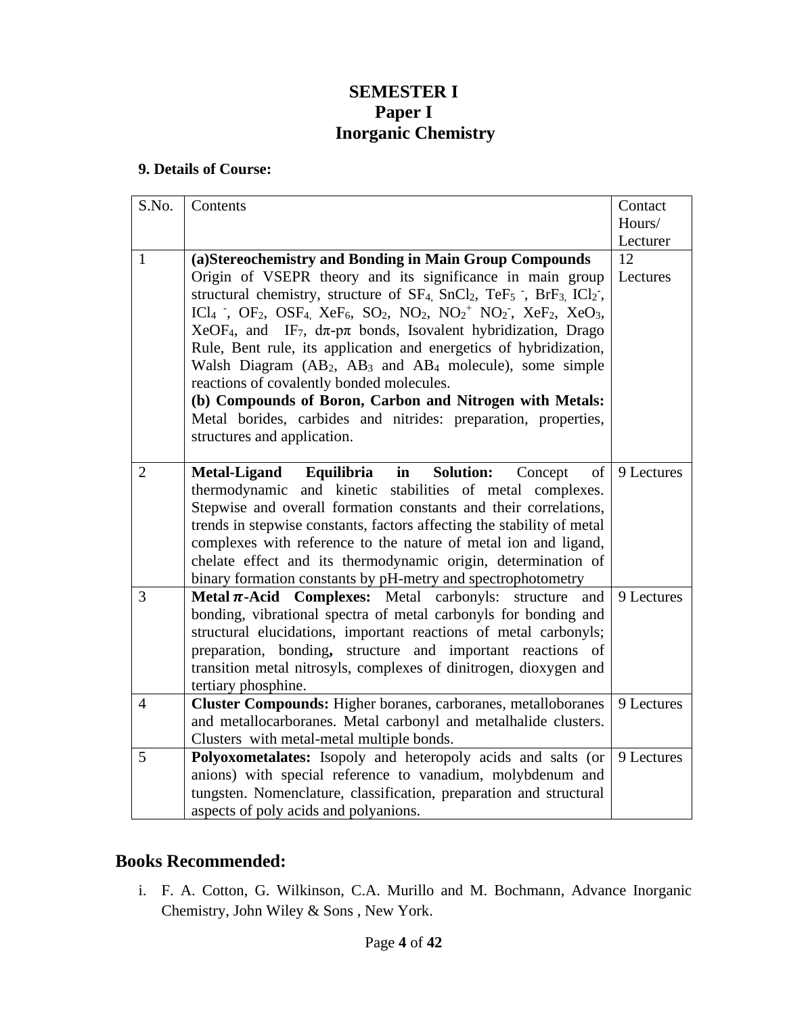## **SEMESTER I Paper I Inorganic Chemistry**

#### **9. Details of Course:**

| S.No.          | Contents                                                                                                                                                                                                         | Contact    |
|----------------|------------------------------------------------------------------------------------------------------------------------------------------------------------------------------------------------------------------|------------|
|                |                                                                                                                                                                                                                  | Hours/     |
|                |                                                                                                                                                                                                                  | Lecturer   |
| $\mathbf{1}$   | (a)Stereochemistry and Bonding in Main Group Compounds                                                                                                                                                           | 12         |
|                | Origin of VSEPR theory and its significance in main group                                                                                                                                                        | Lectures   |
|                | structural chemistry, structure of $SF_4$ , $SnCl_2$ , $TeF_5$ ; $BrF_3$ , $ICl_2$ ,                                                                                                                             |            |
|                | ICl <sub>4</sub> , OF <sub>2</sub> , OSF <sub>4</sub> , XeF <sub>6</sub> , SO <sub>2</sub> , NO <sub>2</sub> , NO <sub>2</sub> <sup>+</sup> NO <sub>2</sub> <sup>-</sup> , XeF <sub>2</sub> , XeO <sub>3</sub> , |            |
|                | $XeOF4$ , and IF <sub>7</sub> , $d\pi$ -p $\pi$ bonds, Isovalent hybridization, Drago                                                                                                                            |            |
|                | Rule, Bent rule, its application and energetics of hybridization,                                                                                                                                                |            |
|                | Walsh Diagram (AB <sub>2</sub> , AB <sub>3</sub> and AB <sub>4</sub> molecule), some simple                                                                                                                      |            |
|                | reactions of covalently bonded molecules.                                                                                                                                                                        |            |
|                | (b) Compounds of Boron, Carbon and Nitrogen with Metals:                                                                                                                                                         |            |
|                | Metal borides, carbides and nitrides: preparation, properties,                                                                                                                                                   |            |
|                | structures and application.                                                                                                                                                                                      |            |
|                |                                                                                                                                                                                                                  |            |
| $\overline{2}$ | Equilibria<br><b>Solution:</b><br>Metal-Ligand<br>$\mathbf{in}$<br>of<br>Concept                                                                                                                                 | 9 Lectures |
|                | thermodynamic and kinetic stabilities of metal complexes.                                                                                                                                                        |            |
|                | Stepwise and overall formation constants and their correlations,                                                                                                                                                 |            |
|                | trends in stepwise constants, factors affecting the stability of metal                                                                                                                                           |            |
|                | complexes with reference to the nature of metal ion and ligand,                                                                                                                                                  |            |
|                | chelate effect and its thermodynamic origin, determination of                                                                                                                                                    |            |
|                | binary formation constants by pH-metry and spectrophotometry                                                                                                                                                     |            |
| 3              | Metal $\pi$ -Acid Complexes: Metal<br>carbonyls:<br>structure<br>and                                                                                                                                             | 9 Lectures |
|                | bonding, vibrational spectra of metal carbonyls for bonding and                                                                                                                                                  |            |
|                | structural elucidations, important reactions of metal carbonyls;                                                                                                                                                 |            |
|                | preparation, bonding, structure and important reactions of                                                                                                                                                       |            |
|                | transition metal nitrosyls, complexes of dinitrogen, dioxygen and                                                                                                                                                |            |
|                | tertiary phosphine.                                                                                                                                                                                              |            |
| $\overline{4}$ | <b>Cluster Compounds:</b> Higher boranes, carboranes, metalloboranes                                                                                                                                             | 9 Lectures |
|                | and metallocarboranes. Metal carbonyl and metalhalide clusters.                                                                                                                                                  |            |
|                | Clusters with metal-metal multiple bonds.                                                                                                                                                                        |            |
| 5              | Polyoxometalates: Isopoly and heteropoly acids and salts (or                                                                                                                                                     | 9 Lectures |
|                | anions) with special reference to vanadium, molybdenum and                                                                                                                                                       |            |
|                | tungsten. Nomenclature, classification, preparation and structural                                                                                                                                               |            |
|                | aspects of poly acids and polyanions.                                                                                                                                                                            |            |

## **Books Recommended:**

i. F. A. Cotton, G. Wilkinson, C.A. Murillo and M. Bochmann, Advance Inorganic Chemistry, John Wiley & Sons , New York.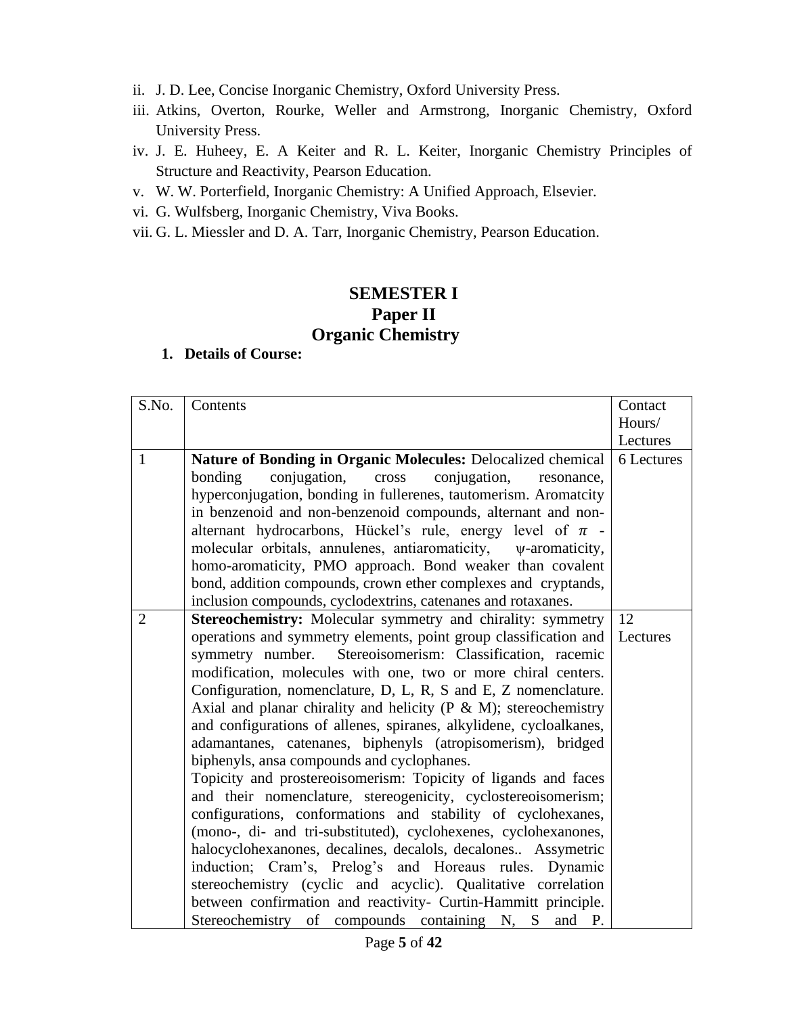- ii. J. D. Lee, Concise Inorganic Chemistry, Oxford University Press.
- iii. Atkins, Overton, Rourke, Weller and Armstrong, Inorganic Chemistry, Oxford University Press.
- iv. J. E. Huheey, E. A Keiter and R. L. Keiter, Inorganic Chemistry Principles of Structure and Reactivity, Pearson Education.
- v. W. W. Porterfield, Inorganic Chemistry: A Unified Approach, Elsevier.
- vi. G. Wulfsberg, Inorganic Chemistry, Viva Books.
- vii. G. L. Miessler and D. A. Tarr, Inorganic Chemistry, Pearson Education.

## **SEMESTER I Paper II Organic Chemistry**

| S.No.          | Contents                                                              | Contact    |
|----------------|-----------------------------------------------------------------------|------------|
|                |                                                                       | Hours/     |
|                |                                                                       | Lectures   |
| $\mathbf{1}$   | Nature of Bonding in Organic Molecules: Delocalized chemical          | 6 Lectures |
|                | conjugation,<br>bonding<br>conjugation,<br>cross<br>resonance,        |            |
|                | hyperconjugation, bonding in fullerenes, tautomerism. Aromatcity      |            |
|                | in benzenoid and non-benzenoid compounds, alternant and non-          |            |
|                | alternant hydrocarbons, Hückel's rule, energy level of $\pi$ -        |            |
|                | molecular orbitals, annulenes, antiaromaticity, v-aromaticity,        |            |
|                | homo-aromaticity, PMO approach. Bond weaker than covalent             |            |
|                | bond, addition compounds, crown ether complexes and cryptands,        |            |
|                | inclusion compounds, cyclodextrins, catenanes and rotaxanes.          |            |
| $\overline{2}$ | Stereochemistry: Molecular symmetry and chirality: symmetry           | 12         |
|                | operations and symmetry elements, point group classification and      | Lectures   |
|                | Stereoisomerism: Classification, racemic<br>symmetry number.          |            |
|                | modification, molecules with one, two or more chiral centers.         |            |
|                | Configuration, nomenclature, D, L, R, S and E, Z nomenclature.        |            |
|                | Axial and planar chirality and helicity ( $P \& M$ ); stereochemistry |            |
|                | and configurations of allenes, spiranes, alkylidene, cycloalkanes,    |            |
|                | adamantanes, catenanes, biphenyls (atropisomerism), bridged           |            |
|                | biphenyls, ansa compounds and cyclophanes.                            |            |
|                | Topicity and prostereoisomerism: Topicity of ligands and faces        |            |
|                | and their nomenclature, stereogenicity, cyclostereoisomerism;         |            |
|                | configurations, conformations and stability of cyclohexanes,          |            |
|                | (mono-, di- and tri-substituted), cyclohexenes, cyclohexanones,       |            |
|                | halocyclohexanones, decalines, decalols, decalones Assymetric         |            |
|                | induction; Cram's, Prelog's and Horeaus rules. Dynamic                |            |
|                | stereochemistry (cyclic and acyclic). Qualitative correlation         |            |
|                | between confirmation and reactivity- Curtin-Hammitt principle.        |            |
|                | Stereochemistry of compounds containing N, S and P.                   |            |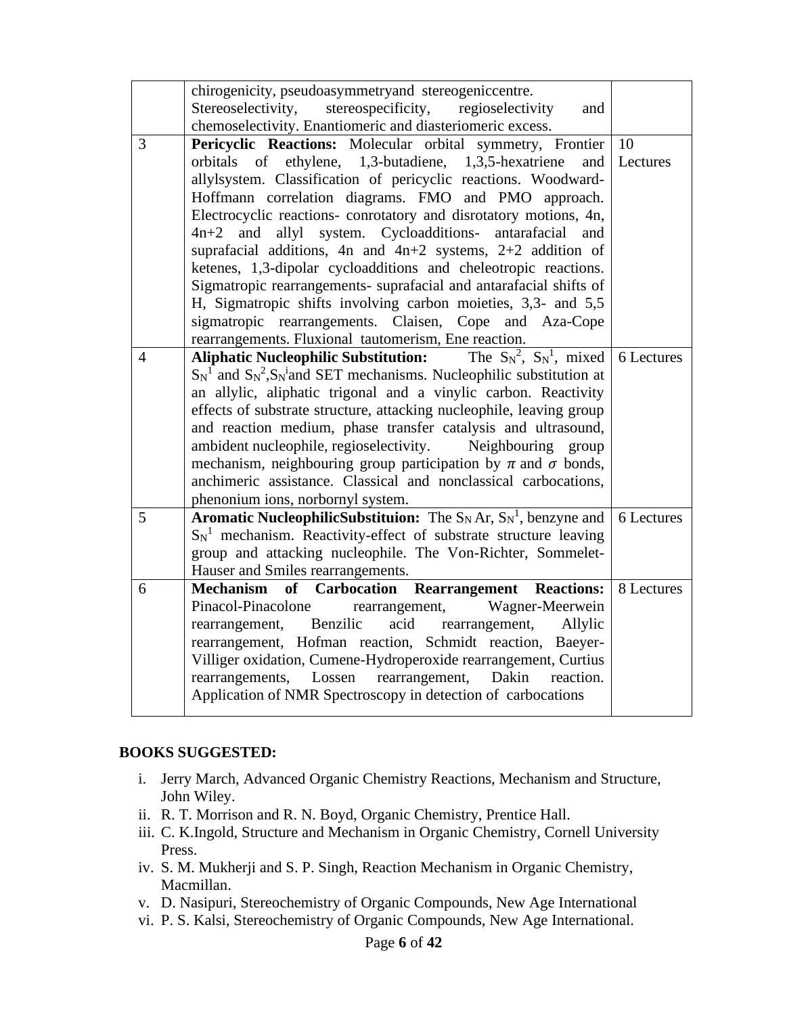|                | chirogenicity, pseudoasymmetryand stereogeniccentre.                                    |               |
|----------------|-----------------------------------------------------------------------------------------|---------------|
|                | Stereoselectivity, stereospecificity, regioselectivity<br>and                           |               |
|                | chemoselectivity. Enantiomeric and diasteriomeric excess.                               |               |
| 3              |                                                                                         | <sup>10</sup> |
|                | Pericyclic Reactions: Molecular orbital symmetry, Frontier                              |               |
|                | ethylene, 1,3-butadiene, 1,3,5-hexatriene<br>of<br>orbitals<br>and                      | Lectures      |
|                | allylsystem. Classification of pericyclic reactions. Woodward-                          |               |
|                | Hoffmann correlation diagrams. FMO and PMO approach.                                    |               |
|                | Electrocyclic reactions- conrotatory and disrotatory motions, 4n,                       |               |
|                | system. Cycloadditions- antarafacial<br>$4n+2$ and allyl<br>and                         |               |
|                | suprafacial additions, 4n and $4n+2$ systems, 2+2 addition of                           |               |
|                | ketenes, 1,3-dipolar cycloadditions and cheleotropic reactions.                         |               |
|                | Sigmatropic rearrangements- suprafacial and antarafacial shifts of                      |               |
|                | H, Sigmatropic shifts involving carbon moieties, 3,3- and 5,5                           |               |
|                | sigmatropic rearrangements. Claisen, Cope and Aza-Cope                                  |               |
|                | rearrangements. Fluxional tautomerism, Ene reaction.                                    |               |
| $\overline{4}$ | <b>Aliphatic Nucleophilic Substitution:</b> The $S_N^2$ , $S_N^1$ , mixed 6 Lectures    |               |
|                | $S_N^1$ and $S_N^2$ , $S_N^1$ and SET mechanisms. Nucleophilic substitution at          |               |
|                | an allylic, aliphatic trigonal and a vinylic carbon. Reactivity                         |               |
|                | effects of substrate structure, attacking nucleophile, leaving group                    |               |
|                | and reaction medium, phase transfer catalysis and ultrasound,                           |               |
|                | ambident nucleophile, regioselectivity. Neighbouring group                              |               |
|                | mechanism, neighbouring group participation by $\pi$ and $\sigma$ bonds,                |               |
|                | anchimeric assistance. Classical and nonclassical carbocations,                         |               |
|                | phenonium ions, norbornyl system.                                                       |               |
| 5              | <b>Aromatic NucleophilicSubstituion:</b> The $S_N$ Ar, $S_N$ <sup>1</sup> , benzyne and | 6 Lectures    |
|                | $S_N^1$ mechanism. Reactivity-effect of substrate structure leaving                     |               |
|                | group and attacking nucleophile. The Von-Richter, Sommelet-                             |               |
|                | Hauser and Smiles rearrangements.                                                       |               |
| 6              | Mechanism of Carbocation Rearrangement Reactions:                                       | 8 Lectures    |
|                | Pinacol-Pinacolone rearrangement, Wagner-Meerwein                                       |               |
|                | rearrangement, Benzilic<br>acid rearrangement,<br>Allylic                               |               |
|                | rearrangement, Hofman reaction, Schmidt reaction, Baeyer-                               |               |
|                | Villiger oxidation, Cumene-Hydroperoxide rearrangement, Curtius                         |               |
|                | Lossen<br>rearrangement,<br>Dakin<br>rearrangements,<br>reaction.                       |               |
|                | Application of NMR Spectroscopy in detection of carbocations                            |               |
|                |                                                                                         |               |

#### **BOOKS SUGGESTED:**

- i. Jerry March, Advanced Organic Chemistry Reactions, Mechanism and Structure, John Wiley.
- ii. R. T. Morrison and R. N. Boyd, Organic Chemistry, Prentice Hall.
- iii. C. K.Ingold, Structure and Mechanism in Organic Chemistry, Cornell University Press.
- iv. S. M. Mukherji and S. P. Singh, Reaction Mechanism in Organic Chemistry, Macmillan.
- v. D. Nasipuri, Stereochemistry of Organic Compounds, New Age International
- vi. P. S. Kalsi, Stereochemistry of Organic Compounds, New Age International.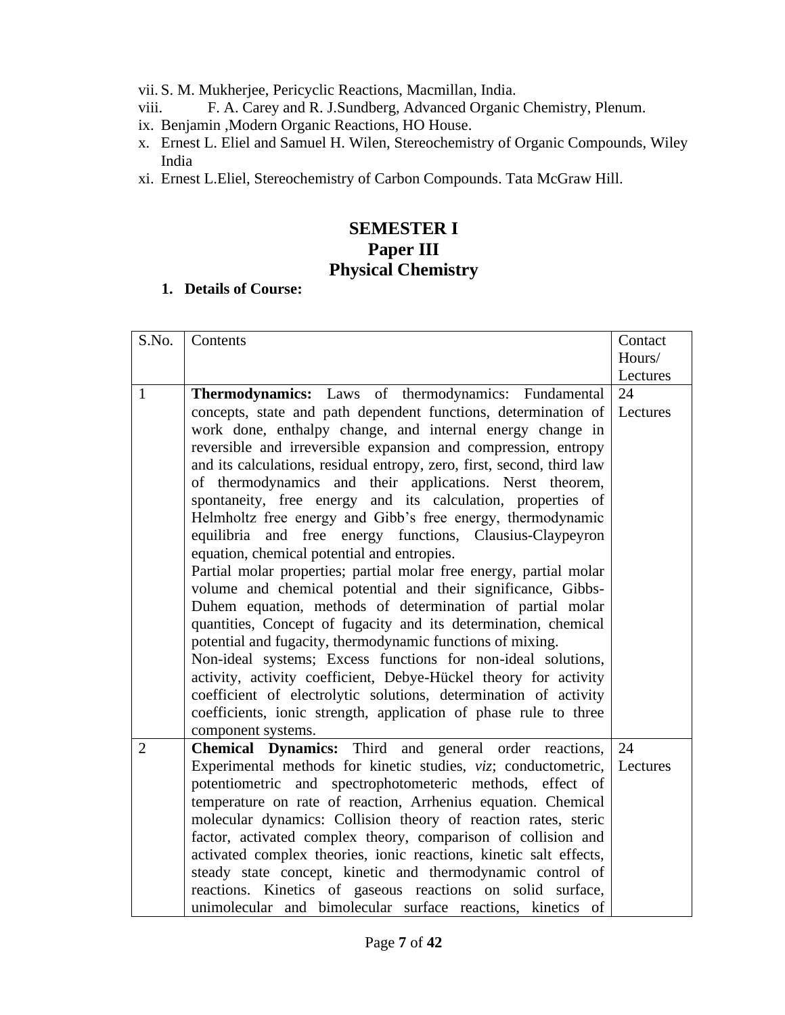- vii. S. M. Mukherjee, Pericyclic Reactions, Macmillan, India.
- viii. F. A. Carey and R. J.Sundberg, Advanced Organic Chemistry, Plenum.
- ix. Benjamin ,Modern Organic Reactions, HO House.
- x. Ernest L. Eliel and Samuel H. Wilen, Stereochemistry of Organic Compounds, Wiley India
- xi. Ernest L.Eliel, Stereochemistry of Carbon Compounds. Tata McGraw Hill.

## **SEMESTER I Paper III Physical Chemistry**

| S.No.          | Contents                                                               | Contact  |
|----------------|------------------------------------------------------------------------|----------|
|                |                                                                        | Hours/   |
|                |                                                                        | Lectures |
| $\mathbf{1}$   | Thermodynamics: Laws of thermodynamics: Fundamental                    | 24       |
|                | concepts, state and path dependent functions, determination of         | Lectures |
|                | work done, enthalpy change, and internal energy change in              |          |
|                | reversible and irreversible expansion and compression, entropy         |          |
|                | and its calculations, residual entropy, zero, first, second, third law |          |
|                | of thermodynamics and their applications. Nerst theorem,               |          |
|                | spontaneity, free energy and its calculation, properties of            |          |
|                | Helmholtz free energy and Gibb's free energy, thermodynamic            |          |
|                | equilibria and free energy functions, Clausius-Claypeyron              |          |
|                | equation, chemical potential and entropies.                            |          |
|                | Partial molar properties; partial molar free energy, partial molar     |          |
|                | volume and chemical potential and their significance, Gibbs-           |          |
|                | Duhem equation, methods of determination of partial molar              |          |
|                | quantities, Concept of fugacity and its determination, chemical        |          |
|                | potential and fugacity, thermodynamic functions of mixing.             |          |
|                | Non-ideal systems; Excess functions for non-ideal solutions,           |          |
|                | activity, activity coefficient, Debye-Hückel theory for activity       |          |
|                | coefficient of electrolytic solutions, determination of activity       |          |
|                | coefficients, ionic strength, application of phase rule to three       |          |
|                | component systems.                                                     |          |
| $\overline{2}$ | Chemical Dynamics: Third and general order reactions,                  | 24       |
|                | Experimental methods for kinetic studies, viz; conductometric,         | Lectures |
|                | potentiometric and spectrophotometeric methods, effect of              |          |
|                | temperature on rate of reaction, Arrhenius equation. Chemical          |          |
|                | molecular dynamics: Collision theory of reaction rates, steric         |          |
|                | factor, activated complex theory, comparison of collision and          |          |
|                | activated complex theories, ionic reactions, kinetic salt effects,     |          |
|                | steady state concept, kinetic and thermodynamic control of             |          |
|                | reactions. Kinetics of gaseous reactions on solid surface,             |          |
|                | unimolecular and bimolecular surface reactions, kinetics of            |          |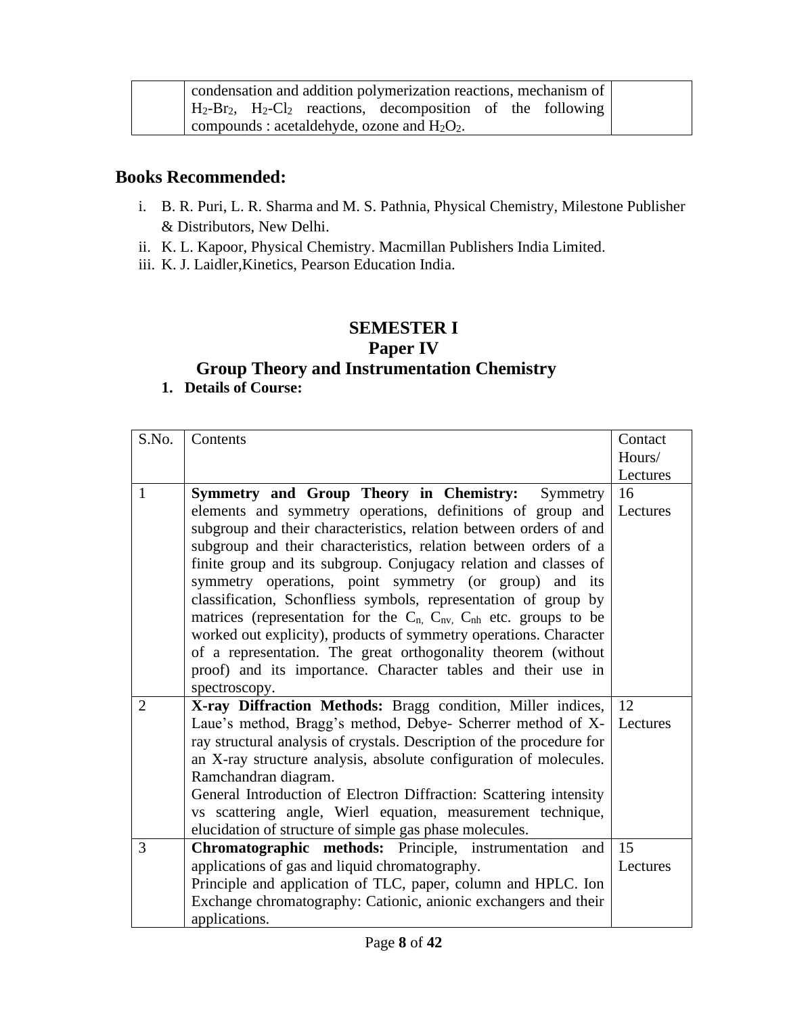| condensation and addition polymerization reactions, mechanism of |                                                                                                                     |  |  |  |  |  |  |  |
|------------------------------------------------------------------|---------------------------------------------------------------------------------------------------------------------|--|--|--|--|--|--|--|
|                                                                  |                                                                                                                     |  |  |  |  |  |  |  |
|                                                                  | $H_2-Br_2$ , $H_2-Cl_2$ reactions, decomposition of the following<br>compounds : acetaldehyde, ozone and $H_2O_2$ . |  |  |  |  |  |  |  |

## **Books Recommended:**

- i. B. R. Puri, L. R. Sharma and M. S. Pathnia, Physical Chemistry, Milestone Publisher & Distributors, New Delhi.
- ii. K. L. Kapoor, Physical Chemistry. Macmillan Publishers India Limited.
- iii. K. J. Laidler,Kinetics, Pearson Education India.

## **SEMESTER I**

## **Paper IV**

## **Group Theory and Instrumentation Chemistry**

| S.No.          | Contents                                                                       | Contact  |
|----------------|--------------------------------------------------------------------------------|----------|
|                |                                                                                | Hours/   |
|                |                                                                                | Lectures |
| $\mathbf{1}$   | Symmetry and Group Theory in Chemistry:<br>Symmetry                            | 16       |
|                | elements and symmetry operations, definitions of group and                     | Lectures |
|                | subgroup and their characteristics, relation between orders of and             |          |
|                | subgroup and their characteristics, relation between orders of a               |          |
|                | finite group and its subgroup. Conjugacy relation and classes of               |          |
|                | symmetry operations, point symmetry (or group) and its                         |          |
|                | classification, Schonfliess symbols, representation of group by                |          |
|                | matrices (representation for the $C_n$ , $C_{nv}$ , $C_{nh}$ etc. groups to be |          |
|                | worked out explicity), products of symmetry operations. Character              |          |
|                | of a representation. The great orthogonality theorem (without                  |          |
|                | proof) and its importance. Character tables and their use in                   |          |
|                | spectroscopy.                                                                  |          |
| $\overline{2}$ | X-ray Diffraction Methods: Bragg condition, Miller indices,                    | 12       |
|                | Laue's method, Bragg's method, Debye- Scherrer method of X-                    | Lectures |
|                | ray structural analysis of crystals. Description of the procedure for          |          |
|                | an X-ray structure analysis, absolute configuration of molecules.              |          |
|                | Ramchandran diagram.                                                           |          |
|                | General Introduction of Electron Diffraction: Scattering intensity             |          |
|                | vs scattering angle, Wierl equation, measurement technique,                    |          |
|                | elucidation of structure of simple gas phase molecules.                        |          |
| 3              | Chromatographic methods: Principle, instrumentation<br>and                     | 15       |
|                | applications of gas and liquid chromatography.                                 | Lectures |
|                | Principle and application of TLC, paper, column and HPLC. Ion                  |          |
|                | Exchange chromatography: Cationic, anionic exchangers and their                |          |
|                | applications.                                                                  |          |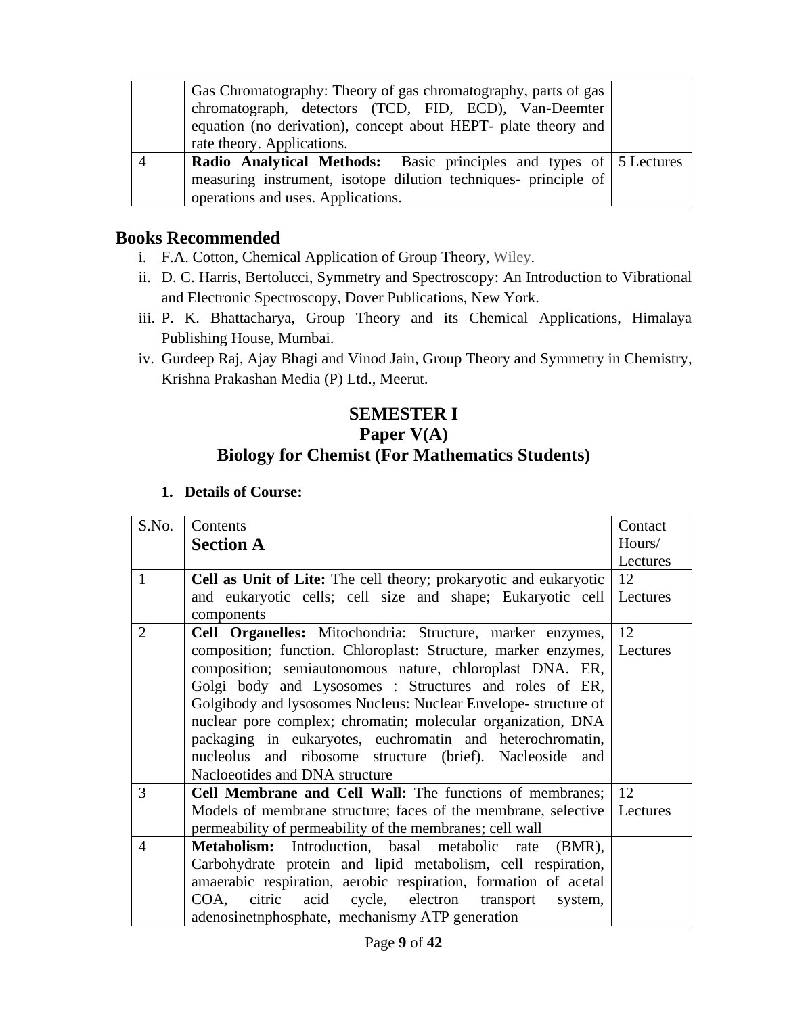| Gas Chromatography: Theory of gas chromatography, parts of gas<br>chromatograph, detectors (TCD, FID, ECD), Van-Deemter<br>equation (no derivation), concept about HEPT- plate theory and<br>rate theory. Applications. |  |
|-------------------------------------------------------------------------------------------------------------------------------------------------------------------------------------------------------------------------|--|
| <b>Radio Analytical Methods:</b> Basic principles and types of 5 Lectures<br>measuring instrument, isotope dilution techniques- principle of<br>operations and uses. Applications.                                      |  |

## **Books Recommended**

- i. F.A. Cotton, Chemical Application of Group Theory, Wiley.
- ii. D. C. Harris, Bertolucci, Symmetry and Spectroscopy: An Introduction to Vibrational and Electronic Spectroscopy, Dover Publications, New York.
- iii. P. K. Bhattacharya, Group Theory and its Chemical Applications, Himalaya Publishing House, Mumbai.
- iv. Gurdeep Raj, Ajay Bhagi and Vinod Jain, Group Theory and Symmetry in Chemistry, Krishna Prakashan Media (P) Ltd., Meerut.

## **SEMESTER I Paper V(A) Biology for Chemist (For Mathematics Students)**

| S.No.          | Contents                                                                  | Contact  |
|----------------|---------------------------------------------------------------------------|----------|
|                | <b>Section A</b>                                                          | Hours/   |
|                |                                                                           | Lectures |
| $\mathbf{1}$   | <b>Cell as Unit of Lite:</b> The cell theory; prokaryotic and eukaryotic  | 12       |
|                | and eukaryotic cells; cell size and shape; Eukaryotic cell<br>components  | Lectures |
| $\overline{2}$ | Cell Organelles: Mitochondria: Structure, marker enzymes,                 | 12       |
|                | composition; function. Chloroplast: Structure, marker enzymes, Lectures   |          |
|                | composition; semiautonomous nature, chloroplast DNA. ER,                  |          |
|                | Golgi body and Lysosomes : Structures and roles of ER,                    |          |
|                | Golgibody and lysosomes Nucleus: Nuclear Envelope- structure of           |          |
|                | nuclear pore complex; chromatin; molecular organization, DNA              |          |
|                | packaging in eukaryotes, euchromatin and heterochromatin,                 |          |
|                | nucleolus and ribosome structure (brief). Nacleoside and                  |          |
|                | Nacloeotides and DNA structure                                            |          |
| 3              | Cell Membrane and Cell Wall: The functions of membranes; 12               |          |
|                | Models of membrane structure; faces of the membrane, selective   Lectures |          |
|                | permeability of permeability of the membranes; cell wall                  |          |
| $\overline{4}$ | Metabolism: Introduction, basal metabolic rate<br>$(BMR)$ ,               |          |
|                | Carbohydrate protein and lipid metabolism, cell respiration,              |          |
|                | amaerabic respiration, aerobic respiration, formation of acetal           |          |
|                | citric acid cycle, electron transport<br>COA,<br>system,                  |          |
|                | adenosinetnphosphate, mechanismy ATP generation                           |          |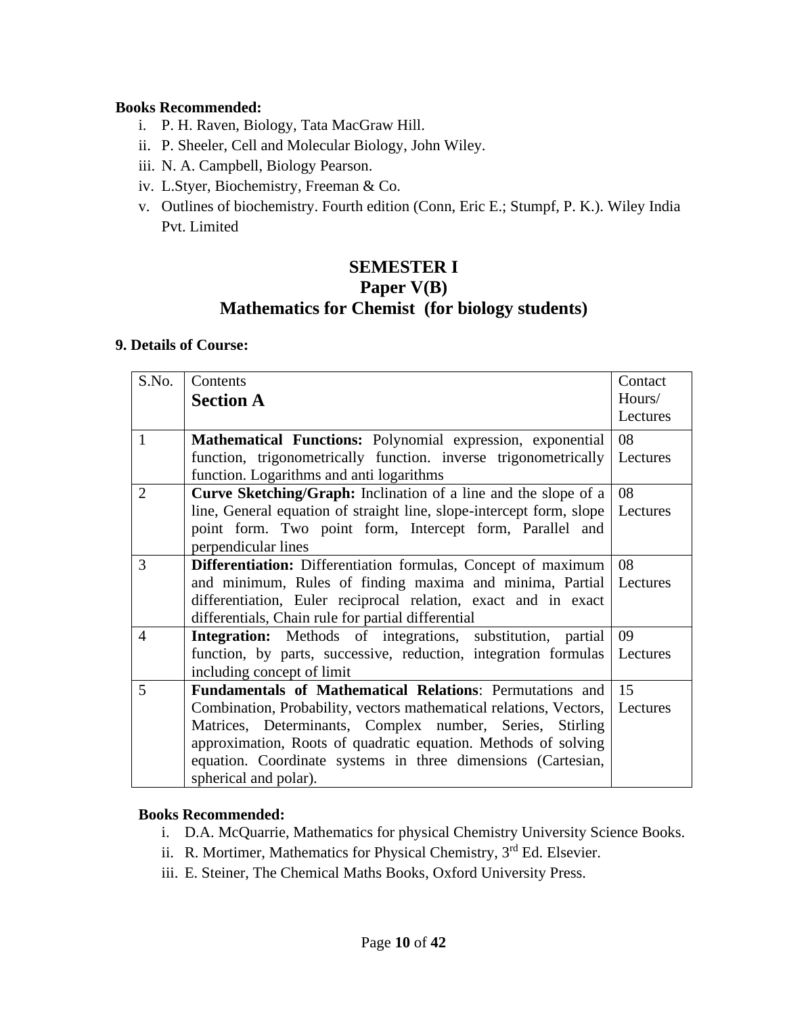#### **Books Recommended:**

- i. P. H. Raven, Biology, Tata MacGraw Hill.
- ii. P. Sheeler, Cell and Molecular Biology, John Wiley.
- iii. N. A. Campbell, Biology Pearson.
- iv. L.Styer, Biochemistry, Freeman & Co.
- v. Outlines of biochemistry. Fourth edition (Conn, Eric E.; Stumpf, P. K.). Wiley India Pvt. Limited

## **SEMESTER I Paper V(B) Mathematics for Chemist (for biology students)**

#### **9. Details of Course:**

| S.No.                    | Contents                                                               | Contact  |
|--------------------------|------------------------------------------------------------------------|----------|
|                          | <b>Section A</b>                                                       | Hours/   |
|                          |                                                                        | Lectures |
| $\mathbf{1}$             | Mathematical Functions: Polynomial expression, exponential             | 08       |
|                          | function, trigonometrically function. inverse trigonometrically        | Lectures |
|                          | function. Logarithms and anti logarithms                               |          |
| $\overline{2}$           | <b>Curve Sketching/Graph:</b> Inclination of a line and the slope of a | 08       |
|                          | line, General equation of straight line, slope-intercept form, slope   | Lectures |
|                          | point form. Two point form, Intercept form, Parallel and               |          |
|                          | perpendicular lines                                                    |          |
| 3                        | <b>Differentiation:</b> Differentiation formulas, Concept of maximum   | 08       |
|                          | and minimum, Rules of finding maxima and minima, Partial               | Lectures |
|                          | differentiation, Euler reciprocal relation, exact and in exact         |          |
|                          | differentials, Chain rule for partial differential                     |          |
| $\overline{\mathcal{A}}$ | <b>Integration:</b> Methods of integrations, substitution, partial     | 09       |
|                          | function, by parts, successive, reduction, integration formulas        | Lectures |
|                          | including concept of limit                                             |          |
| 5                        | Fundamentals of Mathematical Relations: Permutations and               | 15       |
|                          | Combination, Probability, vectors mathematical relations, Vectors,     | Lectures |
|                          | Matrices, Determinants, Complex number, Series, Stirling               |          |
|                          | approximation, Roots of quadratic equation. Methods of solving         |          |
|                          | equation. Coordinate systems in three dimensions (Cartesian,           |          |
|                          | spherical and polar).                                                  |          |

#### **Books Recommended:**

- i. D.A. McQuarrie, Mathematics for physical Chemistry University Science Books.
- ii. R. Mortimer, Mathematics for Physical Chemistry, 3rd Ed. Elsevier.
- iii. E. Steiner, The Chemical Maths Books, Oxford University Press.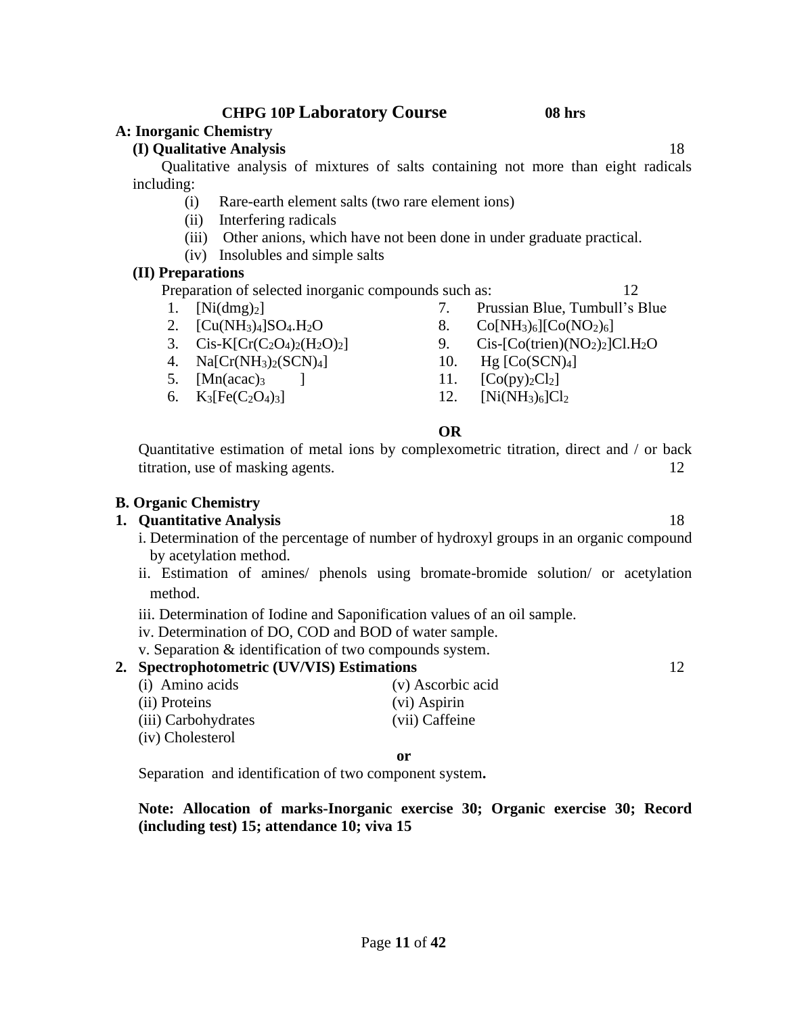## **CHPG 10P Laboratory Course 08 hrs**

### **A: Inorganic Chemistry**

#### **(I) Qualitative Analysis** 18

Qualitative analysis of mixtures of salts containing not more than eight radicals including:

- (i) Rare-earth element salts (two rare element ions)
- (ii) Interfering radicals
- (iii) Other anions, which have not been done in under graduate practical.
- (iv) Insolubles and simple salts

#### **(II) Preparations**

Preparation of selected inorganic compounds such as: 12

- 1. [Ni(dmg)<sub>2</sub>] 7. Prussian Blue, Tumbull's Blue
- 
- 
- 4. Na[Cr(NH3)2(SCN)4] 10. Hg [Co(SCN)4]
- 5.  $[Mn(acac)<sub>3</sub>$  ] 11.  $[Co(py)<sub>2</sub>Cl<sub>2</sub>]$
- 
- 2.  $[Cu(NH_3)_4]SO_4.H_2O$  8.  $Co[NH_3)_6][Co(NO_2)_6]$
- 3.  $\text{Cis-K}[\text{Cr}(C_2O_4)_2(H_2O)_2]$  9.  $\text{Cis-C}[\text{Co}(t\text{rien})(NO_2)_2]Cl.H_2O$ 
	-
	-
- 6.  $K_3[Fe(C_2O_4)_3]$  12.  $[Ni(NH_3)_6]Cl_2$

#### **OR**

Quantitative estimation of metal ions by complexometric titration, direct and / or back titration, use of masking agents. 12

#### **B. Organic Chemistry**

### **1. Quantitative Analysis** 18

- i. Determination of the percentage of number of hydroxyl groups in an organic compound by acetylation method.
- ii. Estimation of amines/ phenols using bromate-bromide solution/ or acetylation method.
- iii. Determination of Iodine and Saponification values of an oil sample.
- iv. Determination of DO, COD and BOD of water sample.
- v. Separation & identification of two compounds system.

#### **2. Spectrophotometric (UV/VIS) Estimations** 12

- (i) Amino acids (v) Ascorbic acid (ii) Proteins (vi) Aspirin (iii) Carbohydrates (vii) Caffeine
- (iv) Cholesterol

#### **or**

Separation and identification of two component system**.**

#### **Note: Allocation of marks-Inorganic exercise 30; Organic exercise 30; Record (including test) 15; attendance 10; viva 15**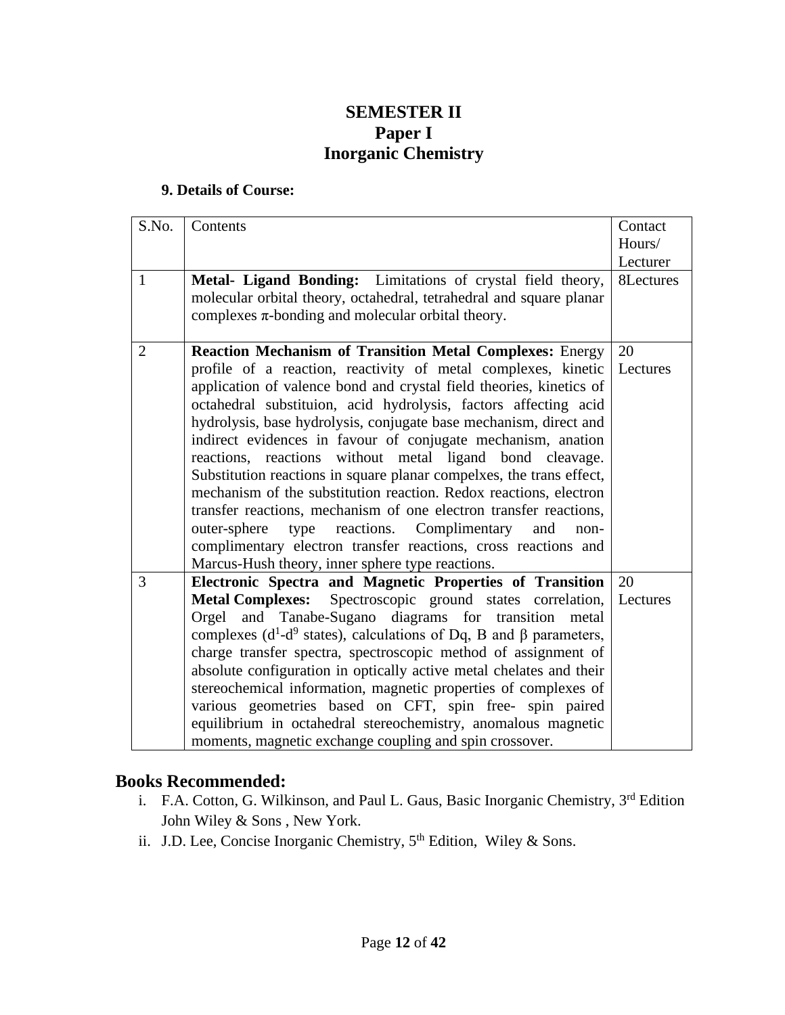## **SEMESTER II Paper I Inorganic Chemistry**

#### **9. Details of Course:**

| S.No.          | Contents                                                                     | Contact   |
|----------------|------------------------------------------------------------------------------|-----------|
|                |                                                                              | Hours/    |
|                |                                                                              | Lecturer  |
| $\mathbf{1}$   | Metal- Ligand Bonding: Limitations of crystal field theory,                  | 8Lectures |
|                | molecular orbital theory, octahedral, tetrahedral and square planar          |           |
|                | complexes $\pi$ -bonding and molecular orbital theory.                       |           |
|                |                                                                              |           |
| $\overline{2}$ | <b>Reaction Mechanism of Transition Metal Complexes: Energy</b>              | 20        |
|                | profile of a reaction, reactivity of metal complexes, kinetic                | Lectures  |
|                | application of valence bond and crystal field theories, kinetics of          |           |
|                | octahedral substituion, acid hydrolysis, factors affecting acid              |           |
|                | hydrolysis, base hydrolysis, conjugate base mechanism, direct and            |           |
|                | indirect evidences in favour of conjugate mechanism, anation                 |           |
|                | reactions, reactions without metal ligand bond cleavage.                     |           |
|                | Substitution reactions in square planar compelxes, the trans effect,         |           |
|                | mechanism of the substitution reaction. Redox reactions, electron            |           |
|                | transfer reactions, mechanism of one electron transfer reactions,            |           |
|                | type reactions. Complimentary<br>outer-sphere<br>and<br>non-                 |           |
|                | complimentary electron transfer reactions, cross reactions and               |           |
|                | Marcus-Hush theory, inner sphere type reactions.                             |           |
| 3              | Electronic Spectra and Magnetic Properties of Transition                     | 20        |
|                | <b>Metal Complexes:</b><br>Spectroscopic ground states correlation,          | Lectures  |
|                | Orgel and Tanabe-Sugano diagrams for transition metal                        |           |
|                | complexes ( $d^1-d^9$ states), calculations of Dq, B and $\beta$ parameters, |           |
|                | charge transfer spectra, spectroscopic method of assignment of               |           |
|                | absolute configuration in optically active metal chelates and their          |           |
|                | stereochemical information, magnetic properties of complexes of              |           |
|                | various geometries based on CFT, spin free- spin paired                      |           |
|                | equilibrium in octahedral stereochemistry, anomalous magnetic                |           |
|                | moments, magnetic exchange coupling and spin crossover.                      |           |

## **Books Recommended:**

- i. F.A. Cotton, G. Wilkinson, and Paul L. Gaus, Basic Inorganic Chemistry, 3rd Edition John Wiley & Sons , New York.
- ii. J.D. Lee, Concise Inorganic Chemistry, 5<sup>th</sup> Edition, Wiley & Sons.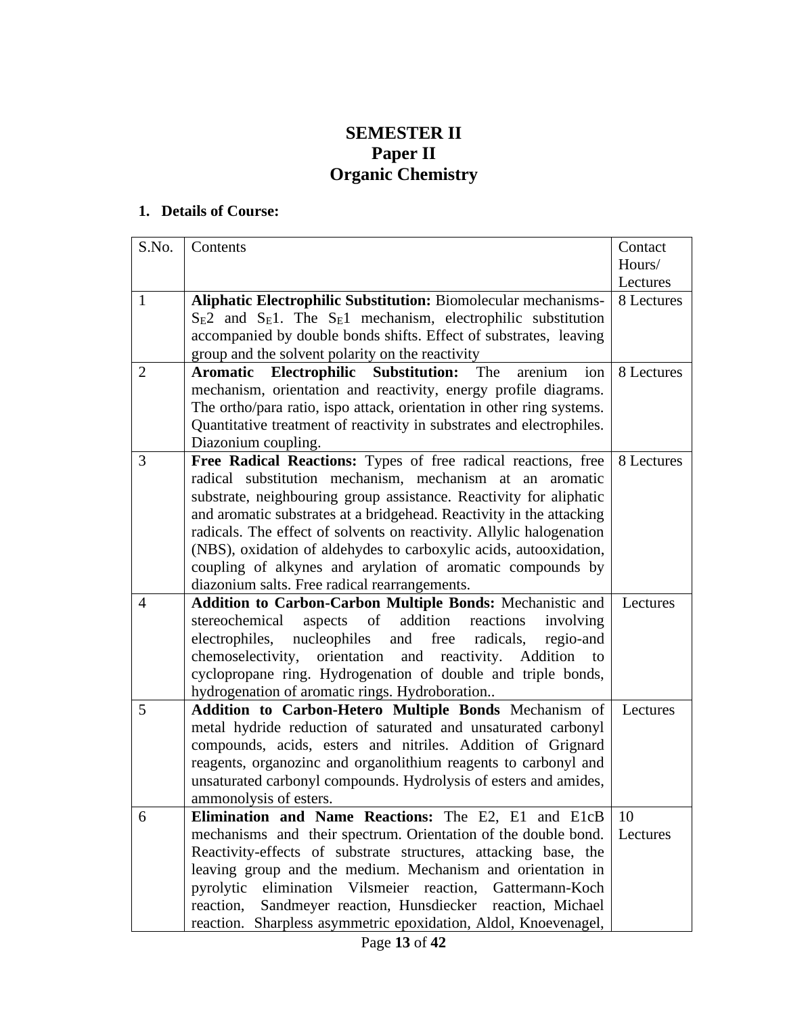## **SEMESTER II Paper II Organic Chemistry**

| S.No.          | Contents                                                                                                                                   | Contact            |
|----------------|--------------------------------------------------------------------------------------------------------------------------------------------|--------------------|
|                |                                                                                                                                            | Hours/<br>Lectures |
| $\mathbf{1}$   | <b>Aliphatic Electrophilic Substitution: Biomolecular mechanisms-</b>                                                                      | 8 Lectures         |
|                | $S_E2$ and $S_E1$ . The $S_E1$ mechanism, electrophilic substitution                                                                       |                    |
|                | accompanied by double bonds shifts. Effect of substrates, leaving                                                                          |                    |
|                | group and the solvent polarity on the reactivity                                                                                           |                    |
| $\overline{2}$ | Electrophilic<br><b>Substitution:</b><br>The<br>arenium<br>ion<br><b>Aromatic</b>                                                          | 8 Lectures         |
|                | mechanism, orientation and reactivity, energy profile diagrams.                                                                            |                    |
|                | The ortho/para ratio, ispo attack, orientation in other ring systems.                                                                      |                    |
|                | Quantitative treatment of reactivity in substrates and electrophiles.                                                                      |                    |
|                | Diazonium coupling.                                                                                                                        |                    |
| 3              | Free Radical Reactions: Types of free radical reactions, free                                                                              | 8 Lectures         |
|                | radical substitution mechanism, mechanism at an aromatic                                                                                   |                    |
|                | substrate, neighbouring group assistance. Reactivity for aliphatic<br>and aromatic substrates at a bridgehead. Reactivity in the attacking |                    |
|                | radicals. The effect of solvents on reactivity. Allylic halogenation                                                                       |                    |
|                | (NBS), oxidation of aldehydes to carboxylic acids, autooxidation,                                                                          |                    |
|                | coupling of alkynes and arylation of aromatic compounds by                                                                                 |                    |
|                | diazonium salts. Free radical rearrangements.                                                                                              |                    |
| $\overline{4}$ | Addition to Carbon-Carbon Multiple Bonds: Mechanistic and                                                                                  | Lectures           |
|                | stereochemical<br>aspects<br>of<br>addition<br>reactions<br>involving                                                                      |                    |
|                | nucleophiles<br>and free<br>regio-and<br>electrophiles,<br>radicals,                                                                       |                    |
|                | orientation<br>chemoselectivity,<br>and reactivity. Addition<br>to                                                                         |                    |
|                | cyclopropane ring. Hydrogenation of double and triple bonds,                                                                               |                    |
|                | hydrogenation of aromatic rings. Hydroboration                                                                                             |                    |
| 5              | Addition to Carbon-Hetero Multiple Bonds Mechanism of                                                                                      | Lectures           |
|                | metal hydride reduction of saturated and unsaturated carbonyl                                                                              |                    |
|                | compounds, acids, esters and nitriles. Addition of Grignard                                                                                |                    |
|                | reagents, organozinc and organolithium reagents to carbonyl and                                                                            |                    |
|                | unsaturated carbonyl compounds. Hydrolysis of esters and amides,<br>ammonolysis of esters.                                                 |                    |
| 6              | Elimination and Name Reactions: The E2, E1 and E1cB                                                                                        | 10                 |
|                | mechanisms and their spectrum. Orientation of the double bond.                                                                             | Lectures           |
|                | Reactivity-effects of substrate structures, attacking base, the                                                                            |                    |
|                | leaving group and the medium. Mechanism and orientation in                                                                                 |                    |
|                | pyrolytic<br>elimination Vilsmeier reaction,<br>Gattermann-Koch                                                                            |                    |
|                | reaction,<br>Sandmeyer reaction, Hunsdiecker reaction, Michael                                                                             |                    |
|                | reaction. Sharpless asymmetric epoxidation, Aldol, Knoevenagel,                                                                            |                    |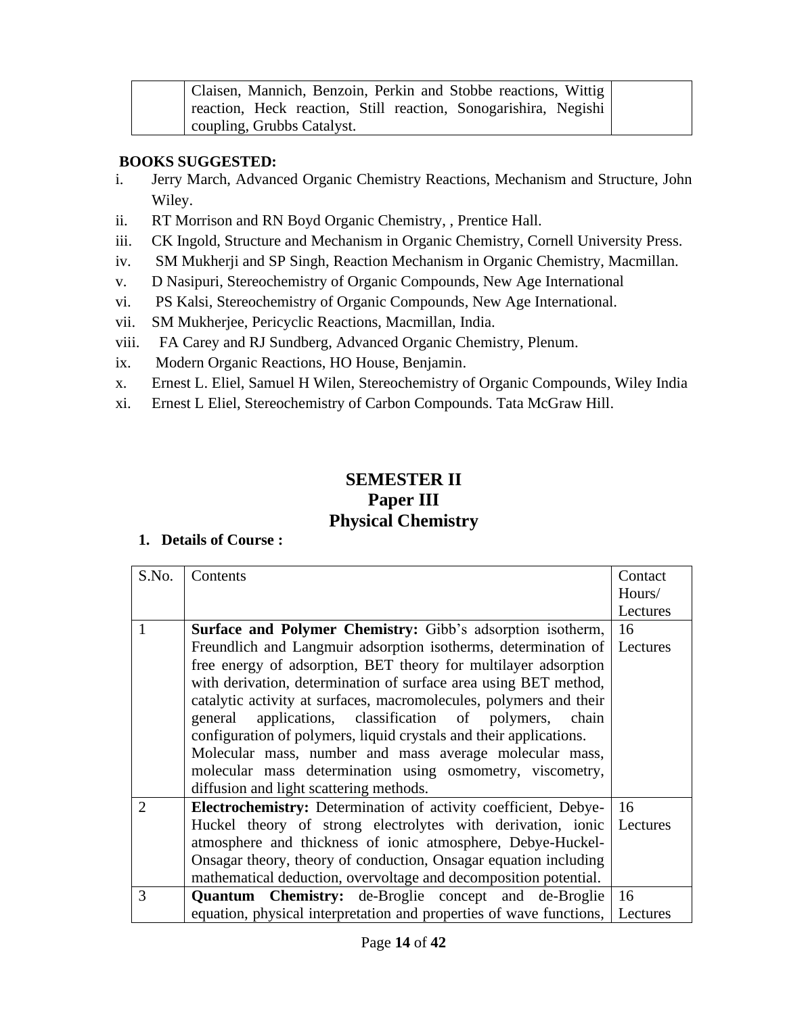| Claisen, Mannich, Benzoin, Perkin and Stobbe reactions, Wittig  |  |
|-----------------------------------------------------------------|--|
| reaction, Heck reaction, Still reaction, Sonogarishira, Negishi |  |
| coupling, Grubbs Catalyst.                                      |  |

#### **BOOKS SUGGESTED:**

- i. Jerry March, Advanced Organic Chemistry Reactions, Mechanism and Structure, John Wiley.
- ii. RT Morrison and RN Boyd Organic Chemistry, , Prentice Hall.
- iii. CK Ingold, Structure and Mechanism in Organic Chemistry, Cornell University Press.
- iv. SM Mukherji and SP Singh, Reaction Mechanism in Organic Chemistry, Macmillan.
- v. D Nasipuri, Stereochemistry of Organic Compounds, New Age International
- vi. PS Kalsi, Stereochemistry of Organic Compounds, New Age International.
- vii. SM Mukherjee, Pericyclic Reactions, Macmillan, India.
- viii. FA Carey and RJ Sundberg, Advanced Organic Chemistry, Plenum.
- ix. Modern Organic Reactions, HO House, Benjamin.
- x. Ernest L. Eliel, Samuel H Wilen, Stereochemistry of Organic Compounds, Wiley India
- xi. Ernest L Eliel, Stereochemistry of Carbon Compounds. Tata McGraw Hill.

## **SEMESTER II Paper III Physical Chemistry**

| S.No.                       | Contents                                                                       | Contact  |
|-----------------------------|--------------------------------------------------------------------------------|----------|
|                             |                                                                                | Hours/   |
|                             |                                                                                | Lectures |
| 1                           | <b>Surface and Polymer Chemistry:</b> Gibb's adsorption isotherm,              | 16       |
|                             | Freundlich and Langmuir adsorption isotherms, determination of                 | Lectures |
|                             | free energy of adsorption, BET theory for multilayer adsorption                |          |
|                             | with derivation, determination of surface area using BET method,               |          |
|                             | catalytic activity at surfaces, macromolecules, polymers and their             |          |
|                             | applications, classification of polymers, chain<br>general                     |          |
|                             | configuration of polymers, liquid crystals and their applications.             |          |
|                             | Molecular mass, number and mass average molecular mass,                        |          |
|                             | molecular mass determination using osmometry, viscometry,                      |          |
|                             | diffusion and light scattering methods.                                        |          |
| $\mathcal{D}_{\mathcal{L}}$ | Electrochemistry: Determination of activity coefficient, Debye-   16           |          |
|                             | Huckel theory of strong electrolytes with derivation, ionic Lectures           |          |
|                             | atmosphere and thickness of ionic atmosphere, Debye-Huckel-                    |          |
|                             | Onsagar theory, theory of conduction, Onsagar equation including               |          |
|                             | mathematical deduction, overvoltage and decomposition potential.               |          |
| 3                           | <b>Quantum Chemistry:</b> de-Broglie concept and de-Broglie                    | -16      |
|                             | equation, physical interpretation and properties of wave functions,   Lectures |          |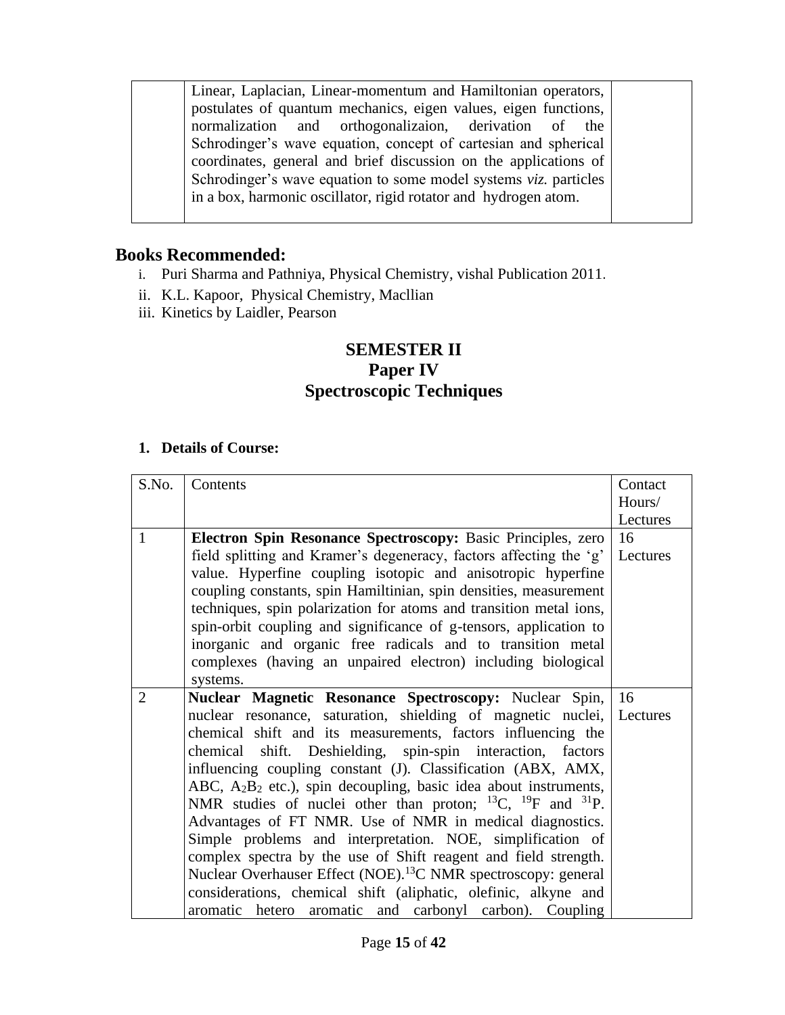Linear, Laplacian, Linear-momentum and Hamiltonian operators, postulates of quantum mechanics, eigen values, eigen functions, normalization and orthogonalizaion, derivation of the Schrodinger's wave equation, concept of cartesian and spherical coordinates, general and brief discussion on the applications of Schrodinger's wave equation to some model systems *viz.* particles in a box, harmonic oscillator, rigid rotator and hydrogen atom.

### **Books Recommended:**

- i. Puri Sharma and Pathniya, Physical Chemistry, vishal Publication 2011.
- ii. K.L. Kapoor, Physical Chemistry, Macllian
- iii. Kinetics by Laidler, Pearson

## **SEMESTER II Paper IV Spectroscopic Techniques**

| S.No.          | Contents                                                                    | Contact  |
|----------------|-----------------------------------------------------------------------------|----------|
|                |                                                                             | Hours/   |
|                |                                                                             |          |
|                |                                                                             | Lectures |
| 1              | Electron Spin Resonance Spectroscopy: Basic Principles, zero                | 16       |
|                | field splitting and Kramer's degeneracy, factors affecting the 'g'          | Lectures |
|                | value. Hyperfine coupling isotopic and anisotropic hyperfine                |          |
|                | coupling constants, spin Hamiltinian, spin densities, measurement           |          |
|                | techniques, spin polarization for atoms and transition metal ions,          |          |
|                | spin-orbit coupling and significance of g-tensors, application to           |          |
|                | inorganic and organic free radicals and to transition metal                 |          |
|                | complexes (having an unpaired electron) including biological                |          |
|                | systems.                                                                    |          |
| $\overline{2}$ | Nuclear Magnetic Resonance Spectroscopy: Nuclear Spin,                      | 16       |
|                |                                                                             |          |
|                | nuclear resonance, saturation, shielding of magnetic nuclei,                | Lectures |
|                | chemical shift and its measurements, factors influencing the                |          |
|                | chemical shift. Deshielding, spin-spin interaction, factors                 |          |
|                | influencing coupling constant (J). Classification (ABX, AMX,                |          |
|                | ABC, $A_2B_2$ etc.), spin decoupling, basic idea about instruments,         |          |
|                | NMR studies of nuclei other than proton; $^{13}C$ , $^{19}F$ and $^{31}P$ . |          |
|                | Advantages of FT NMR. Use of NMR in medical diagnostics.                    |          |
|                | Simple problems and interpretation. NOE, simplification of                  |          |
|                | complex spectra by the use of Shift reagent and field strength.             |          |
|                | Nuclear Overhauser Effect (NOE). <sup>13</sup> C NMR spectroscopy: general  |          |
|                | considerations, chemical shift (aliphatic, olefinic, alkyne and             |          |
|                | aromatic hetero aromatic and carbonyl carbon). Coupling                     |          |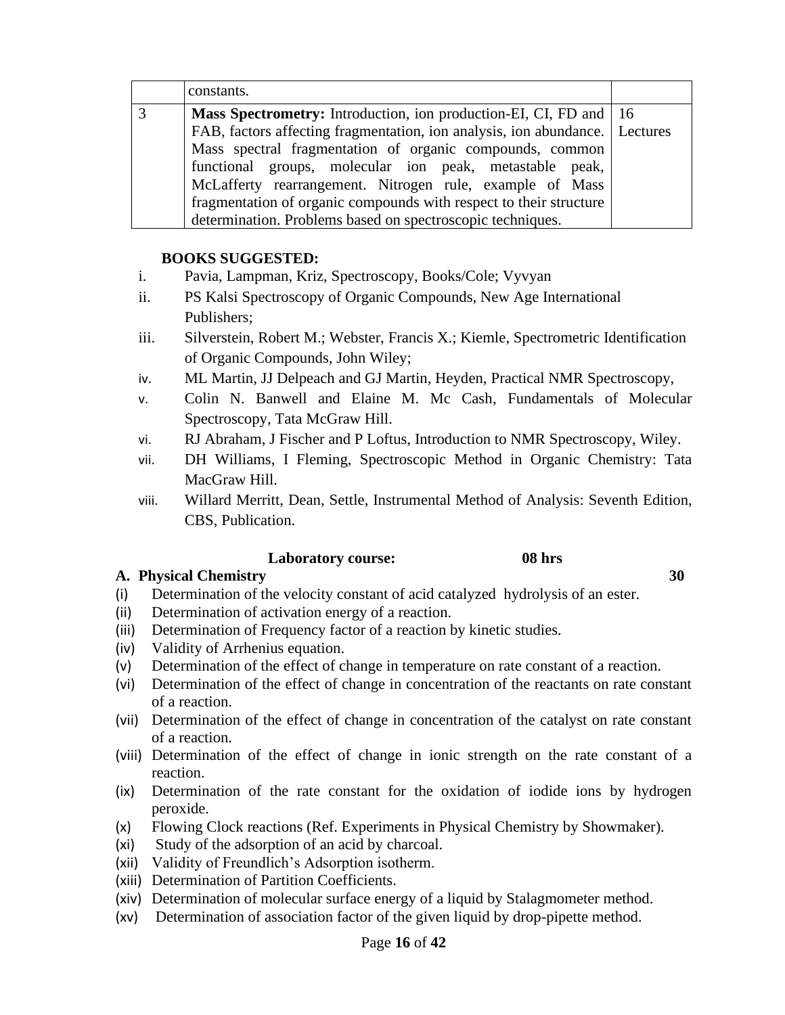| constants.                                                                    |  |
|-------------------------------------------------------------------------------|--|
| <b>Mass Spectrometry:</b> Introduction, ion production-EI, CI, FD and 16      |  |
| FAB, factors affecting fragmentation, ion analysis, ion abundance.   Lectures |  |
| Mass spectral fragmentation of organic compounds, common                      |  |
| functional groups, molecular ion peak, metastable peak,                       |  |
| McLafferty rearrangement. Nitrogen rule, example of Mass                      |  |
| fragmentation of organic compounds with respect to their structure            |  |
| determination. Problems based on spectroscopic techniques.                    |  |

#### **BOOKS SUGGESTED:**

- i. Pavia, Lampman, Kriz, Spectroscopy, Books/Cole; Vyvyan
- ii. PS Kalsi Spectroscopy of Organic Compounds, New Age International Publishers;
- iii. Silverstein, Robert M.; Webster, Francis X.; Kiemle, Spectrometric Identification of Organic Compounds, John Wiley;
- iv. ML Martin, JJ Delpeach and GJ Martin, Heyden, Practical NMR Spectroscopy,
- v. Colin N. Banwell and Elaine M. Mc Cash, Fundamentals of Molecular Spectroscopy, Tata McGraw Hill.
- vi. RJ Abraham, J Fischer and P Loftus, Introduction to NMR Spectroscopy, Wiley.
- vii. DH Williams, I Fleming, Spectroscopic Method in Organic Chemistry: Tata MacGraw Hill.
- viii. Willard Merritt, Dean, Settle, Instrumental Method of Analysis: Seventh Edition, CBS, Publication.

#### **Laboratory course: 08 hrs**

**A. Physical Chemistry 30**

- (i) Determination of the velocity constant of acid catalyzed hydrolysis of an ester.
- (ii) Determination of activation energy of a reaction.
- (iii) Determination of Frequency factor of a reaction by kinetic studies.
- (iv) Validity of Arrhenius equation.
- (v) Determination of the effect of change in temperature on rate constant of a reaction.
- (vi) Determination of the effect of change in concentration of the reactants on rate constant of a reaction.
- (vii) Determination of the effect of change in concentration of the catalyst on rate constant of a reaction.
- (viii) Determination of the effect of change in ionic strength on the rate constant of a reaction.
- (ix) Determination of the rate constant for the oxidation of iodide ions by hydrogen peroxide.
- (x) Flowing Clock reactions (Ref. Experiments in Physical Chemistry by Showmaker).
- (xi) Study of the adsorption of an acid by charcoal.
- (xii) Validity of Freundlich's Adsorption isotherm.
- (xiii) Determination of Partition Coefficients.
- (xiv) Determination of molecular surface energy of a liquid by Stalagmometer method.
- (xv) Determination of association factor of the given liquid by drop-pipette method.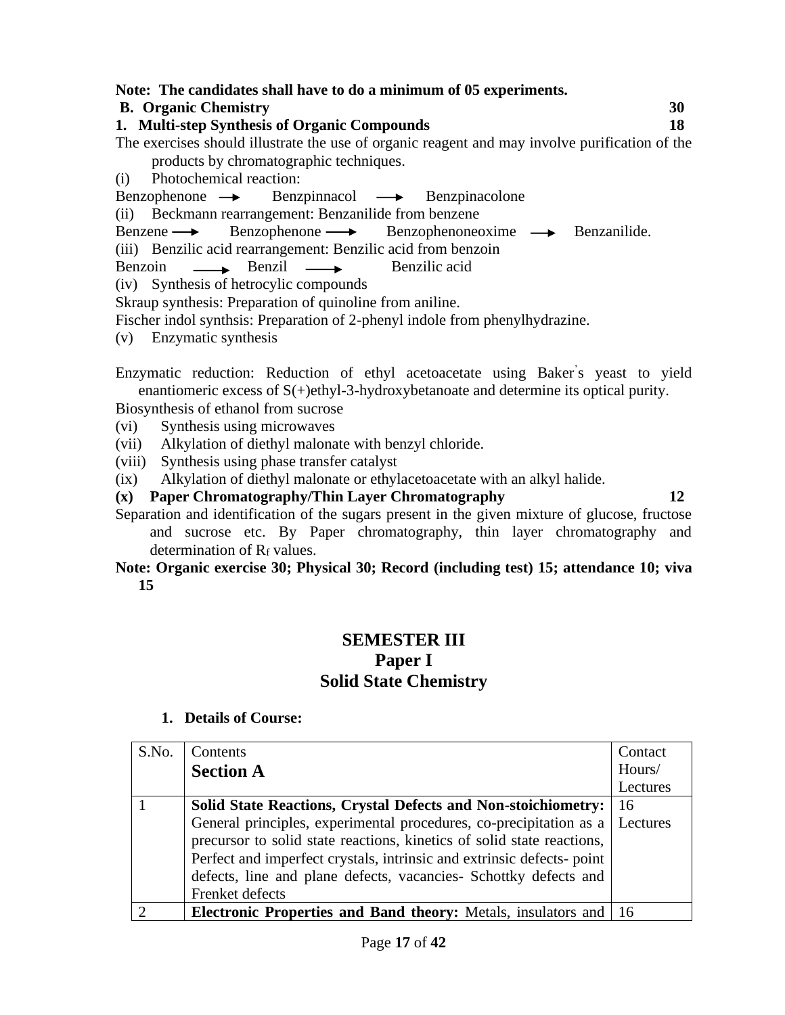#### **Note: The candidates shall have to do a minimum of 05 experiments.**

#### **B. Organic Chemistry 30**

**1. Multi-step Synthesis of Organic Compounds 18**

The exercises should illustrate the use of organic reagent and may involve purification of the products by chromatographic techniques.

(i) Photochemical reaction:

 $Benzophenone \rightarrow Benzpinnacol \rightarrow Benzpinacolone$ 

(ii) Beckmann rearrangement: Benzanilide from benzene

Benzene Benzophenone Benzophenoneoxime Benzanilide.

(iii) Benzilic acid rearrangement: Benzilic acid from benzoin

Benzoin — Benzil — Benzilic acid

(iv) Synthesis of hetrocylic compounds

Skraup synthesis: Preparation of quinoline from aniline.

Fischer indol synthsis: Preparation of 2-phenyl indole from phenylhydrazine.

(v) Enzymatic synthesis

Enzymatic reduction: Reduction of ethyl acetoacetate using Baker' s yeast to yield enantiomeric excess of S(+)ethyl-3-hydroxybetanoate and determine its optical purity.

Biosynthesis of ethanol from sucrose

- (vi) Synthesis using microwaves
- (vii) Alkylation of diethyl malonate with benzyl chloride.
- (viii) Synthesis using phase transfer catalyst
- (ix) Alkylation of diethyl malonate or ethylacetoacetate with an alkyl halide.
- **(x) Paper Chromatography/Thin Layer Chromatography 12**

Separation and identification of the sugars present in the given mixture of glucose, fructose and sucrose etc. By Paper chromatography, thin layer chromatography and determination of R<sub>f</sub> values.

**Note: Organic exercise 30; Physical 30; Record (including test) 15; attendance 10; viva 15**

## **SEMESTER III Paper I Solid State Chemistry**

| S.No. | Contents                                                               | Contact  |
|-------|------------------------------------------------------------------------|----------|
|       | <b>Section A</b>                                                       | Hours/   |
|       |                                                                        | Lectures |
|       | <b>Solid State Reactions, Crystal Defects and Non-stoichiometry:</b>   | 16       |
|       | General principles, experimental procedures, co-precipitation as a     | Lectures |
|       | precursor to solid state reactions, kinetics of solid state reactions, |          |
|       | Perfect and imperfect crystals, intrinsic and extrinsic defects-point  |          |
|       | defects, line and plane defects, vacancies- Schottky defects and       |          |
|       | Frenket defects                                                        |          |
|       | <b>Electronic Properties and Band theory:</b> Metals, insulators and   | -16      |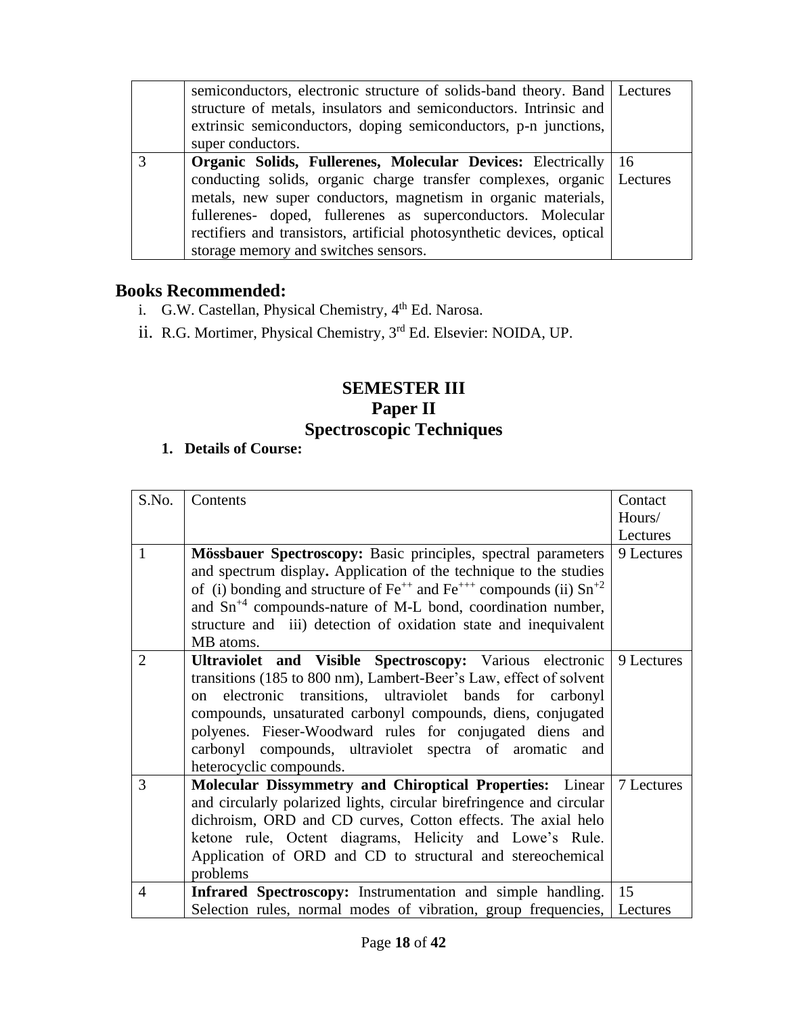|   | semiconductors, electronic structure of solids-band theory. Band   Lectures<br>structure of metals, insulators and semiconductors. Intrinsic and<br>extrinsic semiconductors, doping semiconductors, p-n junctions,<br>super conductors.                                                                                                                                                       |     |
|---|------------------------------------------------------------------------------------------------------------------------------------------------------------------------------------------------------------------------------------------------------------------------------------------------------------------------------------------------------------------------------------------------|-----|
| 3 | <b>Organic Solids, Fullerenes, Molecular Devices: Electrically</b><br>conducting solids, organic charge transfer complexes, organic Lectures<br>metals, new super conductors, magnetism in organic materials,<br>fullerenes- doped, fullerenes as superconductors. Molecular<br>rectifiers and transistors, artificial photosynthetic devices, optical<br>storage memory and switches sensors. | -16 |

## **Books Recommended:**

- i. G.W. Castellan, Physical Chemistry, 4<sup>th</sup> Ed. Narosa.
- ii. R.G. Mortimer, Physical Chemistry, 3<sup>rd</sup> Ed. Elsevier: NOIDA, UP.

## **SEMESTER III Paper II Spectroscopic Techniques**

| S.No.          | Contents                                                                          | Contact    |
|----------------|-----------------------------------------------------------------------------------|------------|
|                |                                                                                   | Hours/     |
|                |                                                                                   | Lectures   |
| $\mathbf{1}$   | Mössbauer Spectroscopy: Basic principles, spectral parameters                     | 9 Lectures |
|                |                                                                                   |            |
|                | and spectrum display. Application of the technique to the studies                 |            |
|                | of (i) bonding and structure of $Fe^{++}$ and $Fe^{+++}$ compounds (ii) $Sn^{+2}$ |            |
|                | and $\text{Sn}^{+4}$ compounds-nature of M-L bond, coordination number,           |            |
|                | structure and iii) detection of oxidation state and inequivalent                  |            |
|                | MB atoms.                                                                         |            |
| $\overline{2}$ | Ultraviolet and Visible Spectroscopy: Various electronic                          | 9 Lectures |
|                | transitions (185 to 800 nm), Lambert-Beer's Law, effect of solvent                |            |
|                | electronic transitions, ultraviolet bands for carbonyl<br>$\Omega$                |            |
|                | compounds, unsaturated carbonyl compounds, diens, conjugated                      |            |
|                | polyenes. Fieser-Woodward rules for conjugated diens and                          |            |
|                | carbonyl compounds, ultraviolet spectra of aromatic<br>and                        |            |
|                | heterocyclic compounds.                                                           |            |
| 3              | Molecular Dissymmetry and Chiroptical Properties: Linear                          | 7 Lectures |
|                | and circularly polarized lights, circular birefringence and circular              |            |
|                | dichroism, ORD and CD curves, Cotton effects. The axial helo                      |            |
|                | ketone rule, Octent diagrams, Helicity and Lowe's Rule.                           |            |
|                | Application of ORD and CD to structural and stereochemical                        |            |
|                | problems                                                                          |            |
| $\overline{4}$ | Infrared Spectroscopy: Instrumentation and simple handling.                       | 15         |
|                | Selection rules, normal modes of vibration, group frequencies, Lectures           |            |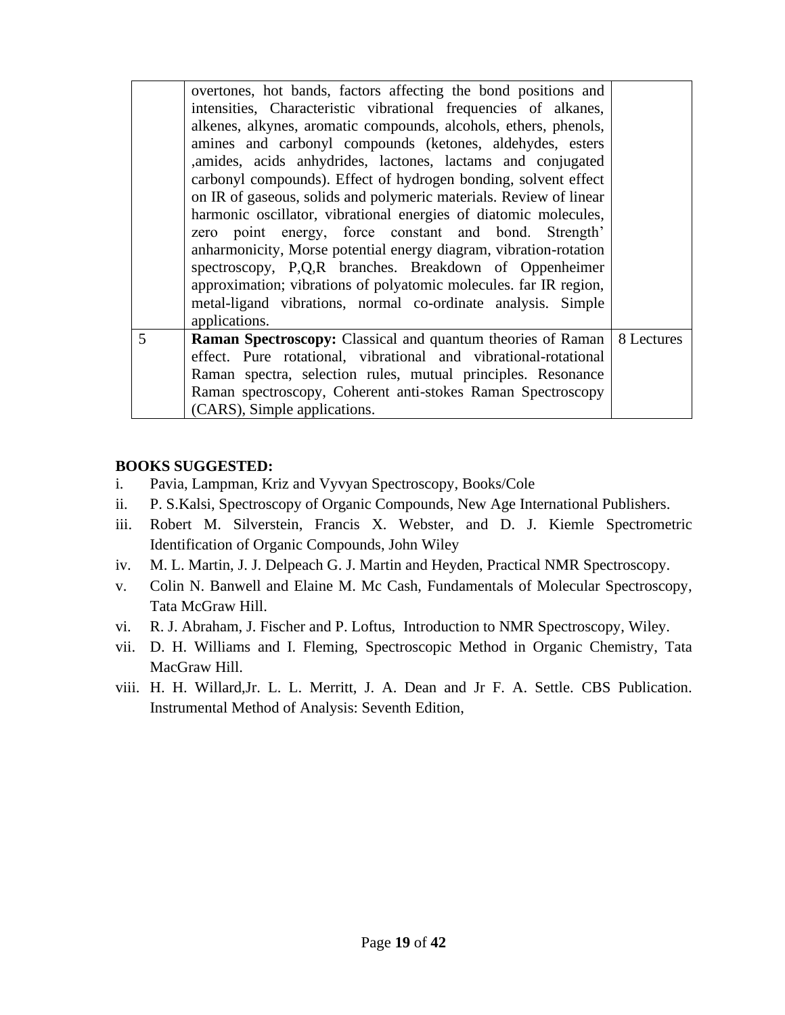|   | overtones, hot bands, factors affecting the bond positions and<br>intensities, Characteristic vibrational frequencies of alkanes,<br>alkenes, alkynes, aromatic compounds, alcohols, ethers, phenols,<br>amines and carbonyl compounds (ketones, aldehydes, esters<br>,amides, acids anhydrides, lactones, lactams and conjugated<br>carbonyl compounds). Effect of hydrogen bonding, solvent effect<br>on IR of gaseous, solids and polymeric materials. Review of linear<br>harmonic oscillator, vibrational energies of diatomic molecules,<br>zero point energy, force constant and bond. Strength'<br>anharmonicity, Morse potential energy diagram, vibration-rotation<br>spectroscopy, P,Q,R branches. Breakdown of Oppenheimer<br>approximation; vibrations of polyatomic molecules. far IR region,<br>metal-ligand vibrations, normal co-ordinate analysis. Simple<br>applications. |            |
|---|----------------------------------------------------------------------------------------------------------------------------------------------------------------------------------------------------------------------------------------------------------------------------------------------------------------------------------------------------------------------------------------------------------------------------------------------------------------------------------------------------------------------------------------------------------------------------------------------------------------------------------------------------------------------------------------------------------------------------------------------------------------------------------------------------------------------------------------------------------------------------------------------|------------|
| 5 | <b>Raman Spectroscopy:</b> Classical and quantum theories of Raman<br>effect. Pure rotational, vibrational and vibrational-rotational<br>Raman spectra, selection rules, mutual principles. Resonance<br>Raman spectroscopy, Coherent anti-stokes Raman Spectroscopy<br>(CARS), Simple applications.                                                                                                                                                                                                                                                                                                                                                                                                                                                                                                                                                                                         | 8 Lectures |

#### **BOOKS SUGGESTED:**

- i. Pavia, Lampman, Kriz and Vyvyan Spectroscopy, Books/Cole
- ii. P. S.Kalsi, Spectroscopy of Organic Compounds, New Age International Publishers.
- iii. Robert M. Silverstein, Francis X. Webster, and D. J. Kiemle Spectrometric Identification of Organic Compounds, John Wiley
- iv. M. L. Martin, J. J. Delpeach G. J. Martin and Heyden, Practical NMR Spectroscopy.
- v. Colin N. Banwell and Elaine M. Mc Cash, Fundamentals of Molecular Spectroscopy, Tata McGraw Hill.
- vi. R. J. Abraham, J. Fischer and P. Loftus, Introduction to NMR Spectroscopy, Wiley.
- vii. D. H. Williams and I. Fleming, Spectroscopic Method in Organic Chemistry, Tata MacGraw Hill.
- viii. H. H. Willard,Jr. L. L. Merritt, J. A. Dean and Jr F. A. Settle. CBS Publication. Instrumental Method of Analysis: Seventh Edition,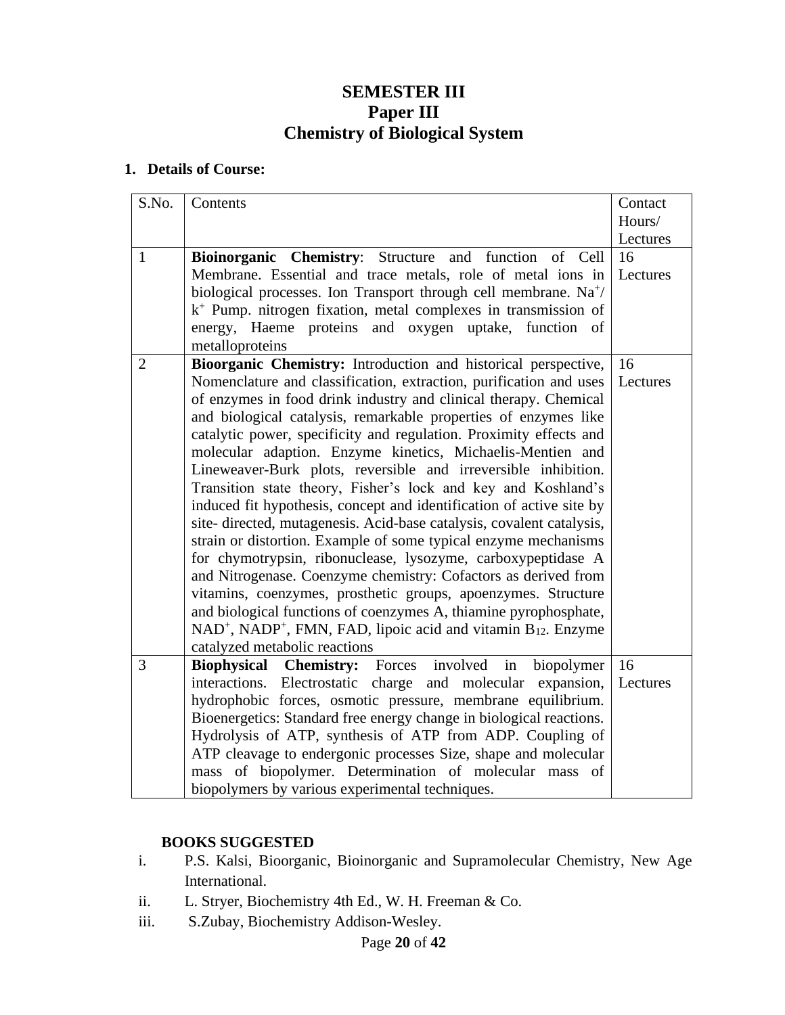## **SEMESTER III Paper III Chemistry of Biological System**

#### **1. Details of Course:**

| S.No.          | Contents                                                                                                                     | Contact  |
|----------------|------------------------------------------------------------------------------------------------------------------------------|----------|
|                |                                                                                                                              | Hours/   |
|                |                                                                                                                              | Lectures |
| $\mathbf{1}$   | Bioinorganic Chemistry: Structure and function<br>of Cell                                                                    | 16       |
|                | Membrane. Essential and trace metals, role of metal ions in                                                                  | Lectures |
|                | biological processes. Ion Transport through cell membrane. Na <sup>+/</sup>                                                  |          |
|                | $k^+$ Pump. nitrogen fixation, metal complexes in transmission of                                                            |          |
|                | energy, Haeme proteins and oxygen uptake, function of                                                                        |          |
|                | metalloproteins                                                                                                              |          |
| $\overline{2}$ | Bioorganic Chemistry: Introduction and historical perspective,                                                               | 16       |
|                | Nomenclature and classification, extraction, purification and uses                                                           | Lectures |
|                | of enzymes in food drink industry and clinical therapy. Chemical                                                             |          |
|                | and biological catalysis, remarkable properties of enzymes like                                                              |          |
|                | catalytic power, specificity and regulation. Proximity effects and                                                           |          |
|                | molecular adaption. Enzyme kinetics, Michaelis-Mentien and<br>Lineweaver-Burk plots, reversible and irreversible inhibition. |          |
|                | Transition state theory, Fisher's lock and key and Koshland's                                                                |          |
|                | induced fit hypothesis, concept and identification of active site by                                                         |          |
|                | site-directed, mutagenesis. Acid-base catalysis, covalent catalysis,                                                         |          |
|                | strain or distortion. Example of some typical enzyme mechanisms                                                              |          |
|                | for chymotrypsin, ribonuclease, lysozyme, carboxypeptidase A                                                                 |          |
|                | and Nitrogenase. Coenzyme chemistry: Cofactors as derived from                                                               |          |
|                | vitamins, coenzymes, prosthetic groups, apoenzymes. Structure                                                                |          |
|                | and biological functions of coenzymes A, thiamine pyrophosphate,                                                             |          |
|                | NAD <sup>+</sup> , NADP <sup>+</sup> , FMN, FAD, lipoic acid and vitamin B <sub>12</sub> . Enzyme                            |          |
|                | catalyzed metabolic reactions                                                                                                |          |
| $\overline{3}$ | in<br><b>Chemistry:</b> Forces involved<br><b>Biophysical</b><br>biopolymer                                                  | 16       |
|                | Electrostatic charge and molecular<br>interactions.<br>expansion,                                                            | Lectures |
|                | hydrophobic forces, osmotic pressure, membrane equilibrium.                                                                  |          |
|                | Bioenergetics: Standard free energy change in biological reactions.                                                          |          |
|                | Hydrolysis of ATP, synthesis of ATP from ADP. Coupling of                                                                    |          |
|                | ATP cleavage to endergonic processes Size, shape and molecular                                                               |          |
|                | mass of biopolymer. Determination of molecular mass of                                                                       |          |
|                | biopolymers by various experimental techniques.                                                                              |          |

#### **BOOKS SUGGESTED**

- i. P.S. Kalsi, Bioorganic, Bioinorganic and Supramolecular Chemistry, New Age International.
- ii. L. Stryer, Biochemistry 4th Ed., W. H. Freeman & Co.
- iii. S.Zubay, Biochemistry Addison-Wesley.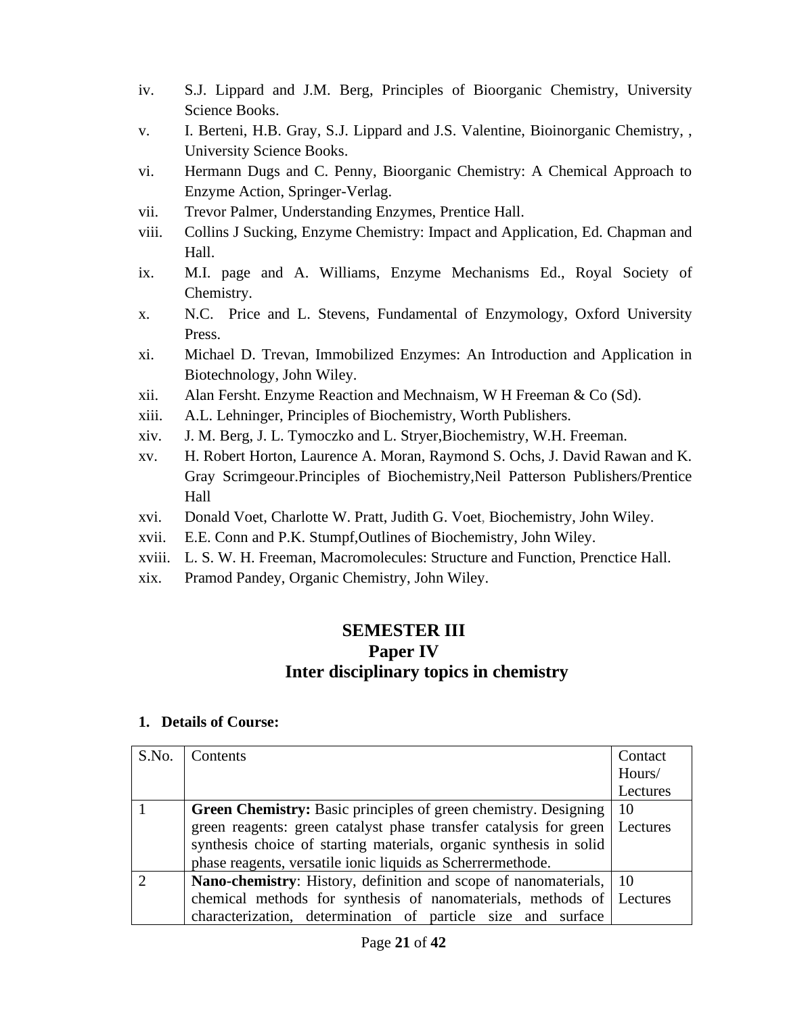- iv. S.J. Lippard and J.M. Berg, Principles of Bioorganic Chemistry, University Science Books.
- v. I. Berteni, H.B. Gray, S.J. Lippard and J.S. Valentine, Bioinorganic Chemistry, , University Science Books.
- vi. Hermann Dugs and C. Penny, Bioorganic Chemistry: A Chemical Approach to Enzyme Action, Springer-Verlag.
- vii. Trevor Palmer, Understanding Enzymes, Prentice Hall.
- viii. Collins J Sucking, Enzyme Chemistry: Impact and Application, Ed. Chapman and Hall.
- ix. M.I. page and A. Williams, Enzyme Mechanisms Ed., Royal Society of Chemistry.
- x. N.C. Price and L. Stevens, Fundamental of Enzymology, Oxford University Press.
- xi. Michael D. Trevan, Immobilized Enzymes: An Introduction and Application in Biotechnology, John Wiley.
- xii. Alan Fersht. Enzyme Reaction and Mechnaism, W H Freeman & Co (Sd).
- xiii. A.L. Lehninger, Principles of Biochemistry, Worth Publishers.
- xiv. J. M. Berg, J. L. Tymoczko and L. Stryer,Biochemistry, W.H. Freeman.
- xv. H. Robert Horton, Laurence A. Moran, Raymond S. Ochs, J. David Rawan and K. Gray Scrimgeour.Principles of Biochemistry,Neil Patterson Publishers/Prentice Hall
- xvi. Donald Voet, Charlotte W. Pratt, Judith G. Voet, Biochemistry, John Wiley.
- xvii. E.E. Conn and P.K. Stumpf,Outlines of Biochemistry, John Wiley.
- xviii. L. S. W. H. Freeman, Macromolecules: Structure and Function, Prenctice Hall.
- xix. Pramod Pandey, Organic Chemistry, John Wiley.

## **SEMESTER III Paper IV Inter disciplinary topics in chemistry**

| S.No. | Contents                                                               | Contact  |
|-------|------------------------------------------------------------------------|----------|
|       |                                                                        | Hours/   |
|       |                                                                        | Lectures |
|       | <b>Green Chemistry:</b> Basic principles of green chemistry. Designing | 10       |
|       | green reagents: green catalyst phase transfer catalysis for green      | Lectures |
|       | synthesis choice of starting materials, organic synthesis in solid     |          |
|       | phase reagents, versatile ionic liquids as Scherrermethode.            |          |
|       | Nano-chemistry: History, definition and scope of nanomaterials,        | -10      |
|       | chemical methods for synthesis of nanomaterials, methods of Lectures   |          |
|       | characterization, determination of particle size and surface           |          |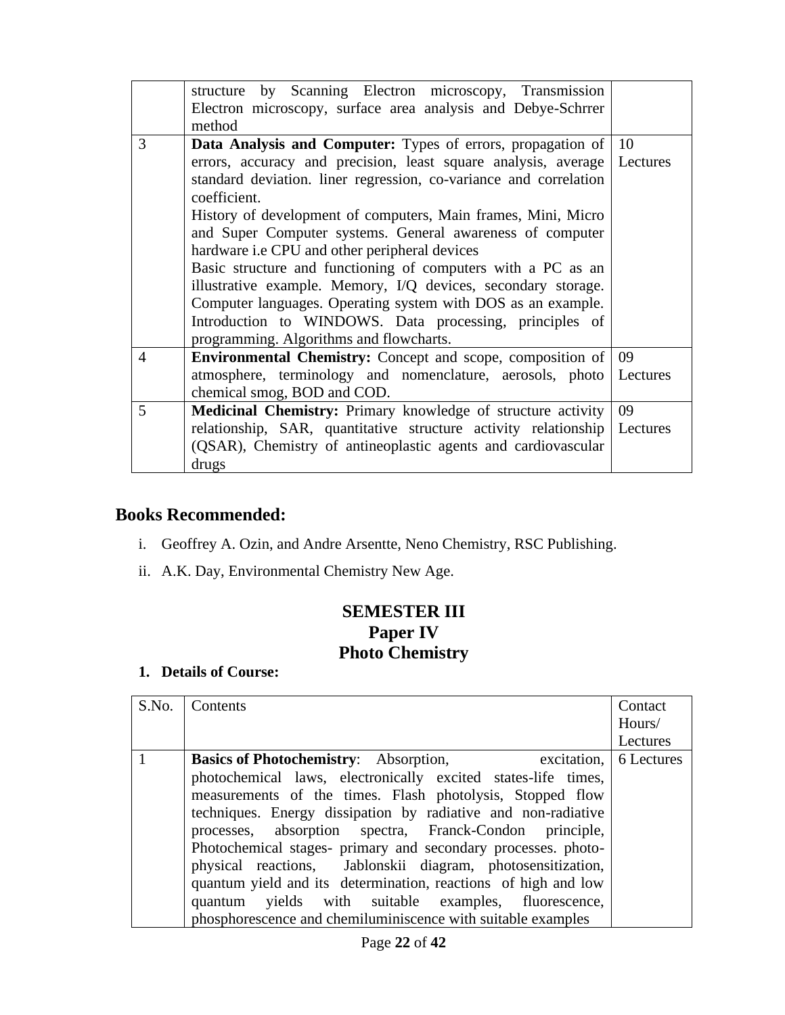|                | structure by Scanning Electron microscopy, Transmission                |          |
|----------------|------------------------------------------------------------------------|----------|
|                | Electron microscopy, surface area analysis and Debye-Schrrer<br>method |          |
|                |                                                                        |          |
| 3              | Data Analysis and Computer: Types of errors, propagation of            | 10       |
|                | errors, accuracy and precision, least square analysis, average         | Lectures |
|                | standard deviation. liner regression, co-variance and correlation      |          |
|                | coefficient.                                                           |          |
|                | History of development of computers, Main frames, Mini, Micro          |          |
|                | and Super Computer systems. General awareness of computer              |          |
|                | hardware i.e CPU and other peripheral devices                          |          |
|                | Basic structure and functioning of computers with a PC as an           |          |
|                | illustrative example. Memory, I/Q devices, secondary storage.          |          |
|                | Computer languages. Operating system with DOS as an example.           |          |
|                | Introduction to WINDOWS. Data processing, principles of                |          |
|                | programming. Algorithms and flowcharts.                                |          |
| $\overline{4}$ | <b>Environmental Chemistry:</b> Concept and scope, composition of      | 09       |
|                | atmosphere, terminology and nomenclature, aerosols, photo              | Lectures |
|                | chemical smog, BOD and COD.                                            |          |
| 5              | Medicinal Chemistry: Primary knowledge of structure activity           | 09       |
|                | relationship, SAR, quantitative structure activity relationship        | Lectures |
|                | (QSAR), Chemistry of antineoplastic agents and cardiovascular          |          |
|                | drugs                                                                  |          |

## **Books Recommended:**

- i. Geoffrey A. Ozin, and Andre Arsentte, Neno Chemistry, RSC Publishing.
- ii. A.K. Day, Environmental Chemistry New Age.

## **SEMESTER III Paper IV Photo Chemistry**

| S.No. | Contents                                                            | Contact  |
|-------|---------------------------------------------------------------------|----------|
|       |                                                                     | Hours/   |
|       |                                                                     | Lectures |
|       | <b>Basics of Photochemistry:</b> Absorption, excitation, 6 Lectures |          |
|       | photochemical laws, electronically excited states-life times,       |          |
|       | measurements of the times. Flash photolysis, Stopped flow           |          |
|       | techniques. Energy dissipation by radiative and non-radiative       |          |
|       | processes, absorption spectra, Franck-Condon principle,             |          |
|       | Photochemical stages- primary and secondary processes. photo-       |          |
|       | physical reactions, Jablonskii diagram, photosensitization,         |          |
|       | quantum yield and its determination, reactions of high and low      |          |
|       | quantum yields with suitable examples, fluorescence,                |          |
|       | phosphorescence and chemiluminiscence with suitable examples        |          |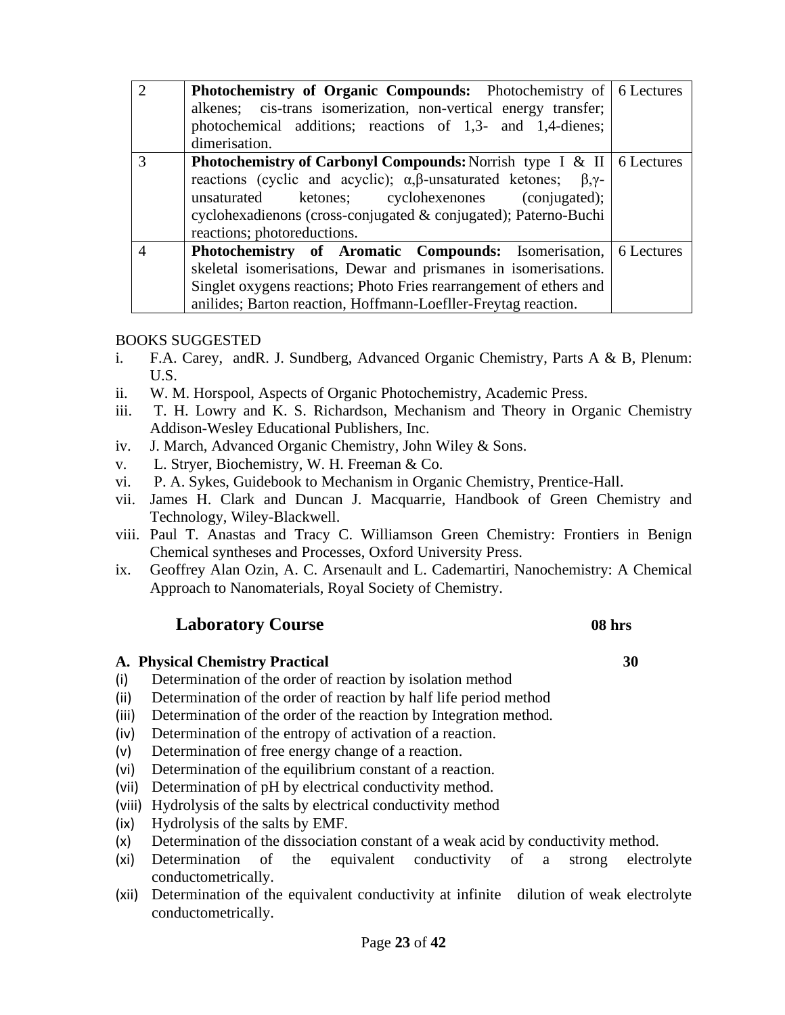| $\overline{2}$ | <b>Photochemistry of Organic Compounds:</b> Photochemistry of 6 Lectures<br>alkenes; cis-trans isomerization, non-vertical energy transfer;<br>photochemical additions; reactions of 1,3- and 1,4-dienes;<br>dimerisation.                                                                                                               |  |
|----------------|------------------------------------------------------------------------------------------------------------------------------------------------------------------------------------------------------------------------------------------------------------------------------------------------------------------------------------------|--|
| 3              | <b>Photochemistry of Carbonyl Compounds:</b> Norrish type I & II $\vert$ 6 Lectures<br>reactions (cyclic and acyclic); $\alpha, \beta$ -unsaturated ketones; $\beta, \gamma$ -<br>ketones; cyclohexenones (conjugated);<br>unsaturated<br>cyclohexadienons (cross-conjugated & conjugated); Paterno-Buchi<br>reactions; photoreductions. |  |
| $\overline{4}$ | <b>Photochemistry of Aromatic Compounds:</b> Isomerisation, 6 Lectures<br>skeletal isomerisations, Dewar and prismanes in isomerisations.<br>Singlet oxygens reactions; Photo Fries rearrangement of ethers and<br>anilides; Barton reaction, Hoffmann-Loefller-Freytag reaction.                                                        |  |

#### BOOKS SUGGESTED

- i. F.A. Carey, andR. J. Sundberg, Advanced Organic Chemistry, Parts A & B, Plenum: U.S.
- ii. W. M. Horspool, Aspects of Organic Photochemistry, Academic Press.
- iii. T. H. Lowry and K. S. Richardson, Mechanism and Theory in Organic Chemistry Addison-Wesley Educational Publishers, Inc.
- iv. J. March, Advanced Organic Chemistry, John Wiley & Sons.
- v. L. Stryer, Biochemistry, W. H. Freeman & Co.
- vi. P. A. Sykes, Guidebook to Mechanism in Organic Chemistry, Prentice-Hall.
- vii. James H. Clark and Duncan J. Macquarrie, Handbook of Green Chemistry and Technology, Wiley-Blackwell.
- viii. [Paul T. Anastas](http://www.google.co.in/search?tbo=p&tbm=bks&q=inauthor:%22Paul+T.+Anastas%22) and [Tracy C. Williamson](http://www.google.co.in/search?tbo=p&tbm=bks&q=inauthor:%22Tracy+C.+Williamson%22) Green Chemistry: Frontiers in Benign Chemical syntheses and Processes, Oxford University Press.
- ix. [Geoffrey Alan Ozin,](http://www.google.co.in/search?tbo=p&tbm=bks&q=inauthor:%22Geoffrey+Alan+Ozin%22) A. C. Arsenault and L. Cademartiri, Nanochemistry: A Chemical Approach to Nanomaterials, Royal Society of Chemistry.

#### **Laboratory Course 08 hrs**

#### **A. Physical Chemistry Practical 30**

- (i) Determination of the order of reaction by isolation method
- (ii) Determination of the order of reaction by half life period method
- (iii) Determination of the order of the reaction by Integration method.
- (iv) Determination of the entropy of activation of a reaction.
- (v) Determination of free energy change of a reaction.
- (vi) Determination of the equilibrium constant of a reaction.
- (vii) Determination of pH by electrical conductivity method.
- (viii) Hydrolysis of the salts by electrical conductivity method
- (ix) Hydrolysis of the salts by EMF.
- (x) Determination of the dissociation constant of a weak acid by conductivity method.
- (xi) Determination of the equivalent conductivity of a strong electrolyte conductometrically.
- (xii) Determination of the equivalent conductivity at infinite dilution of weak electrolyte conductometrically.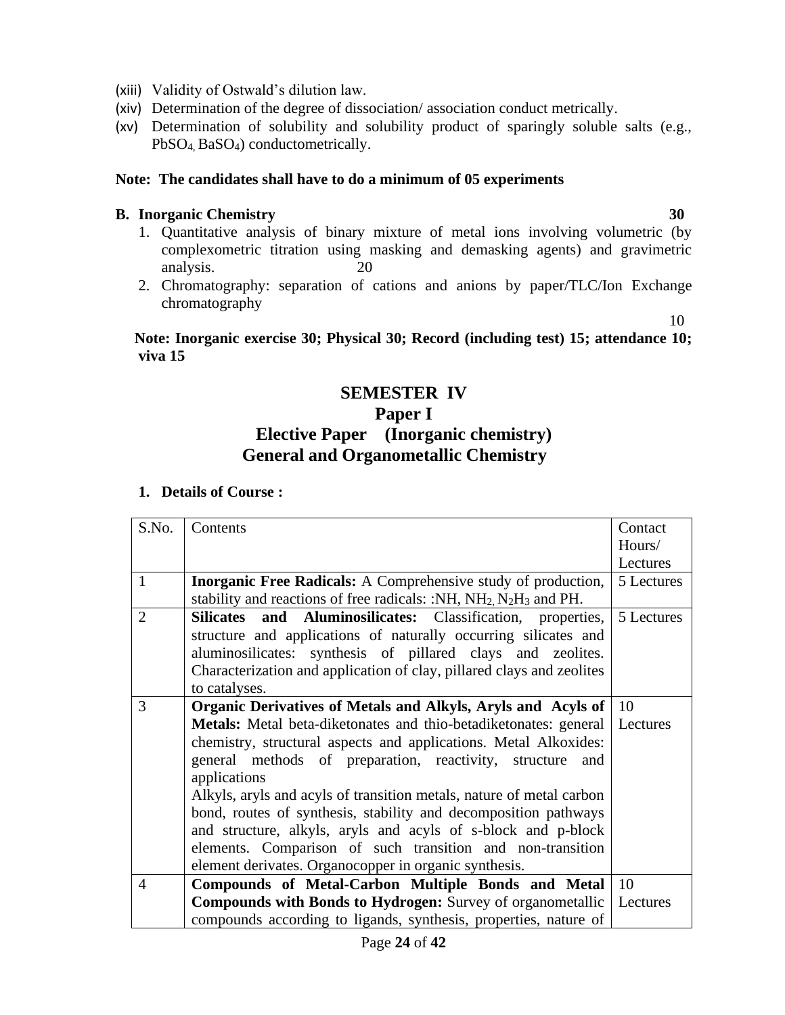- (xiii) Validity of Ostwald's dilution law.
- (xiv) Determination of the degree of dissociation/ association conduct metrically.
- (xv) Determination of solubility and solubility product of sparingly soluble salts (e.g., PbSO4, BaSO4) conductometrically.

#### **Note: The candidates shall have to do a minimum of 05 experiments**

#### **B. Inorganic Chemistry 30**

- 1. Quantitative analysis of binary mixture of metal ions involving volumetric (by complexometric titration using masking and demasking agents) and gravimetric analysis. 20
- 2. Chromatography: separation of cations and anions by paper/TLC/Ion Exchange chromatography

10

 **Note: Inorganic exercise 30; Physical 30; Record (including test) 15; attendance 10; viva 15**

#### **SEMESTER IV**

#### **Paper I**

## **Elective Paper (Inorganic chemistry) General and Organometallic Chemistry**

| S.No.          | Contents                                                                    | Contact    |
|----------------|-----------------------------------------------------------------------------|------------|
|                |                                                                             | Hours/     |
|                |                                                                             | Lectures   |
| $\mathbf{1}$   | <b>Inorganic Free Radicals:</b> A Comprehensive study of production,        | 5 Lectures |
|                | stability and reactions of free radicals: :NH, $NH2 N2H3$ and PH.           |            |
| $\overline{2}$ | Silicates and Aluminosilicates: Classification, properties,                 | 5 Lectures |
|                | structure and applications of naturally occurring silicates and             |            |
|                | aluminosilicates: synthesis of pillared clays and zeolites.                 |            |
|                | Characterization and application of clay, pillared clays and zeolites       |            |
|                | to catalyses.                                                               |            |
| 3              | Organic Derivatives of Metals and Alkyls, Aryls and Acyls of                | <b>10</b>  |
|                | Metals: Metal beta-diketonates and thio-betadiketonates: general   Lectures |            |
|                | chemistry, structural aspects and applications. Metal Alkoxides:            |            |
|                | general methods of preparation, reactivity, structure<br>and                |            |
|                | applications                                                                |            |
|                | Alkyls, aryls and acyls of transition metals, nature of metal carbon        |            |
|                | bond, routes of synthesis, stability and decomposition pathways             |            |
|                | and structure, alkyls, aryls and acyls of s-block and p-block               |            |
|                | elements. Comparison of such transition and non-transition                  |            |
|                | element derivates. Organocopper in organic synthesis.                       |            |
| 4              | Compounds of Metal-Carbon Multiple Bonds and Metal                          | 10         |
|                | <b>Compounds with Bonds to Hydrogen:</b> Survey of organometallic           | Lectures   |
|                | compounds according to ligands, synthesis, properties, nature of            |            |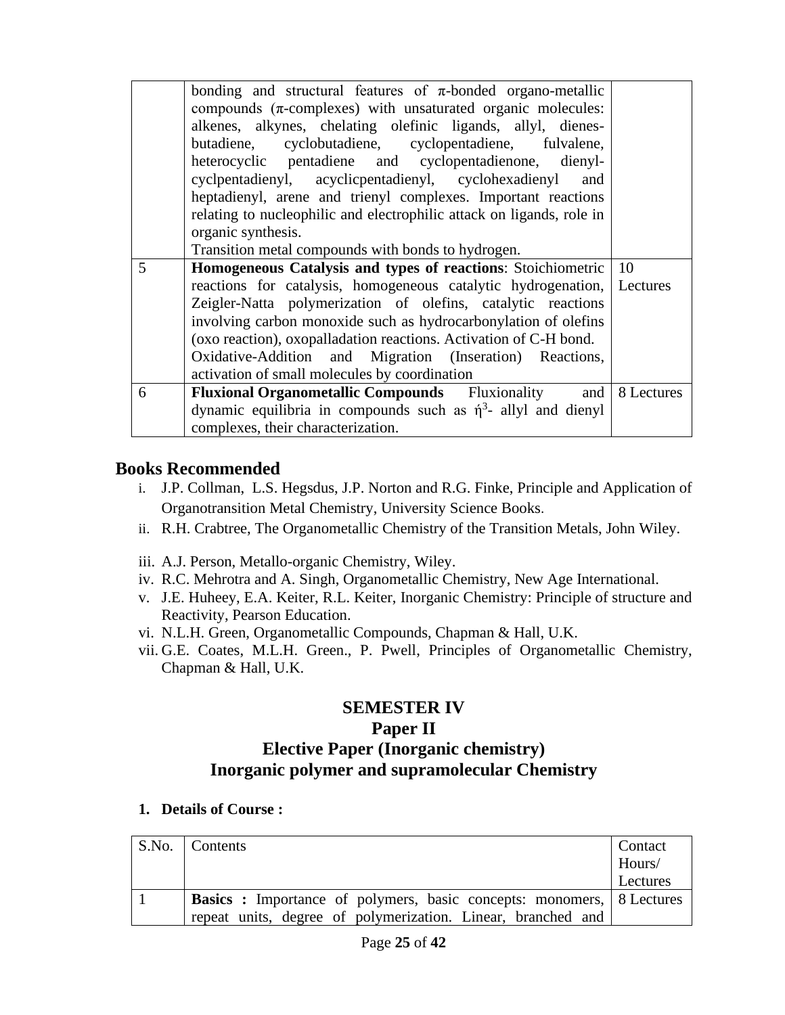|   | bonding and structural features of $\pi$ -bonded organo-metallic<br>compounds $(\pi$ -complexes) with unsaturated organic molecules:<br>alkenes, alkynes, chelating olefinic ligands, allyl, dienes-<br>cyclobutadiene, cyclopentadiene, fulvalene,<br>butadiene,<br>heterocyclic pentadiene and cyclopentadienone, dienyl-<br>cyclosited cyclosites acyclic pentalismyl, cyclosites and cyclosites and cyclosites and cyclosites and cyclosites and cyclosites and cyclosites and cyclosites and cyclosites and cyclosites and cyclosites and cyclosites and<br>and<br>heptadienyl, arene and trienyl complexes. Important reactions<br>relating to nucleophilic and electrophilic attack on ligands, role in<br>organic synthesis.<br>Transition metal compounds with bonds to hydrogen. |               |
|---|--------------------------------------------------------------------------------------------------------------------------------------------------------------------------------------------------------------------------------------------------------------------------------------------------------------------------------------------------------------------------------------------------------------------------------------------------------------------------------------------------------------------------------------------------------------------------------------------------------------------------------------------------------------------------------------------------------------------------------------------------------------------------------------------|---------------|
| 5 | Homogeneous Catalysis and types of reactions: Stoichiometric                                                                                                                                                                                                                                                                                                                                                                                                                                                                                                                                                                                                                                                                                                                               | <sup>10</sup> |
|   | reactions for catalysis, homogeneous catalytic hydrogenation, Lectures                                                                                                                                                                                                                                                                                                                                                                                                                                                                                                                                                                                                                                                                                                                     |               |
|   | Zeigler-Natta polymerization of olefins, catalytic reactions                                                                                                                                                                                                                                                                                                                                                                                                                                                                                                                                                                                                                                                                                                                               |               |
|   | involving carbon monoxide such as hydrocarbonylation of olefins                                                                                                                                                                                                                                                                                                                                                                                                                                                                                                                                                                                                                                                                                                                            |               |
|   | (oxo reaction), oxopalladation reactions. Activation of C-H bond.                                                                                                                                                                                                                                                                                                                                                                                                                                                                                                                                                                                                                                                                                                                          |               |
|   | Oxidative-Addition and Migration (Inseration) Reactions,                                                                                                                                                                                                                                                                                                                                                                                                                                                                                                                                                                                                                                                                                                                                   |               |
|   | activation of small molecules by coordination                                                                                                                                                                                                                                                                                                                                                                                                                                                                                                                                                                                                                                                                                                                                              |               |
| 6 | <b>Fluxional Organometallic Compounds</b> Fluxionality<br>and                                                                                                                                                                                                                                                                                                                                                                                                                                                                                                                                                                                                                                                                                                                              | 8 Lectures    |
|   | dynamic equilibria in compounds such as $\eta^3$ - allyl and dienyl                                                                                                                                                                                                                                                                                                                                                                                                                                                                                                                                                                                                                                                                                                                        |               |
|   | complexes, their characterization.                                                                                                                                                                                                                                                                                                                                                                                                                                                                                                                                                                                                                                                                                                                                                         |               |

### **Books Recommended**

- i. J.P. Collman, L.S. Hegsdus, J.P. Norton and R.G. Finke, Principle and Application of Organotransition Metal Chemistry, University Science Books.
- ii. R.H. Crabtree, The Organometallic Chemistry of the Transition Metals, John Wiley.
- iii. A.J. Person, Metallo-organic Chemistry, Wiley.
- iv. R.C. Mehrotra and A. Singh, Organometallic Chemistry, New Age International.
- v. J.E. Huheey, E.A. Keiter, R.L. Keiter, Inorganic Chemistry: Principle of structure and Reactivity, Pearson Education.
- vi. N.L.H. Green, Organometallic Compounds, Chapman & Hall, U.K.
- vii. G.E. Coates, M.L.H. Green., P. Pwell, Principles of Organometallic Chemistry, Chapman & Hall, U.K.

## **SEMESTER IV Paper II Elective Paper (Inorganic chemistry) Inorganic polymer and supramolecular Chemistry**

| S.No. Contents                                                               | Contact  |
|------------------------------------------------------------------------------|----------|
|                                                                              | Hours/   |
|                                                                              | Lectures |
| <b>Basics</b> : Importance of polymers, basic concepts: monomers, 8 Lectures |          |
| repeat units, degree of polymerization. Linear, branched and                 |          |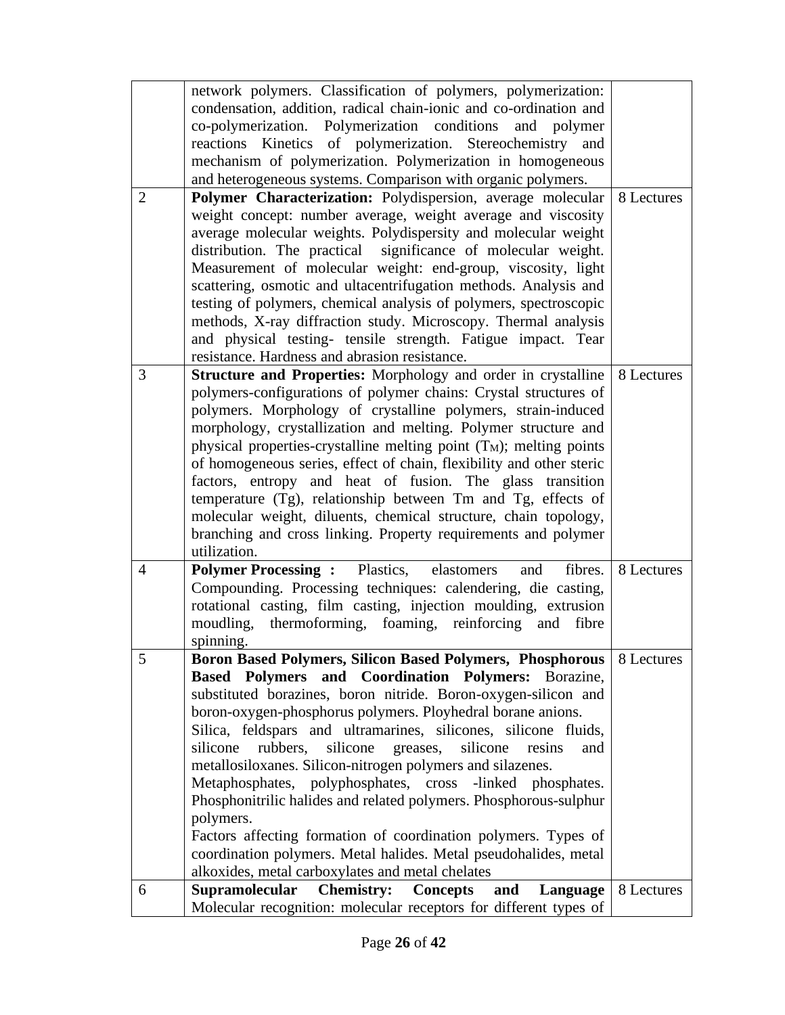|                | network polymers. Classification of polymers, polymerization:             |            |
|----------------|---------------------------------------------------------------------------|------------|
|                | condensation, addition, radical chain-ionic and co-ordination and         |            |
|                | co-polymerization. Polymerization conditions<br>and polymer               |            |
|                | reactions Kinetics of polymerization. Stereochemistry<br>and              |            |
|                | mechanism of polymerization. Polymerization in homogeneous                |            |
|                | and heterogeneous systems. Comparison with organic polymers.              |            |
| 2              | Polymer Characterization: Polydispersion, average molecular               | 8 Lectures |
|                | weight concept: number average, weight average and viscosity              |            |
|                | average molecular weights. Polydispersity and molecular weight            |            |
|                | distribution. The practical significance of molecular weight.             |            |
|                | Measurement of molecular weight: end-group, viscosity, light              |            |
|                |                                                                           |            |
|                | scattering, osmotic and ultacentrifugation methods. Analysis and          |            |
|                | testing of polymers, chemical analysis of polymers, spectroscopic         |            |
|                | methods, X-ray diffraction study. Microscopy. Thermal analysis            |            |
|                | and physical testing- tensile strength. Fatigue impact. Tear              |            |
|                | resistance. Hardness and abrasion resistance.                             |            |
| 3              | <b>Structure and Properties:</b> Morphology and order in crystalline      | 8 Lectures |
|                | polymers-configurations of polymer chains: Crystal structures of          |            |
|                | polymers. Morphology of crystalline polymers, strain-induced              |            |
|                | morphology, crystallization and melting. Polymer structure and            |            |
|                | physical properties-crystalline melting point $(T_M)$ ; melting points    |            |
|                | of homogeneous series, effect of chain, flexibility and other steric      |            |
|                | factors, entropy and heat of fusion. The glass transition                 |            |
|                | temperature (Tg), relationship between Tm and Tg, effects of              |            |
|                | molecular weight, diluents, chemical structure, chain topology,           |            |
|                | branching and cross linking. Property requirements and polymer            |            |
|                | utilization.                                                              |            |
| $\overline{4}$ | <b>Polymer Processing:</b> Plastics, elastomers<br>fibres.<br>and         | 8 Lectures |
|                | Compounding. Processing techniques: calendering, die casting,             |            |
|                | rotational casting, film casting, injection moulding, extrusion           |            |
|                | moudling, thermoforming, foaming, reinforcing<br>and fibre                |            |
|                |                                                                           |            |
|                | spinning.                                                                 |            |
| 5              | <b>Boron Based Polymers, Silicon Based Polymers, Phosphorous</b>          | 8 Lectures |
|                | Based Polymers and Coordination Polymers: Borazine,                       |            |
|                | substituted borazines, boron nitride. Boron-oxygen-silicon and            |            |
|                | boron-oxygen-phosphorus polymers. Ployhedral borane anions.               |            |
|                | Silica, feldspars and ultramarines, silicones, silicone fluids,           |            |
|                | rubbers,<br>silicone<br>silicone<br>silicone<br>greases,<br>resins<br>and |            |
|                | metallosiloxanes. Silicon-nitrogen polymers and silazenes.                |            |
|                | Metaphosphates, polyphosphates, cross -linked phosphates.                 |            |
|                | Phosphonitrilic halides and related polymers. Phosphorous-sulphur         |            |
|                | polymers.                                                                 |            |
|                | Factors affecting formation of coordination polymers. Types of            |            |
|                | coordination polymers. Metal halides. Metal pseudohalides, metal          |            |
|                | alkoxides, metal carboxylates and metal chelates                          |            |
| 6              | Supramolecular<br><b>Chemistry:</b><br>and<br><b>Concepts</b><br>Language | 8 Lectures |
|                | Molecular recognition: molecular receptors for different types of         |            |
|                |                                                                           |            |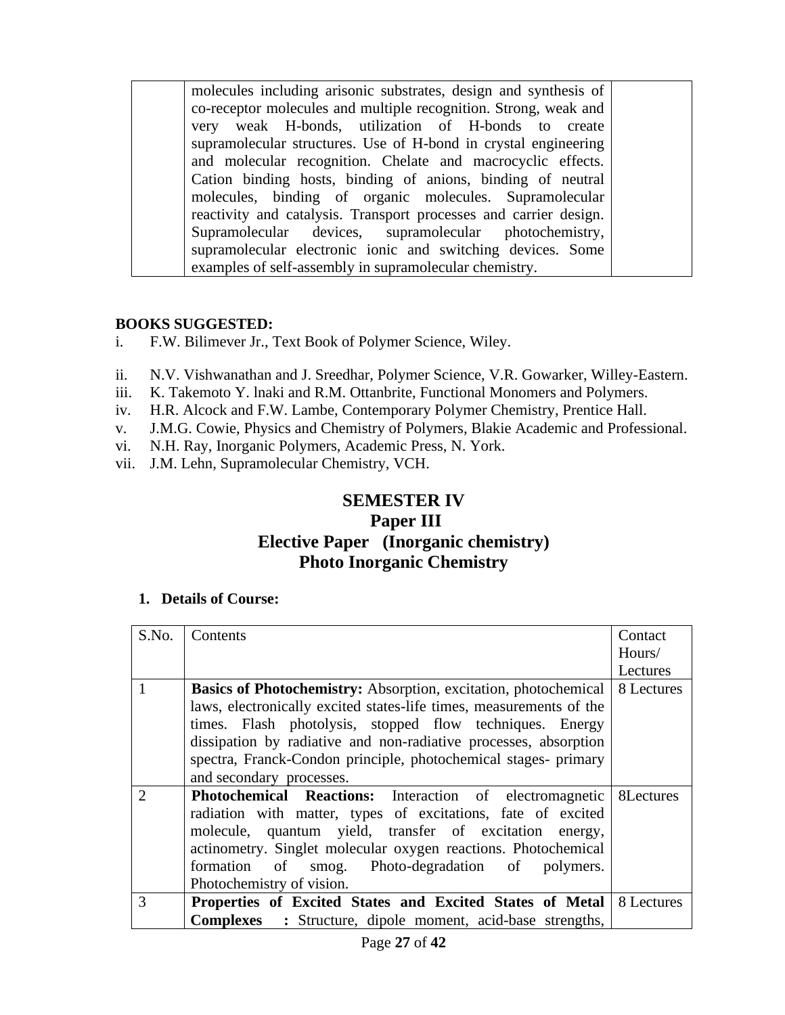molecules including arisonic substrates, design and synthesis of co-receptor molecules and multiple recognition. Strong, weak and very weak H-bonds, utilization of H-bonds to create supramolecular structures. Use of H-bond in crystal engineering and molecular recognition. Chelate and macrocyclic effects. Cation binding hosts, binding of anions, binding of neutral molecules, binding of organic molecules. Supramolecular reactivity and catalysis. Transport processes and carrier design. Supramolecular devices, supramolecular photochemistry, supramolecular electronic ionic and switching devices. Some examples of self-assembly in supramolecular chemistry.

#### **BOOKS SUGGESTED:**

- i. F.W. Bilimever Jr., Text Book of Polymer Science, Wiley.
- ii. N.V. Vishwanathan and J. Sreedhar, Polymer Science, V.R. Gowarker, Willey-Eastern.
- iii. K. Takemoto Y. lnaki and R.M. Ottanbrite, Functional Monomers and Polymers.
- iv. H.R. Alcock and F.W. Lambe, Contemporary Polymer Chemistry, Prentice Hall.
- v. J.M.G. Cowie, Physics and Chemistry of Polymers, Blakie Academic and Professional.
- vi. N.H. Ray, Inorganic Polymers, Academic Press, N. York.
- vii. J.M. Lehn, Supramolecular Chemistry, VCH.

## **SEMESTER IV Paper III Elective Paper (Inorganic chemistry) Photo Inorganic Chemistry**

| S.No.                       | Contents                                                                   | Contact    |
|-----------------------------|----------------------------------------------------------------------------|------------|
|                             |                                                                            | Hours/     |
|                             |                                                                            | Lectures   |
|                             | <b>Basics of Photochemistry:</b> Absorption, excitation, photochemical     | 8 Lectures |
|                             | laws, electronically excited states-life times, measurements of the        |            |
|                             | times. Flash photolysis, stopped flow techniques. Energy                   |            |
|                             | dissipation by radiative and non-radiative processes, absorption           |            |
|                             | spectra, Franck-Condon principle, photochemical stages- primary            |            |
|                             | and secondary processes.                                                   |            |
| $\mathcal{D}_{\mathcal{L}}$ | <b>Photochemical Reactions:</b> Interaction of electromagnetic   8Lectures |            |
|                             | radiation with matter, types of excitations, fate of excited               |            |
|                             | molecule, quantum yield, transfer of excitation energy,                    |            |
|                             | actinometry. Singlet molecular oxygen reactions. Photochemical             |            |
|                             | formation of smog. Photo-degradation of polymers.                          |            |
|                             | Photochemistry of vision.                                                  |            |
| 3                           | Properties of Excited States and Excited States of Metal   8 Lectures      |            |
|                             | <b>Complexes</b> : Structure, dipole moment, acid-base strengths,          |            |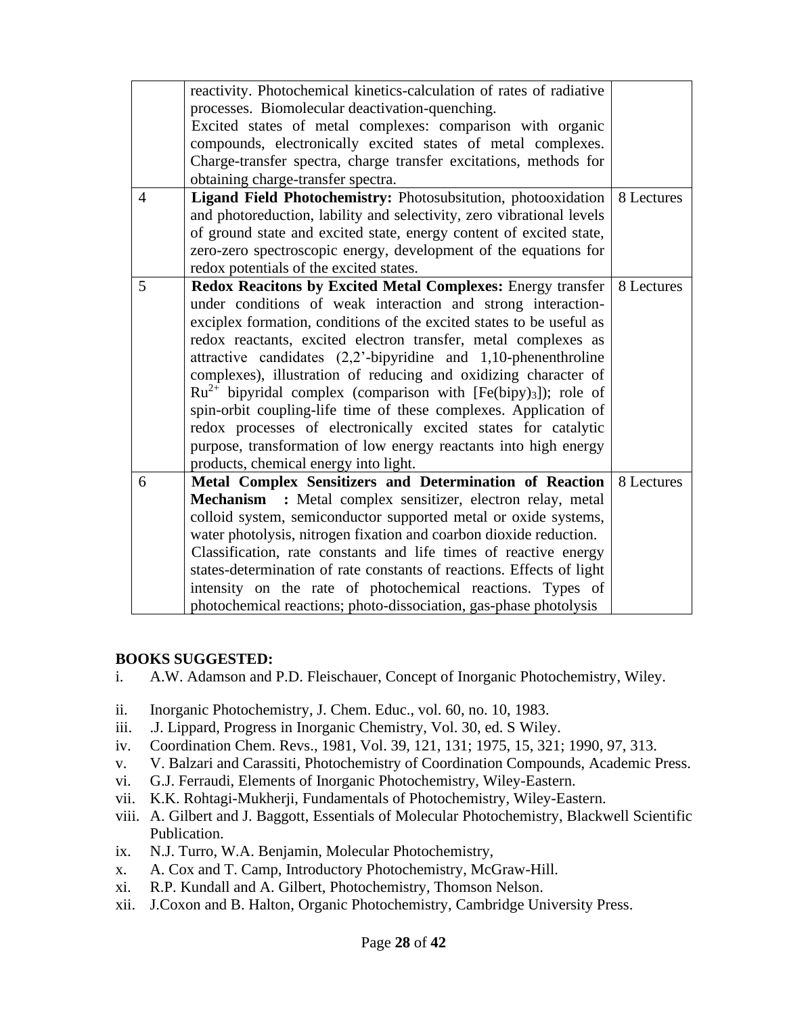|                | reactivity. Photochemical kinetics-calculation of rates of radiative<br>processes. Biomolecular deactivation-quenching.<br>Excited states of metal complexes: comparison with organic<br>compounds, electronically excited states of metal complexes.<br>Charge-transfer spectra, charge transfer excitations, methods for |            |
|----------------|----------------------------------------------------------------------------------------------------------------------------------------------------------------------------------------------------------------------------------------------------------------------------------------------------------------------------|------------|
|                | obtaining charge-transfer spectra.                                                                                                                                                                                                                                                                                         |            |
| $\overline{4}$ | Ligand Field Photochemistry: Photosubsitution, photooxidation                                                                                                                                                                                                                                                              | 8 Lectures |
|                | and photoreduction, lability and selectivity, zero vibrational levels                                                                                                                                                                                                                                                      |            |
|                | of ground state and excited state, energy content of excited state,<br>zero-zero spectroscopic energy, development of the equations for                                                                                                                                                                                    |            |
|                | redox potentials of the excited states.                                                                                                                                                                                                                                                                                    |            |
| 5              | Redox Reacitons by Excited Metal Complexes: Energy transfer                                                                                                                                                                                                                                                                | 8 Lectures |
|                | under conditions of weak interaction and strong interaction-                                                                                                                                                                                                                                                               |            |
|                | exciplex formation, conditions of the excited states to be useful as                                                                                                                                                                                                                                                       |            |
|                | redox reactants, excited electron transfer, metal complexes as                                                                                                                                                                                                                                                             |            |
|                | attractive candidates $(2,2)$ -bipyridine and 1,10-phenenthroline                                                                                                                                                                                                                                                          |            |
|                | complexes), illustration of reducing and oxidizing character of                                                                                                                                                                                                                                                            |            |
|                | $Ru^{2+}$ bipyridal complex (comparison with [Fe(bipy) <sub>3</sub> ]); role of                                                                                                                                                                                                                                            |            |
|                | spin-orbit coupling-life time of these complexes. Application of                                                                                                                                                                                                                                                           |            |
|                | redox processes of electronically excited states for catalytic                                                                                                                                                                                                                                                             |            |
|                | purpose, transformation of low energy reactants into high energy                                                                                                                                                                                                                                                           |            |
|                | products, chemical energy into light.                                                                                                                                                                                                                                                                                      |            |
| 6              | Metal Complex Sensitizers and Determination of Reaction                                                                                                                                                                                                                                                                    | 8 Lectures |
|                | Mechanism : Metal complex sensitizer, electron relay, metal                                                                                                                                                                                                                                                                |            |
|                | colloid system, semiconductor supported metal or oxide systems,                                                                                                                                                                                                                                                            |            |
|                | water photolysis, nitrogen fixation and coarbon dioxide reduction.                                                                                                                                                                                                                                                         |            |
|                | Classification, rate constants and life times of reactive energy                                                                                                                                                                                                                                                           |            |
|                | states-determination of rate constants of reactions. Effects of light                                                                                                                                                                                                                                                      |            |
|                | intensity on the rate of photochemical reactions. Types of                                                                                                                                                                                                                                                                 |            |
|                | photochemical reactions; photo-dissociation, gas-phase photolysis                                                                                                                                                                                                                                                          |            |

#### **BOOKS SUGGESTED:**

- i. A.W. Adamson and P.D. Fleischauer, Concept of Inorganic Photochemistry, Wiley.
- ii. Inorganic Photochemistry, J. Chem. Educ., vol. 60, no. 10, 1983.
- iii. .J. Lippard, Progress in Inorganic Chemistry, Vol. 30, ed. S Wiley.
- iv. Coordination Chem. Revs., 1981, Vol. 39, 121, 131; 1975, 15, 321; 1990, 97, 313.
- v. V. Balzari and Carassiti, Photochemistry of Coordination Compounds, Academic Press.
- vi. G.J. Ferraudi, Elements of Inorganic Photochemistry, Wiley-Eastern.
- vii. K.K. Rohtagi-Mukherji, Fundamentals of Photochemistry, Wiley-Eastern.
- viii. A. Gilbert and J. Baggott, Essentials of Molecular Photochemistry, Blackwell Scientific Publication.
- ix. N.J. Turro, W.A. Benjamin, Molecular Photochemistry,
- x. A. Cox and T. Camp, Introductory Photochemistry, McGraw-Hill.
- xi. R.P. Kundall and A. Gilbert, Photochemistry, Thomson Nelson.
- xii. J.Coxon and B. Halton, Organic Photochemistry, Cambridge University Press.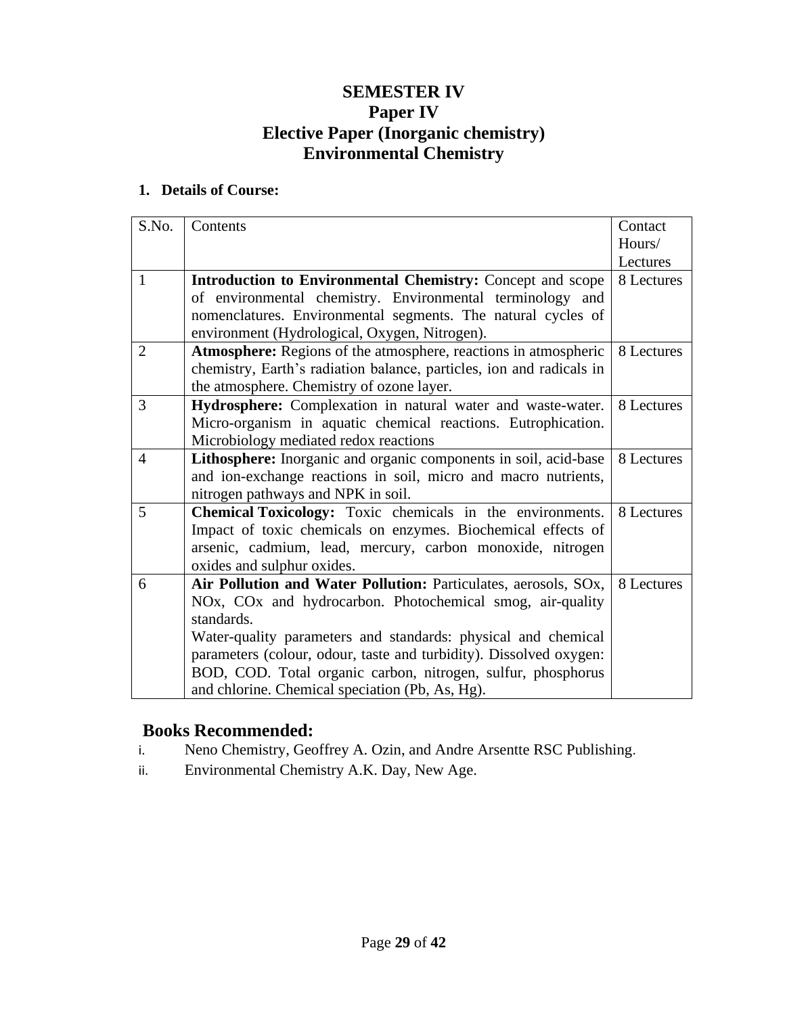## **SEMESTER IV Paper IV Elective Paper (Inorganic chemistry) Environmental Chemistry**

#### **1. Details of Course:**

| S.No.          | Contents                                                               | Contact    |
|----------------|------------------------------------------------------------------------|------------|
|                |                                                                        | Hours/     |
|                |                                                                        | Lectures   |
| $\mathbf{1}$   | <b>Introduction to Environmental Chemistry:</b> Concept and scope      | 8 Lectures |
|                | of environmental chemistry. Environmental terminology and              |            |
|                | nomenclatures. Environmental segments. The natural cycles of           |            |
|                | environment (Hydrological, Oxygen, Nitrogen).                          |            |
| $\overline{2}$ | <b>Atmosphere:</b> Regions of the atmosphere, reactions in atmospheric | 8 Lectures |
|                | chemistry, Earth's radiation balance, particles, ion and radicals in   |            |
|                | the atmosphere. Chemistry of ozone layer.                              |            |
| 3              | Hydrosphere: Complexation in natural water and waste-water.            | 8 Lectures |
|                | Micro-organism in aquatic chemical reactions. Eutrophication.          |            |
|                | Microbiology mediated redox reactions                                  |            |
| $\overline{4}$ | Lithosphere: Inorganic and organic components in soil, acid-base       | 8 Lectures |
|                | and ion-exchange reactions in soil, micro and macro nutrients,         |            |
|                | nitrogen pathways and NPK in soil.                                     |            |
| 5              | Chemical Toxicology: Toxic chemicals in the environments.              | 8 Lectures |
|                | Impact of toxic chemicals on enzymes. Biochemical effects of           |            |
|                | arsenic, cadmium, lead, mercury, carbon monoxide, nitrogen             |            |
|                | oxides and sulphur oxides.                                             |            |
| 6              | Air Pollution and Water Pollution: Particulates, aerosols, SOx,        | 8 Lectures |
|                | NOx, COx and hydrocarbon. Photochemical smog, air-quality              |            |
|                | standards.                                                             |            |
|                | Water-quality parameters and standards: physical and chemical          |            |
|                | parameters (colour, odour, taste and turbidity). Dissolved oxygen:     |            |
|                | BOD, COD. Total organic carbon, nitrogen, sulfur, phosphorus           |            |
|                | and chlorine. Chemical speciation (Pb, As, Hg).                        |            |

## **Books Recommended:**

- i. Neno Chemistry, Geoffrey A. Ozin, and Andre Arsentte RSC Publishing.
- ii. Environmental Chemistry A.K. Day, New Age.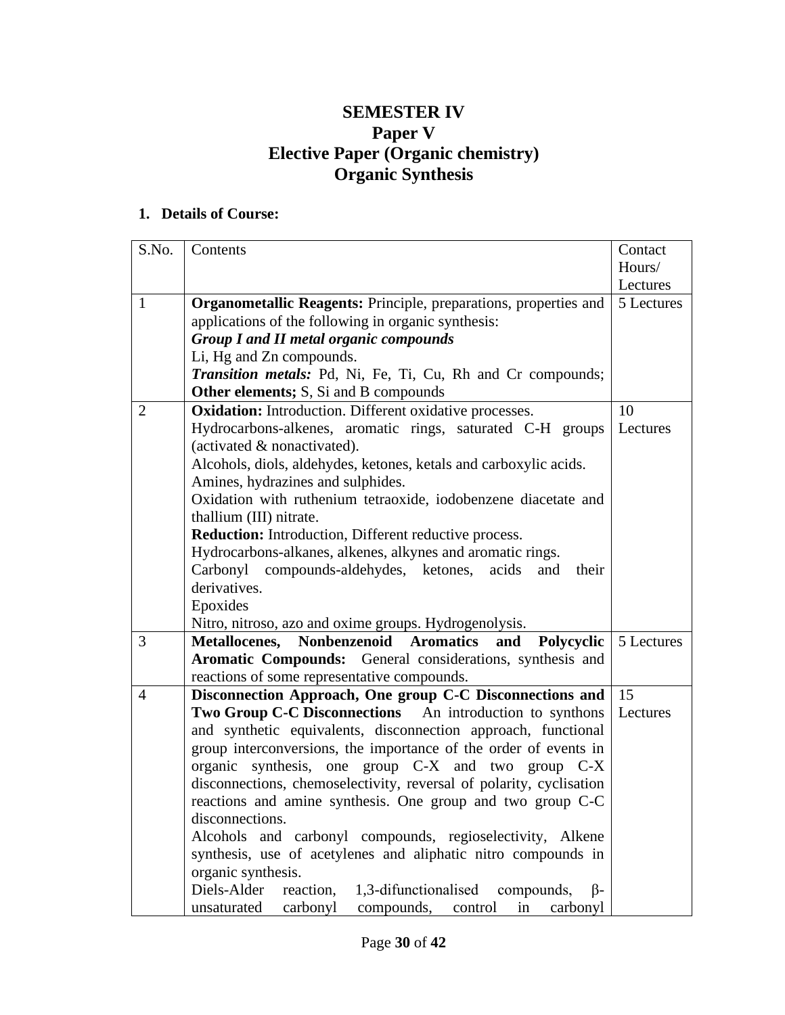## **SEMESTER IV Paper V Elective Paper (Organic chemistry) Organic Synthesis**

| S.No.          | Contents                                                                    | Contact    |
|----------------|-----------------------------------------------------------------------------|------------|
|                |                                                                             | Hours/     |
|                |                                                                             | Lectures   |
| $\mathbf{1}$   | Organometallic Reagents: Principle, preparations, properties and            | 5 Lectures |
|                | applications of the following in organic synthesis:                         |            |
|                | <b>Group I and II metal organic compounds</b>                               |            |
|                | Li, Hg and Zn compounds.                                                    |            |
|                | Transition metals: Pd, Ni, Fe, Ti, Cu, Rh and Cr compounds;                 |            |
|                | <b>Other elements;</b> S, Si and B compounds                                |            |
| 2              | <b>Oxidation:</b> Introduction. Different oxidative processes.              | 10         |
|                | Hydrocarbons-alkenes, aromatic rings, saturated C-H groups                  | Lectures   |
|                | (activated & nonactivated).                                                 |            |
|                | Alcohols, diols, aldehydes, ketones, ketals and carboxylic acids.           |            |
|                | Amines, hydrazines and sulphides.                                           |            |
|                | Oxidation with ruthenium tetraoxide, iodobenzene diacetate and              |            |
|                | thallium (III) nitrate.                                                     |            |
|                | Reduction: Introduction, Different reductive process.                       |            |
|                | Hydrocarbons-alkanes, alkenes, alkynes and aromatic rings.                  |            |
|                | Carbonyl compounds-aldehydes, ketones,<br>acids<br>and<br>their             |            |
|                | derivatives.                                                                |            |
|                | Epoxides                                                                    |            |
|                | Nitro, nitroso, azo and oxime groups. Hydrogenolysis.                       |            |
| 3              | Metallocenes, Nonbenzenoid Aromatics<br>and<br>Polycyclic                   | 5 Lectures |
|                | Aromatic Compounds: General considerations, synthesis and                   |            |
|                | reactions of some representative compounds.                                 |            |
| $\overline{4}$ | Disconnection Approach, One group C-C Disconnections and                    | 15         |
|                | Two Group C-C Disconnections An introduction to synthons                    | Lectures   |
|                | and synthetic equivalents, disconnection approach, functional               |            |
|                | group interconversions, the importance of the order of events in            |            |
|                | organic synthesis, one group C-X and two group C-X                          |            |
|                | disconnections, chemoselectivity, reversal of polarity, cyclisation         |            |
|                | reactions and amine synthesis. One group and two group C-C                  |            |
|                | disconnections.                                                             |            |
|                | Alcohols and carbonyl compounds, regioselectivity, Alkene                   |            |
|                | synthesis, use of acetylenes and aliphatic nitro compounds in               |            |
|                | organic synthesis.                                                          |            |
|                | Diels-Alder<br>1,3-difunctionalised<br>reaction,<br>compounds,<br>$\beta$ - |            |
|                | unsaturated<br>carbonyl<br>carbonyl<br>compounds,<br>in<br>control          |            |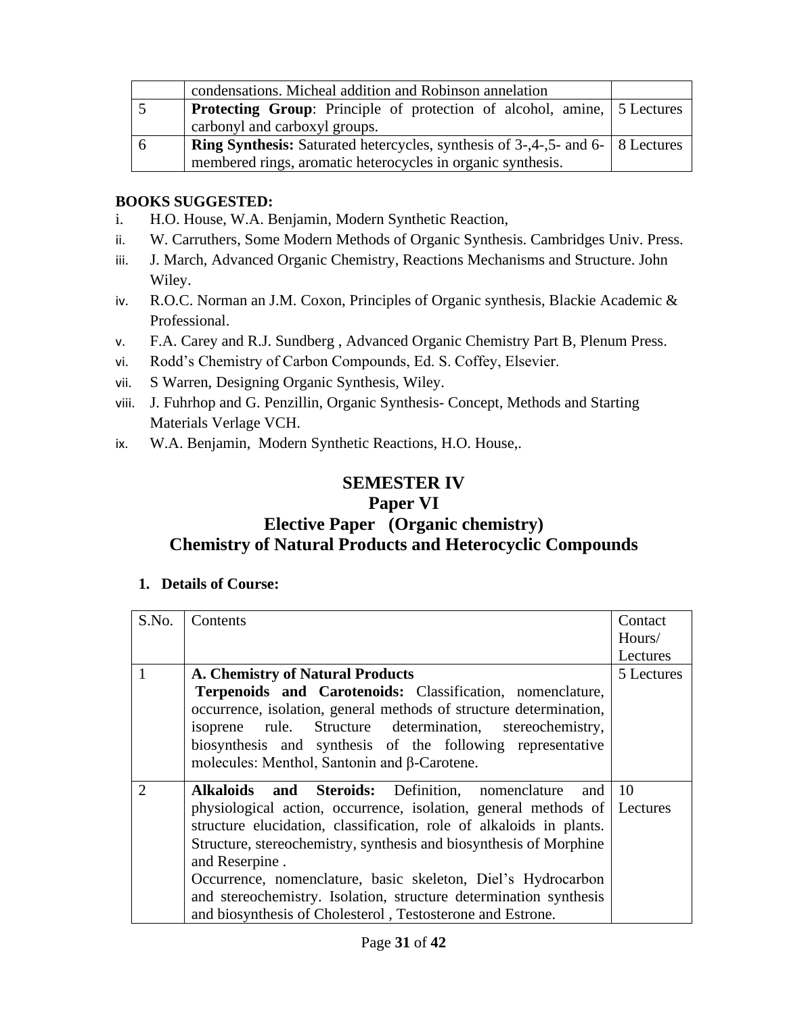| condensations. Micheal addition and Robinson annelation                                 |  |
|-----------------------------------------------------------------------------------------|--|
| <b>Protecting Group:</b> Principle of protection of alcohol, amine, 5 Lectures          |  |
| carbonyl and carboxyl groups.                                                           |  |
| <b>Ring Synthesis:</b> Saturated hetercycles, synthesis of 3-,4-,5- and 6-   8 Lectures |  |
| membered rings, aromatic heterocycles in organic synthesis.                             |  |

#### **BOOKS SUGGESTED:**

- i. H.O. House, W.A. Benjamin, Modern Synthetic Reaction,
- ii. W. Carruthers, Some Modern Methods of Organic Synthesis. Cambridges Univ. Press.
- iii. J. March, Advanced Organic Chemistry, Reactions Mechanisms and Structure. John Wiley.
- iv. R.O.C. Norman an J.M. Coxon, Principles of Organic synthesis, Blackie Academic & Professional.
- v. F.A. Carey and R.J. Sundberg , Advanced Organic Chemistry Part B, Plenum Press.
- vi. Rodd's Chemistry of Carbon Compounds, Ed. S. Coffey, Elsevier.
- vii. S Warren, Designing Organic Synthesis, Wiley.
- viii. J. Fuhrhop and G. Penzillin, Organic Synthesis- Concept, Methods and Starting Materials Verlage VCH.
- ix. W.A. Benjamin, Modern Synthetic Reactions, H.O. House,.

## **SEMESTER IV**

#### **Paper VI**

## **Elective Paper (Organic chemistry) Chemistry of Natural Products and Heterocyclic Compounds**

| S.No.          | Contents                                                                 | Contact    |
|----------------|--------------------------------------------------------------------------|------------|
|                |                                                                          | Hours/     |
|                |                                                                          | Lectures   |
|                | A. Chemistry of Natural Products                                         | 5 Lectures |
|                | Terpenoids and Carotenoids: Classification, nomenclature,                |            |
|                | occurrence, isolation, general methods of structure determination,       |            |
|                | isoprene rule. Structure determination, stereochemistry,                 |            |
|                | biosynthesis and synthesis of the following representative               |            |
|                | molecules: Menthol, Santonin and β-Carotene.                             |            |
| $\overline{2}$ | Alkaloids and Steroids: Definition, nomenclature<br>and                  | <b>10</b>  |
|                | physiological action, occurrence, isolation, general methods of Lectures |            |
|                | structure elucidation, classification, role of alkaloids in plants.      |            |
|                | Structure, stereochemistry, synthesis and biosynthesis of Morphine       |            |
|                | and Reserpine.                                                           |            |
|                | Occurrence, nomenclature, basic skeleton, Diel's Hydrocarbon             |            |
|                | and stereochemistry. Isolation, structure determination synthesis        |            |
|                | and biosynthesis of Cholesterol, Testosterone and Estrone.               |            |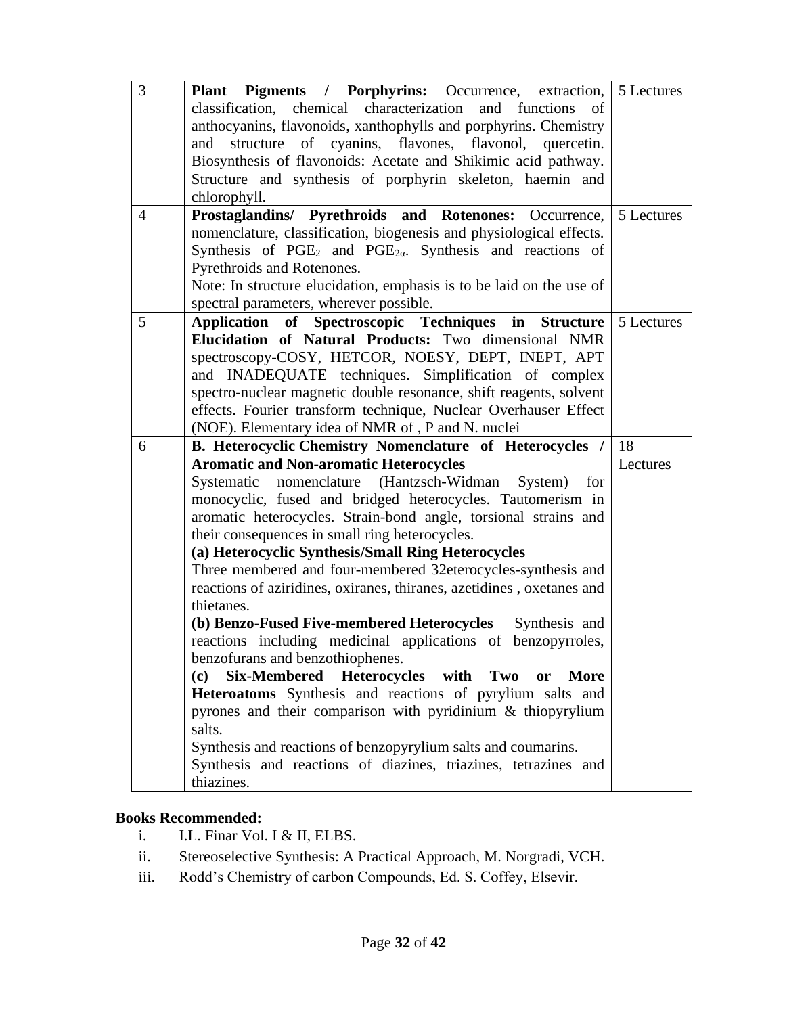| 3              | Plant Pigments / Porphyrins: Occurrence, extraction,                                               | 5 Lectures |
|----------------|----------------------------------------------------------------------------------------------------|------------|
|                | classification, chemical characterization and functions<br>of                                      |            |
|                | anthocyanins, flavonoids, xanthophylls and porphyrins. Chemistry                                   |            |
|                | structure of cyanins, flavones, flavonol, quercetin.<br>and                                        |            |
|                | Biosynthesis of flavonoids: Acetate and Shikimic acid pathway.                                     |            |
|                | Structure and synthesis of porphyrin skeleton, haemin and                                          |            |
|                | chlorophyll.                                                                                       |            |
| $\overline{4}$ | Prostaglandins/ Pyrethroids and Rotenones: Occurrence,                                             | 5 Lectures |
|                | nomenclature, classification, biogenesis and physiological effects.                                |            |
|                | Synthesis of PGE <sub>2</sub> and PGE <sub>2<math>\alpha</math></sub> . Synthesis and reactions of |            |
|                | Pyrethroids and Rotenones.                                                                         |            |
|                | Note: In structure elucidation, emphasis is to be laid on the use of                               |            |
|                | spectral parameters, wherever possible.                                                            |            |
| 5              | Application of Spectroscopic Techniques in Structure   5 Lectures                                  |            |
|                | Elucidation of Natural Products: Two dimensional NMR                                               |            |
|                | spectroscopy-COSY, HETCOR, NOESY, DEPT, INEPT, APT                                                 |            |
|                | and INADEQUATE techniques. Simplification of complex                                               |            |
|                | spectro-nuclear magnetic double resonance, shift reagents, solvent                                 |            |
|                | effects. Fourier transform technique, Nuclear Overhauser Effect                                    |            |
|                | (NOE). Elementary idea of NMR of, P and N. nuclei                                                  |            |
|                |                                                                                                    |            |
| 6              | B. Heterocyclic Chemistry Nomenclature of Heterocycles /                                           | 18         |
|                | <b>Aromatic and Non-aromatic Heterocycles</b>                                                      | Lectures   |
|                | Systematic nomenclature (Hantzsch-Widman<br>System)<br>for                                         |            |
|                | monocyclic, fused and bridged heterocycles. Tautomerism in                                         |            |
|                | aromatic heterocycles. Strain-bond angle, torsional strains and                                    |            |
|                | their consequences in small ring heterocycles.                                                     |            |
|                | (a) Heterocyclic Synthesis/Small Ring Heterocycles                                                 |            |
|                | Three membered and four-membered 32eterocycles-synthesis and                                       |            |
|                | reactions of aziridines, oxiranes, thiranes, azetidines, oxetanes and                              |            |
|                | thietanes.                                                                                         |            |
|                | (b) Benzo-Fused Five-membered Heterocycles<br>Synthesis and                                        |            |
|                | reactions including medicinal applications of benzopyrroles,                                       |            |
|                | benzofurans and benzothiophenes.                                                                   |            |
|                | Six-Membered Heterocycles with Two<br>(c)<br>More<br>or                                            |            |
|                | Heteroatoms Synthesis and reactions of pyrylium salts and                                          |            |
|                | pyrones and their comparison with pyridinium & thiopyrylium                                        |            |
|                | salts.                                                                                             |            |
|                | Synthesis and reactions of benzopyrylium salts and coumarins.                                      |            |
|                | Synthesis and reactions of diazines, triazines, tetrazines and<br>thiazines.                       |            |

## **Books Recommended:**

- i. I.L. Finar Vol. I & II, ELBS.
- ii. Stereoselective Synthesis: A Practical Approach, M. Norgradi, VCH.
- iii. Rodd's Chemistry of carbon Compounds, Ed. S. Coffey, Elsevir.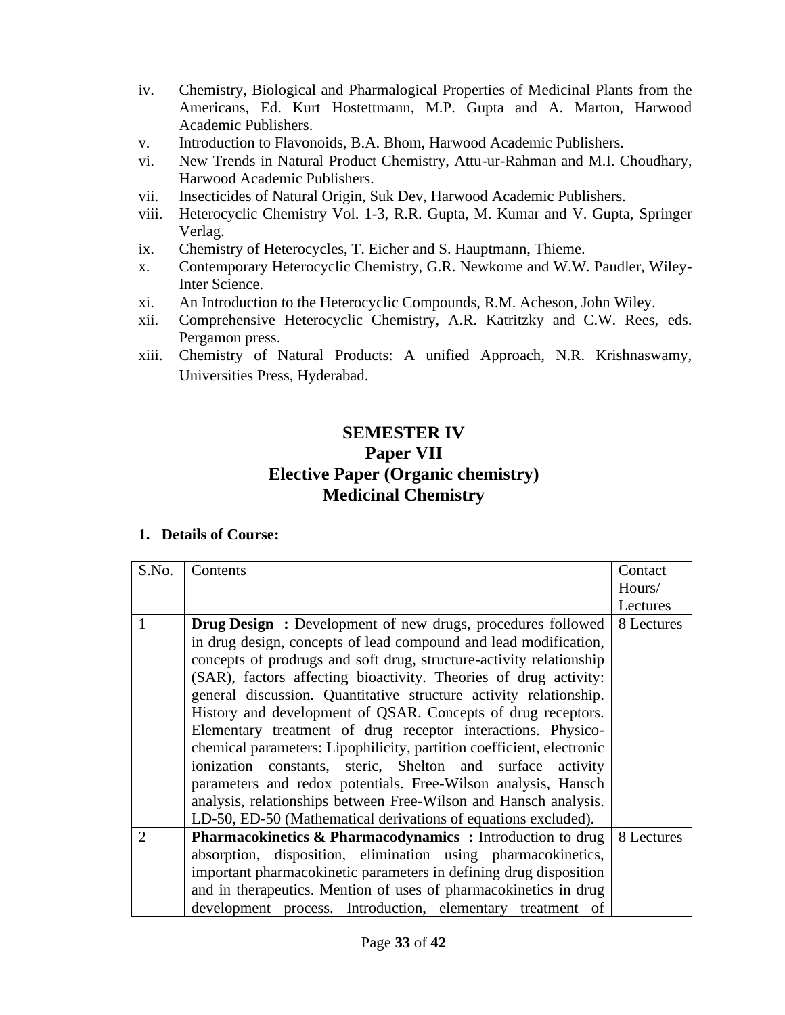- iv. Chemistry, Biological and Pharmalogical Properties of Medicinal Plants from the Americans, Ed. Kurt Hostettmann, M.P. Gupta and A. Marton, Harwood Academic Publishers.
- v. Introduction to Flavonoids, B.A. Bhom, Harwood Academic Publishers.
- vi. New Trends in Natural Product Chemistry, Attu-ur-Rahman and M.I. Choudhary, Harwood Academic Publishers.
- vii. Insecticides of Natural Origin, Suk Dev, Harwood Academic Publishers.
- viii. Heterocyclic Chemistry Vol. 1-3, R.R. Gupta, M. Kumar and V. Gupta, Springer Verlag.
- ix. Chemistry of Heterocycles, T. Eicher and S. Hauptmann, Thieme.
- x. Contemporary Heterocyclic Chemistry, G.R. Newkome and W.W. Paudler, Wiley-Inter Science.
- xi. An Introduction to the Heterocyclic Compounds, R.M. Acheson, John Wiley.
- xii. Comprehensive Heterocyclic Chemistry, A.R. Katritzky and C.W. Rees, eds. Pergamon press.
- xiii. Chemistry of Natural Products: A unified Approach, N.R. Krishnaswamy, Universities Press, Hyderabad.

## **SEMESTER IV Paper VII Elective Paper (Organic chemistry) Medicinal Chemistry**

| S.No.                       | Contents                                                              | Contact    |
|-----------------------------|-----------------------------------------------------------------------|------------|
|                             |                                                                       | Hours/     |
|                             |                                                                       | Lectures   |
| 1                           | <b>Drug Design:</b> Development of new drugs, procedures followed     | 8 Lectures |
|                             | in drug design, concepts of lead compound and lead modification,      |            |
|                             | concepts of prodrugs and soft drug, structure-activity relationship   |            |
|                             | (SAR), factors affecting bioactivity. Theories of drug activity:      |            |
|                             | general discussion. Quantitative structure activity relationship.     |            |
|                             | History and development of QSAR. Concepts of drug receptors.          |            |
|                             | Elementary treatment of drug receptor interactions. Physico-          |            |
|                             | chemical parameters: Lipophilicity, partition coefficient, electronic |            |
|                             | ionization constants, steric, Shelton and surface activity            |            |
|                             | parameters and redox potentials. Free-Wilson analysis, Hansch         |            |
|                             | analysis, relationships between Free-Wilson and Hansch analysis.      |            |
|                             | LD-50, ED-50 (Mathematical derivations of equations excluded).        |            |
| $\mathcal{D}_{\mathcal{L}}$ | Pharmacokinetics & Pharmacodynamics: Introduction to drug             | 8 Lectures |
|                             | absorption, disposition, elimination using pharmacokinetics,          |            |
|                             | important pharmacokinetic parameters in defining drug disposition     |            |
|                             | and in the rapeutics. Mention of uses of pharmacokinetics in drug     |            |
|                             | development process. Introduction, elementary treatment of            |            |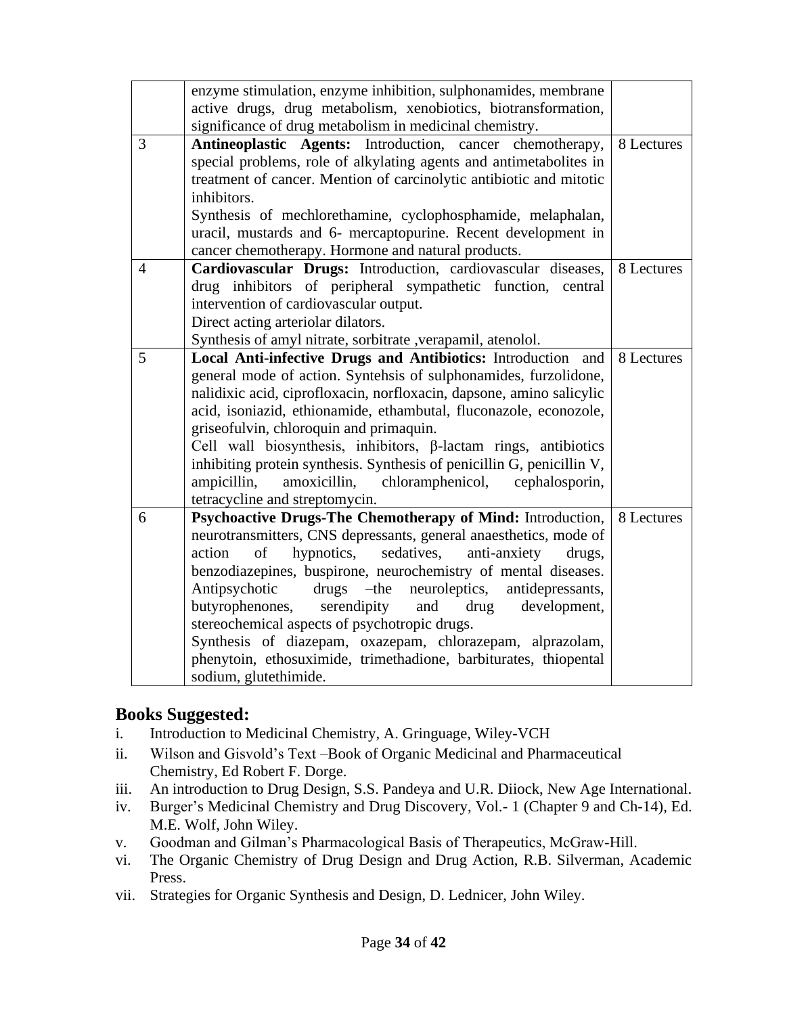|                | enzyme stimulation, enzyme inhibition, sulphonamides, membrane         |            |
|----------------|------------------------------------------------------------------------|------------|
|                | active drugs, drug metabolism, xenobiotics, biotransformation,         |            |
|                | significance of drug metabolism in medicinal chemistry.                |            |
| 3              | Antineoplastic Agents: Introduction, cancer chemotherapy,              | 8 Lectures |
|                | special problems, role of alkylating agents and antimetabolites in     |            |
|                | treatment of cancer. Mention of carcinolytic antibiotic and mitotic    |            |
|                | inhibitors.                                                            |            |
|                | Synthesis of mechlorethamine, cyclophosphamide, melaphalan,            |            |
|                | uracil, mustards and 6- mercaptopurine. Recent development in          |            |
|                | cancer chemotherapy. Hormone and natural products.                     |            |
| $\overline{4}$ | Cardiovascular Drugs: Introduction, cardiovascular diseases,           | 8 Lectures |
|                | drug inhibitors of peripheral sympathetic function, central            |            |
|                | intervention of cardiovascular output.                                 |            |
|                | Direct acting arteriolar dilators.                                     |            |
|                | Synthesis of amyl nitrate, sorbitrate , verapamil, atenolol.           |            |
| 5              | Local Anti-infective Drugs and Antibiotics: Introduction and           | 8 Lectures |
|                | general mode of action. Syntehsis of sulphonamides, furzolidone,       |            |
|                | nalidixic acid, ciprofloxacin, norfloxacin, dapsone, amino salicylic   |            |
|                | acid, isoniazid, ethionamide, ethambutal, fluconazole, econozole,      |            |
|                | griseofulvin, chloroquin and primaquin.                                |            |
|                | Cell wall biosynthesis, inhibitors, $\beta$ -lactam rings, antibiotics |            |
|                | inhibiting protein synthesis. Synthesis of penicillin G, penicillin V, |            |
|                | ampicillin,<br>amoxicillin,<br>chloramphenicol,<br>cephalosporin,      |            |
|                | tetracycline and streptomycin.                                         |            |
| 6              | Psychoactive Drugs-The Chemotherapy of Mind: Introduction,             | 8 Lectures |
|                | neurotransmitters, CNS depressants, general anaesthetics, mode of      |            |
|                | sedatives,<br>action<br>of<br>hypnotics,<br>anti-anxiety<br>drugs,     |            |
|                | benzodiazepines, buspirone, neurochemistry of mental diseases.         |            |
|                | Antipsychotic<br>$drugs$ -the<br>neuroleptics,<br>antidepressants,     |            |
|                | butyrophenones, serendipity<br>and<br>drug<br>development,             |            |
|                | stereochemical aspects of psychotropic drugs.                          |            |
|                | Synthesis of diazepam, oxazepam, chlorazepam, alprazolam,              |            |
|                | phenytoin, ethosuximide, trimethadione, barbiturates, thiopental       |            |
|                | sodium, glutethimide.                                                  |            |

## **Books Suggested:**

- i. Introduction to Medicinal Chemistry, A. Gringuage, Wiley-VCH
- ii. Wilson and Gisvold's Text –Book of Organic Medicinal and Pharmaceutical Chemistry, Ed Robert F. Dorge.
- iii. An introduction to Drug Design, S.S. Pandeya and U.R. Diiock, New Age International.
- iv. Burger's Medicinal Chemistry and Drug Discovery, Vol.- 1 (Chapter 9 and Ch-14), Ed. M.E. Wolf, John Wiley.
- v. Goodman and Gilman's Pharmacological Basis of Therapeutics, McGraw-Hill.
- vi. The Organic Chemistry of Drug Design and Drug Action, R.B. Silverman, Academic Press.
- vii. Strategies for Organic Synthesis and Design, D. Lednicer, John Wiley.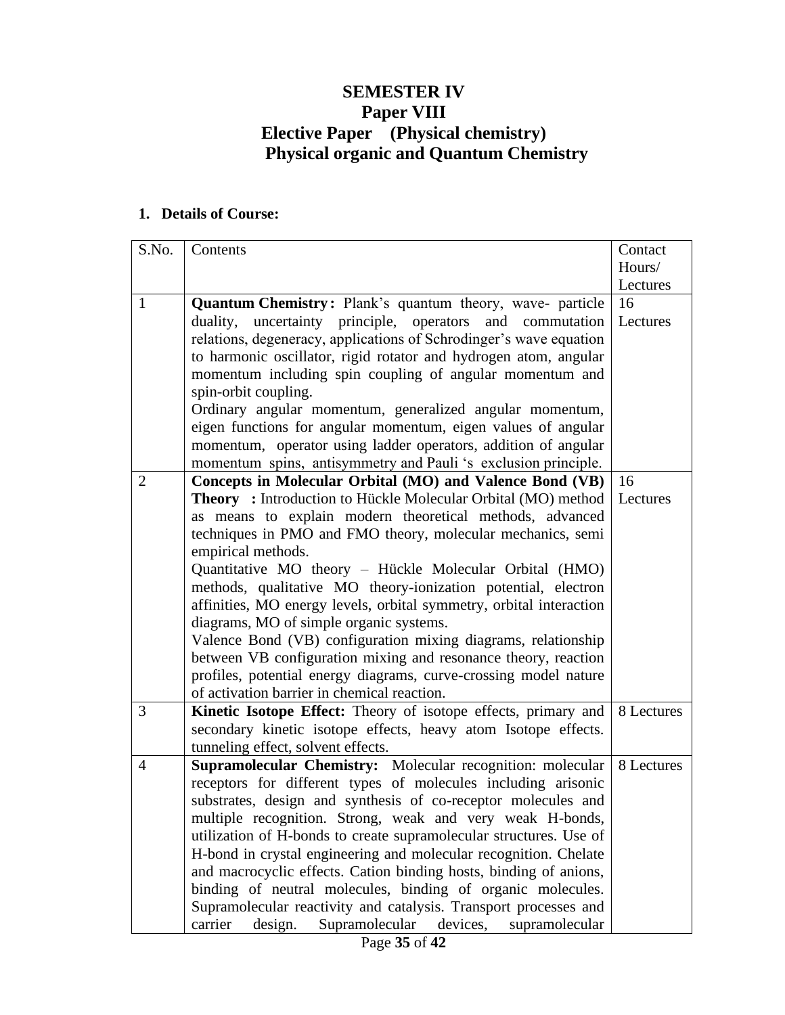## **SEMESTER IV Paper VIII Elective Paper (Physical chemistry) Physical organic and Quantum Chemistry**

| S.No.                    | Contents                                                                                                                                                                                                                                                                                                                                                                                                                                                                                                                                                                                                                                                                                                                                                                                                                                                                                                                                                                                                                                                                                                                                                                                                                                                                                                                                                                                                                                                                                                                                                                                                                                                                                                                                                                                                                                                                                                                                      | Contact                                    |
|--------------------------|-----------------------------------------------------------------------------------------------------------------------------------------------------------------------------------------------------------------------------------------------------------------------------------------------------------------------------------------------------------------------------------------------------------------------------------------------------------------------------------------------------------------------------------------------------------------------------------------------------------------------------------------------------------------------------------------------------------------------------------------------------------------------------------------------------------------------------------------------------------------------------------------------------------------------------------------------------------------------------------------------------------------------------------------------------------------------------------------------------------------------------------------------------------------------------------------------------------------------------------------------------------------------------------------------------------------------------------------------------------------------------------------------------------------------------------------------------------------------------------------------------------------------------------------------------------------------------------------------------------------------------------------------------------------------------------------------------------------------------------------------------------------------------------------------------------------------------------------------------------------------------------------------------------------------------------------------|--------------------------------------------|
|                          |                                                                                                                                                                                                                                                                                                                                                                                                                                                                                                                                                                                                                                                                                                                                                                                                                                                                                                                                                                                                                                                                                                                                                                                                                                                                                                                                                                                                                                                                                                                                                                                                                                                                                                                                                                                                                                                                                                                                               | Hours/                                     |
|                          |                                                                                                                                                                                                                                                                                                                                                                                                                                                                                                                                                                                                                                                                                                                                                                                                                                                                                                                                                                                                                                                                                                                                                                                                                                                                                                                                                                                                                                                                                                                                                                                                                                                                                                                                                                                                                                                                                                                                               | Lectures                                   |
| $\mathbf{1}$             | Quantum Chemistry: Plank's quantum theory, wave- particle                                                                                                                                                                                                                                                                                                                                                                                                                                                                                                                                                                                                                                                                                                                                                                                                                                                                                                                                                                                                                                                                                                                                                                                                                                                                                                                                                                                                                                                                                                                                                                                                                                                                                                                                                                                                                                                                                     | 16                                         |
|                          | duality, uncertainty principle, operators and commutation                                                                                                                                                                                                                                                                                                                                                                                                                                                                                                                                                                                                                                                                                                                                                                                                                                                                                                                                                                                                                                                                                                                                                                                                                                                                                                                                                                                                                                                                                                                                                                                                                                                                                                                                                                                                                                                                                     | Lectures                                   |
|                          | relations, degeneracy, applications of Schrodinger's wave equation                                                                                                                                                                                                                                                                                                                                                                                                                                                                                                                                                                                                                                                                                                                                                                                                                                                                                                                                                                                                                                                                                                                                                                                                                                                                                                                                                                                                                                                                                                                                                                                                                                                                                                                                                                                                                                                                            |                                            |
|                          | to harmonic oscillator, rigid rotator and hydrogen atom, angular                                                                                                                                                                                                                                                                                                                                                                                                                                                                                                                                                                                                                                                                                                                                                                                                                                                                                                                                                                                                                                                                                                                                                                                                                                                                                                                                                                                                                                                                                                                                                                                                                                                                                                                                                                                                                                                                              |                                            |
|                          | momentum including spin coupling of angular momentum and                                                                                                                                                                                                                                                                                                                                                                                                                                                                                                                                                                                                                                                                                                                                                                                                                                                                                                                                                                                                                                                                                                                                                                                                                                                                                                                                                                                                                                                                                                                                                                                                                                                                                                                                                                                                                                                                                      |                                            |
|                          |                                                                                                                                                                                                                                                                                                                                                                                                                                                                                                                                                                                                                                                                                                                                                                                                                                                                                                                                                                                                                                                                                                                                                                                                                                                                                                                                                                                                                                                                                                                                                                                                                                                                                                                                                                                                                                                                                                                                               |                                            |
|                          |                                                                                                                                                                                                                                                                                                                                                                                                                                                                                                                                                                                                                                                                                                                                                                                                                                                                                                                                                                                                                                                                                                                                                                                                                                                                                                                                                                                                                                                                                                                                                                                                                                                                                                                                                                                                                                                                                                                                               |                                            |
|                          |                                                                                                                                                                                                                                                                                                                                                                                                                                                                                                                                                                                                                                                                                                                                                                                                                                                                                                                                                                                                                                                                                                                                                                                                                                                                                                                                                                                                                                                                                                                                                                                                                                                                                                                                                                                                                                                                                                                                               |                                            |
|                          |                                                                                                                                                                                                                                                                                                                                                                                                                                                                                                                                                                                                                                                                                                                                                                                                                                                                                                                                                                                                                                                                                                                                                                                                                                                                                                                                                                                                                                                                                                                                                                                                                                                                                                                                                                                                                                                                                                                                               |                                            |
|                          |                                                                                                                                                                                                                                                                                                                                                                                                                                                                                                                                                                                                                                                                                                                                                                                                                                                                                                                                                                                                                                                                                                                                                                                                                                                                                                                                                                                                                                                                                                                                                                                                                                                                                                                                                                                                                                                                                                                                               |                                            |
|                          |                                                                                                                                                                                                                                                                                                                                                                                                                                                                                                                                                                                                                                                                                                                                                                                                                                                                                                                                                                                                                                                                                                                                                                                                                                                                                                                                                                                                                                                                                                                                                                                                                                                                                                                                                                                                                                                                                                                                               |                                            |
|                          |                                                                                                                                                                                                                                                                                                                                                                                                                                                                                                                                                                                                                                                                                                                                                                                                                                                                                                                                                                                                                                                                                                                                                                                                                                                                                                                                                                                                                                                                                                                                                                                                                                                                                                                                                                                                                                                                                                                                               |                                            |
|                          |                                                                                                                                                                                                                                                                                                                                                                                                                                                                                                                                                                                                                                                                                                                                                                                                                                                                                                                                                                                                                                                                                                                                                                                                                                                                                                                                                                                                                                                                                                                                                                                                                                                                                                                                                                                                                                                                                                                                               |                                            |
|                          |                                                                                                                                                                                                                                                                                                                                                                                                                                                                                                                                                                                                                                                                                                                                                                                                                                                                                                                                                                                                                                                                                                                                                                                                                                                                                                                                                                                                                                                                                                                                                                                                                                                                                                                                                                                                                                                                                                                                               |                                            |
|                          |                                                                                                                                                                                                                                                                                                                                                                                                                                                                                                                                                                                                                                                                                                                                                                                                                                                                                                                                                                                                                                                                                                                                                                                                                                                                                                                                                                                                                                                                                                                                                                                                                                                                                                                                                                                                                                                                                                                                               |                                            |
|                          |                                                                                                                                                                                                                                                                                                                                                                                                                                                                                                                                                                                                                                                                                                                                                                                                                                                                                                                                                                                                                                                                                                                                                                                                                                                                                                                                                                                                                                                                                                                                                                                                                                                                                                                                                                                                                                                                                                                                               |                                            |
|                          |                                                                                                                                                                                                                                                                                                                                                                                                                                                                                                                                                                                                                                                                                                                                                                                                                                                                                                                                                                                                                                                                                                                                                                                                                                                                                                                                                                                                                                                                                                                                                                                                                                                                                                                                                                                                                                                                                                                                               |                                            |
|                          |                                                                                                                                                                                                                                                                                                                                                                                                                                                                                                                                                                                                                                                                                                                                                                                                                                                                                                                                                                                                                                                                                                                                                                                                                                                                                                                                                                                                                                                                                                                                                                                                                                                                                                                                                                                                                                                                                                                                               |                                            |
|                          |                                                                                                                                                                                                                                                                                                                                                                                                                                                                                                                                                                                                                                                                                                                                                                                                                                                                                                                                                                                                                                                                                                                                                                                                                                                                                                                                                                                                                                                                                                                                                                                                                                                                                                                                                                                                                                                                                                                                               |                                            |
|                          |                                                                                                                                                                                                                                                                                                                                                                                                                                                                                                                                                                                                                                                                                                                                                                                                                                                                                                                                                                                                                                                                                                                                                                                                                                                                                                                                                                                                                                                                                                                                                                                                                                                                                                                                                                                                                                                                                                                                               |                                            |
|                          |                                                                                                                                                                                                                                                                                                                                                                                                                                                                                                                                                                                                                                                                                                                                                                                                                                                                                                                                                                                                                                                                                                                                                                                                                                                                                                                                                                                                                                                                                                                                                                                                                                                                                                                                                                                                                                                                                                                                               |                                            |
|                          |                                                                                                                                                                                                                                                                                                                                                                                                                                                                                                                                                                                                                                                                                                                                                                                                                                                                                                                                                                                                                                                                                                                                                                                                                                                                                                                                                                                                                                                                                                                                                                                                                                                                                                                                                                                                                                                                                                                                               |                                            |
|                          |                                                                                                                                                                                                                                                                                                                                                                                                                                                                                                                                                                                                                                                                                                                                                                                                                                                                                                                                                                                                                                                                                                                                                                                                                                                                                                                                                                                                                                                                                                                                                                                                                                                                                                                                                                                                                                                                                                                                               |                                            |
|                          |                                                                                                                                                                                                                                                                                                                                                                                                                                                                                                                                                                                                                                                                                                                                                                                                                                                                                                                                                                                                                                                                                                                                                                                                                                                                                                                                                                                                                                                                                                                                                                                                                                                                                                                                                                                                                                                                                                                                               |                                            |
|                          |                                                                                                                                                                                                                                                                                                                                                                                                                                                                                                                                                                                                                                                                                                                                                                                                                                                                                                                                                                                                                                                                                                                                                                                                                                                                                                                                                                                                                                                                                                                                                                                                                                                                                                                                                                                                                                                                                                                                               |                                            |
|                          |                                                                                                                                                                                                                                                                                                                                                                                                                                                                                                                                                                                                                                                                                                                                                                                                                                                                                                                                                                                                                                                                                                                                                                                                                                                                                                                                                                                                                                                                                                                                                                                                                                                                                                                                                                                                                                                                                                                                               |                                            |
|                          |                                                                                                                                                                                                                                                                                                                                                                                                                                                                                                                                                                                                                                                                                                                                                                                                                                                                                                                                                                                                                                                                                                                                                                                                                                                                                                                                                                                                                                                                                                                                                                                                                                                                                                                                                                                                                                                                                                                                               |                                            |
|                          |                                                                                                                                                                                                                                                                                                                                                                                                                                                                                                                                                                                                                                                                                                                                                                                                                                                                                                                                                                                                                                                                                                                                                                                                                                                                                                                                                                                                                                                                                                                                                                                                                                                                                                                                                                                                                                                                                                                                               |                                            |
|                          |                                                                                                                                                                                                                                                                                                                                                                                                                                                                                                                                                                                                                                                                                                                                                                                                                                                                                                                                                                                                                                                                                                                                                                                                                                                                                                                                                                                                                                                                                                                                                                                                                                                                                                                                                                                                                                                                                                                                               |                                            |
|                          |                                                                                                                                                                                                                                                                                                                                                                                                                                                                                                                                                                                                                                                                                                                                                                                                                                                                                                                                                                                                                                                                                                                                                                                                                                                                                                                                                                                                                                                                                                                                                                                                                                                                                                                                                                                                                                                                                                                                               |                                            |
|                          |                                                                                                                                                                                                                                                                                                                                                                                                                                                                                                                                                                                                                                                                                                                                                                                                                                                                                                                                                                                                                                                                                                                                                                                                                                                                                                                                                                                                                                                                                                                                                                                                                                                                                                                                                                                                                                                                                                                                               |                                            |
|                          |                                                                                                                                                                                                                                                                                                                                                                                                                                                                                                                                                                                                                                                                                                                                                                                                                                                                                                                                                                                                                                                                                                                                                                                                                                                                                                                                                                                                                                                                                                                                                                                                                                                                                                                                                                                                                                                                                                                                               |                                            |
|                          |                                                                                                                                                                                                                                                                                                                                                                                                                                                                                                                                                                                                                                                                                                                                                                                                                                                                                                                                                                                                                                                                                                                                                                                                                                                                                                                                                                                                                                                                                                                                                                                                                                                                                                                                                                                                                                                                                                                                               |                                            |
|                          |                                                                                                                                                                                                                                                                                                                                                                                                                                                                                                                                                                                                                                                                                                                                                                                                                                                                                                                                                                                                                                                                                                                                                                                                                                                                                                                                                                                                                                                                                                                                                                                                                                                                                                                                                                                                                                                                                                                                               |                                            |
|                          |                                                                                                                                                                                                                                                                                                                                                                                                                                                                                                                                                                                                                                                                                                                                                                                                                                                                                                                                                                                                                                                                                                                                                                                                                                                                                                                                                                                                                                                                                                                                                                                                                                                                                                                                                                                                                                                                                                                                               |                                            |
| 2<br>3<br>$\overline{4}$ | spin-orbit coupling.<br>Ordinary angular momentum, generalized angular momentum,<br>eigen functions for angular momentum, eigen values of angular<br>momentum, operator using ladder operators, addition of angular<br>momentum spins, antisymmetry and Pauli 's exclusion principle.<br>Concepts in Molecular Orbital (MO) and Valence Bond (VB)<br><b>Theory</b> : Introduction to Hückle Molecular Orbital (MO) method<br>as means to explain modern theoretical methods, advanced<br>techniques in PMO and FMO theory, molecular mechanics, semi<br>empirical methods.<br>Quantitative MO theory - Hückle Molecular Orbital (HMO)<br>methods, qualitative MO theory-ionization potential, electron<br>affinities, MO energy levels, orbital symmetry, orbital interaction<br>diagrams, MO of simple organic systems.<br>Valence Bond (VB) configuration mixing diagrams, relationship<br>between VB configuration mixing and resonance theory, reaction<br>profiles, potential energy diagrams, curve-crossing model nature<br>of activation barrier in chemical reaction.<br>Kinetic Isotope Effect: Theory of isotope effects, primary and<br>secondary kinetic isotope effects, heavy atom Isotope effects.<br>tunneling effect, solvent effects.<br>Supramolecular Chemistry: Molecular recognition: molecular<br>receptors for different types of molecules including arisonic<br>substrates, design and synthesis of co-receptor molecules and<br>multiple recognition. Strong, weak and very weak H-bonds,<br>utilization of H-bonds to create supramolecular structures. Use of<br>H-bond in crystal engineering and molecular recognition. Chelate<br>and macrocyclic effects. Cation binding hosts, binding of anions,<br>binding of neutral molecules, binding of organic molecules.<br>Supramolecular reactivity and catalysis. Transport processes and<br>Supramolecular<br>carrier<br>devices,<br>supramolecular<br>design. | 16<br>Lectures<br>8 Lectures<br>8 Lectures |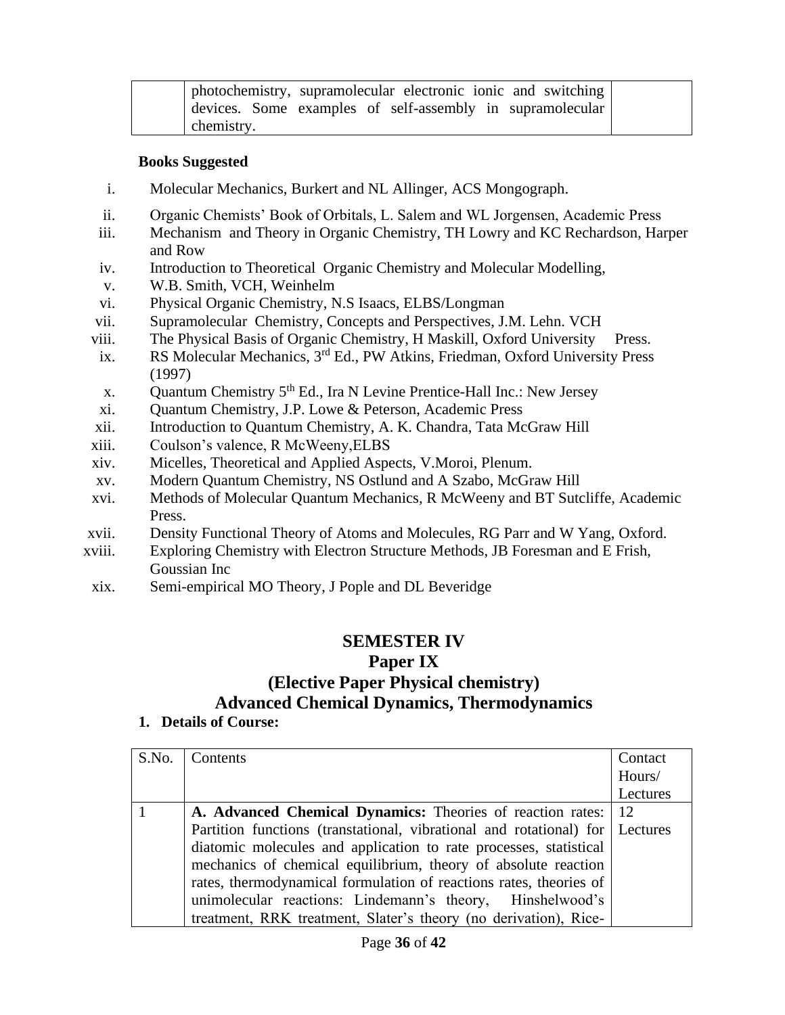| photochemistry, supramolecular electronic ionic and switching |  |
|---------------------------------------------------------------|--|
| devices. Some examples of self-assembly in supramolecular     |  |
| chemistry.                                                    |  |

#### **Books Suggested**

- i. Molecular Mechanics, Burkert and NL Allinger, ACS Mongograph.
- ii. Organic Chemists' Book of Orbitals, L. Salem and WL Jorgensen, Academic Press
- iii. Mechanism and Theory in Organic Chemistry, TH Lowry and KC Rechardson, Harper and Row
- iv. Introduction to Theoretical Organic Chemistry and Molecular Modelling,
- v. W.B. Smith, VCH, Weinhelm
- vi. Physical Organic Chemistry, N.S Isaacs, ELBS/Longman
- vii. Supramolecular Chemistry, Concepts and Perspectives, J.M. Lehn. VCH
- viii. The Physical Basis of Organic Chemistry, H Maskill, Oxford University Press.
- ix. RS Molecular Mechanics, 3rd Ed., PW Atkins, Friedman, Oxford University Press (1997)
- x. Quantum Chemistry 5th Ed., Ira N Levine Prentice-Hall Inc.: New Jersey
- xi. Quantum Chemistry, J.P. Lowe & Peterson, Academic Press
- xii. Introduction to Quantum Chemistry, A. K. Chandra, Tata McGraw Hill
- xiii. Coulson's valence, R McWeeny,ELBS
- xiv. Micelles, Theoretical and Applied Aspects, V.Moroi, Plenum.
- xv. Modern Quantum Chemistry, NS Ostlund and A Szabo, McGraw Hill
- xvi. Methods of Molecular Quantum Mechanics, R McWeeny and BT Sutcliffe, Academic Press.
- xvii. Density Functional Theory of Atoms and Molecules, RG Parr and W Yang, Oxford.
- xviii. Exploring Chemistry with Electron Structure Methods, JB Foresman and E Frish, Goussian Inc
- xix. Semi-empirical MO Theory, J Pople and DL Beveridge

# **SEMESTER IV**

## **Paper IX (Elective Paper Physical chemistry) Advanced Chemical Dynamics, Thermodynamics**

| S.No. | Contents                                                                       | Contact<br>Hours/ |
|-------|--------------------------------------------------------------------------------|-------------------|
|       |                                                                                | Lectures          |
|       |                                                                                |                   |
|       | A. Advanced Chemical Dynamics: Theories of reaction rates:                     | -12               |
|       | Partition functions (transtational, vibrational and rotational) for   Lectures |                   |
|       | diatomic molecules and application to rate processes, statistical              |                   |
|       | mechanics of chemical equilibrium, theory of absolute reaction                 |                   |
|       | rates, thermodynamical formulation of reactions rates, theories of             |                   |
|       | unimolecular reactions: Lindemann's theory, Hinshelwood's                      |                   |
|       | treatment, RRK treatment, Slater's theory (no derivation), Rice-               |                   |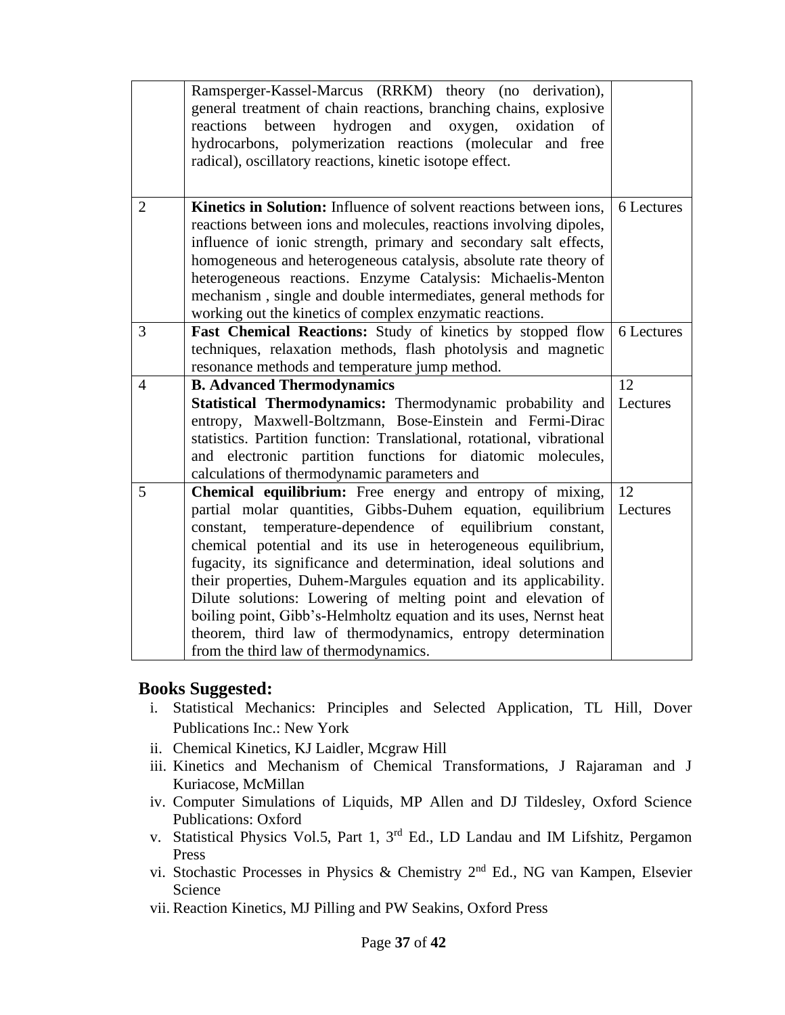|                | Ramsperger-Kassel-Marcus (RRKM) theory (no derivation),<br>general treatment of chain reactions, branching chains, explosive<br>and oxygen,<br>hydrogen<br>between<br>oxidation<br>reactions<br>of<br>hydrocarbons, polymerization reactions (molecular and free<br>radical), oscillatory reactions, kinetic isotope effect.                                                                                                                                                   |            |
|----------------|--------------------------------------------------------------------------------------------------------------------------------------------------------------------------------------------------------------------------------------------------------------------------------------------------------------------------------------------------------------------------------------------------------------------------------------------------------------------------------|------------|
| $\overline{2}$ | Kinetics in Solution: Influence of solvent reactions between ions,<br>reactions between ions and molecules, reactions involving dipoles,<br>influence of ionic strength, primary and secondary salt effects,<br>homogeneous and heterogeneous catalysis, absolute rate theory of<br>heterogeneous reactions. Enzyme Catalysis: Michaelis-Menton<br>mechanism, single and double intermediates, general methods for<br>working out the kinetics of complex enzymatic reactions. | 6 Lectures |
| 3              | <b>Fast Chemical Reactions:</b> Study of kinetics by stopped flow<br>techniques, relaxation methods, flash photolysis and magnetic<br>resonance methods and temperature jump method.                                                                                                                                                                                                                                                                                           | 6 Lectures |
| $\overline{4}$ | <b>B. Advanced Thermodynamics</b>                                                                                                                                                                                                                                                                                                                                                                                                                                              | 12         |
|                | Statistical Thermodynamics: Thermodynamic probability and<br>entropy, Maxwell-Boltzmann, Bose-Einstein and Fermi-Dirac<br>statistics. Partition function: Translational, rotational, vibrational<br>and electronic partition functions for diatomic molecules,<br>calculations of thermodynamic parameters and                                                                                                                                                                 | Lectures   |
| 5              | Chemical equilibrium: Free energy and entropy of mixing,                                                                                                                                                                                                                                                                                                                                                                                                                       | 12         |
|                | partial molar quantities, Gibbs-Duhem equation, equilibrium<br>constant, temperature-dependence of equilibrium constant,                                                                                                                                                                                                                                                                                                                                                       | Lectures   |
|                | chemical potential and its use in heterogeneous equilibrium,                                                                                                                                                                                                                                                                                                                                                                                                                   |            |
|                | fugacity, its significance and determination, ideal solutions and                                                                                                                                                                                                                                                                                                                                                                                                              |            |
|                | their properties, Duhem-Margules equation and its applicability.                                                                                                                                                                                                                                                                                                                                                                                                               |            |
|                | Dilute solutions: Lowering of melting point and elevation of                                                                                                                                                                                                                                                                                                                                                                                                                   |            |
|                | boiling point, Gibb's-Helmholtz equation and its uses, Nernst heat                                                                                                                                                                                                                                                                                                                                                                                                             |            |
|                | theorem, third law of thermodynamics, entropy determination<br>from the third law of thermodynamics.                                                                                                                                                                                                                                                                                                                                                                           |            |
|                |                                                                                                                                                                                                                                                                                                                                                                                                                                                                                |            |

### **Books Suggested:**

- i. Statistical Mechanics: Principles and Selected Application, TL Hill, Dover Publications Inc.: New York
- ii. Chemical Kinetics, KJ Laidler, Mcgraw Hill
- iii. Kinetics and Mechanism of Chemical Transformations, J Rajaraman and J Kuriacose, McMillan
- iv. Computer Simulations of Liquids, MP Allen and DJ Tildesley, Oxford Science Publications: Oxford
- v. Statistical Physics Vol.5, Part 1, 3rd Ed., LD Landau and IM Lifshitz, Pergamon Press
- vi. Stochastic Processes in Physics & Chemistry 2nd Ed., NG van Kampen, Elsevier Science
- vii. Reaction Kinetics, MJ Pilling and PW Seakins, Oxford Press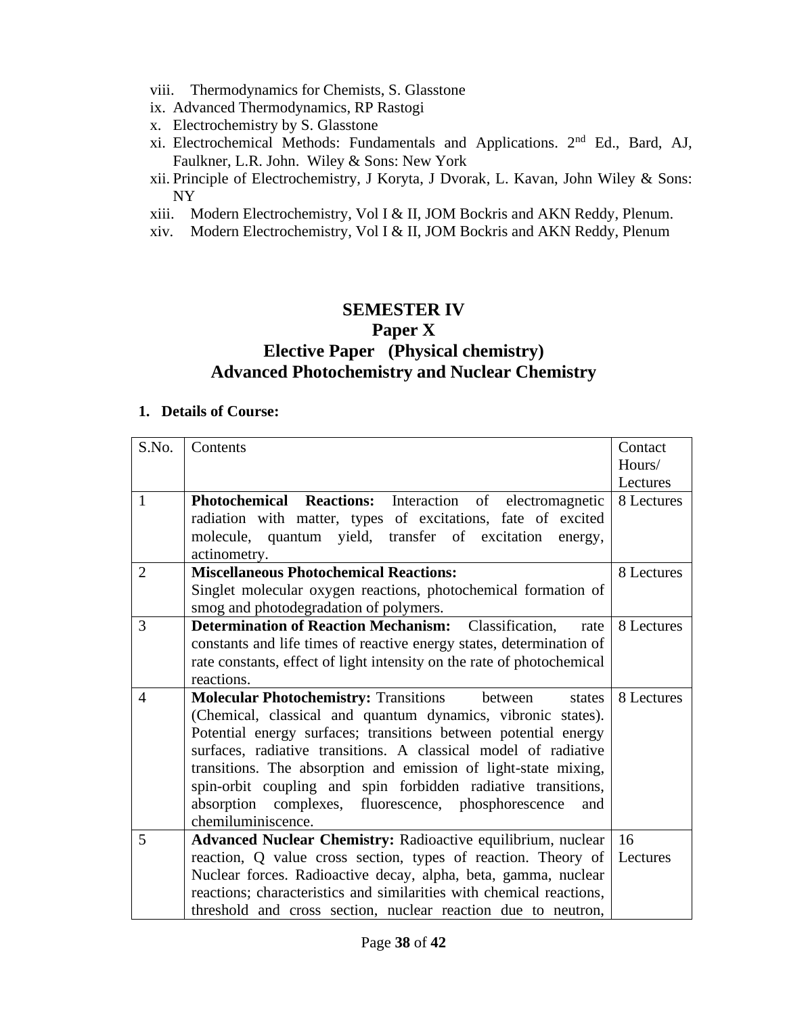- viii. Thermodynamics for Chemists, S. Glasstone
- ix. Advanced Thermodynamics, RP Rastogi
- x. Electrochemistry by S. Glasstone
- xi. Electrochemical Methods: Fundamentals and Applications. 2nd Ed., Bard, AJ, Faulkner, L.R. John. Wiley & Sons: New York
- xii. Principle of Electrochemistry, J Koryta, J Dvorak, L. Kavan, John Wiley & Sons: NY
- xiii. Modern Electrochemistry, Vol I & II, JOM Bockris and AKN Reddy, Plenum.
- xiv. Modern Electrochemistry, Vol I & II, JOM Bockris and AKN Reddy, Plenum

## **SEMESTER IV Paper X Elective Paper (Physical chemistry) Advanced Photochemistry and Nuclear Chemistry**

| S.No.          | Contents                                                               | Contact    |
|----------------|------------------------------------------------------------------------|------------|
|                |                                                                        | Hours/     |
|                |                                                                        | Lectures   |
| $\mathbf{1}$   | Photochemical Reactions: Interaction of electromagnetic                | 8 Lectures |
|                | radiation with matter, types of excitations, fate of excited           |            |
|                | molecule, quantum yield, transfer of excitation energy,                |            |
|                | actinometry.                                                           |            |
| $\overline{2}$ | <b>Miscellaneous Photochemical Reactions:</b>                          | 8 Lectures |
|                | Singlet molecular oxygen reactions, photochemical formation of         |            |
|                | smog and photodegradation of polymers.                                 |            |
| 3              | <b>Determination of Reaction Mechanism:</b><br>Classification,<br>rate | 8 Lectures |
|                | constants and life times of reactive energy states, determination of   |            |
|                | rate constants, effect of light intensity on the rate of photochemical |            |
|                | reactions.                                                             |            |
| $\overline{4}$ | <b>Molecular Photochemistry: Transitions</b><br>between<br>states      | 8 Lectures |
|                | (Chemical, classical and quantum dynamics, vibronic states).           |            |
|                | Potential energy surfaces; transitions between potential energy        |            |
|                | surfaces, radiative transitions. A classical model of radiative        |            |
|                | transitions. The absorption and emission of light-state mixing,        |            |
|                | spin-orbit coupling and spin forbidden radiative transitions,          |            |
|                | absorption complexes, fluorescence, phosphorescence<br>and             |            |
|                | chemiluminiscence.                                                     |            |
| 5              | Advanced Nuclear Chemistry: Radioactive equilibrium, nuclear           | 16         |
|                | reaction, Q value cross section, types of reaction. Theory of          | Lectures   |
|                | Nuclear forces. Radioactive decay, alpha, beta, gamma, nuclear         |            |
|                | reactions; characteristics and similarities with chemical reactions,   |            |
|                | threshold and cross section, nuclear reaction due to neutron,          |            |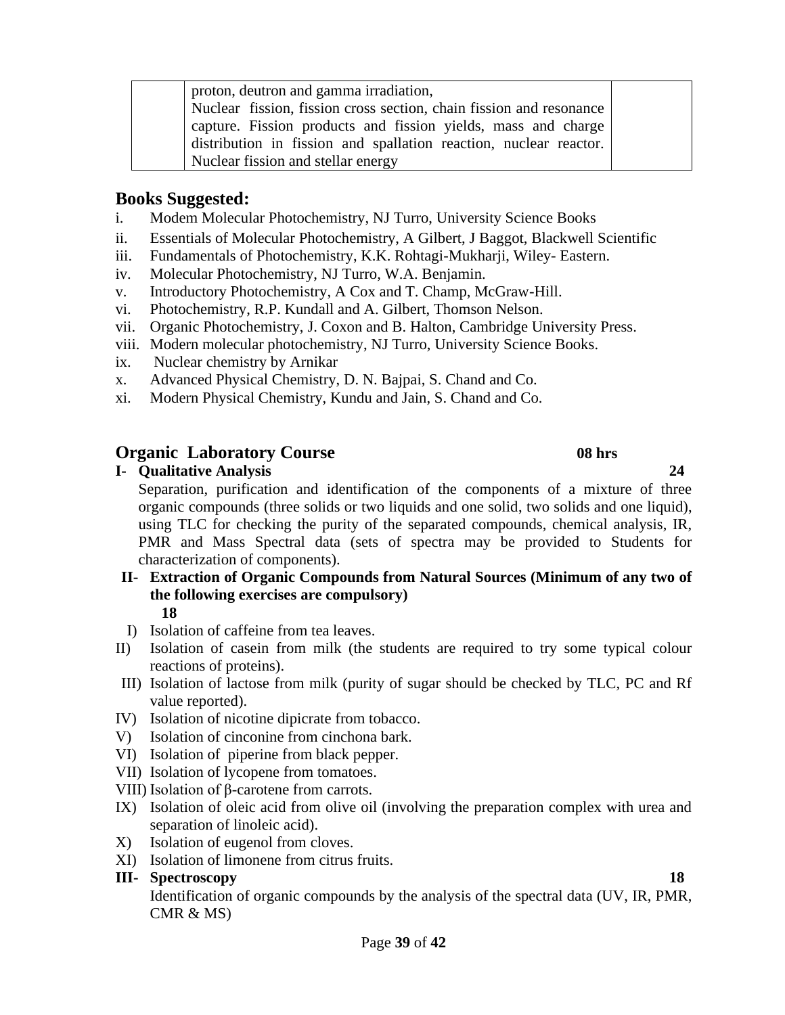Page **39** of **42**

proton, deutron and gamma irradiation, Nuclear fission, fission cross section, chain fission and resonance capture. Fission products and fission yields, mass and charge distribution in fission and spallation reaction, nuclear reactor. Nuclear fission and stellar energy

## **Books Suggested:**

- i. Modem Molecular Photochemistry, NJ Turro, University Science Books
- ii. Essentials of Molecular Photochemistry, A Gilbert, J Baggot, Blackwell Scientific
- iii. Fundamentals of Photochemistry, K.K. Rohtagi-Mukharji, Wiley- Eastern.
- iv. Molecular Photochemistry, NJ Turro, W.A. Benjamin.
- v. Introductory Photochemistry, A Cox and T. Champ, McGraw-Hill.
- vi. Photochemistry, R.P. Kundall and A. Gilbert, Thomson Nelson.
- vii. Organic Photochemistry, J. Coxon and B. Halton, Cambridge University Press.
- viii. Modern molecular photochemistry, NJ Turro, University Science Books.
- ix. Nuclear chemistry by Arnikar
- x. Advanced Physical Chemistry, D. N. Bajpai, S. Chand and Co.
- xi. Modern Physical Chemistry, Kundu and Jain, S. Chand and Co.

### **Organic Laboratory Course 08 hrs**

**I- Qualitative Analysis 24**

Separation, purification and identification of the components of a mixture of three organic compounds (three solids or two liquids and one solid, two solids and one liquid), using TLC for checking the purity of the separated compounds, chemical analysis, IR, PMR and Mass Spectral data (sets of spectra may be provided to Students for characterization of components).

#### **II- Extraction of Organic Compounds from Natural Sources (Minimum of any two of the following exercises are compulsory) 18**

- I) Isolation of caffeine from tea leaves.
- II) Isolation of casein from milk (the students are required to try some typical colour reactions of proteins).
- III) Isolation of lactose from milk (purity of sugar should be checked by TLC, PC and Rf value reported).
- IV) Isolation of nicotine dipicrate from tobacco.
- V) Isolation of cinconine from cinchona bark.
- VI) Isolation of piperine from black pepper.
- VII) Isolation of lycopene from tomatoes.
- VIII) Isolation of β-carotene from carrots.
- IX) Isolation of oleic acid from olive oil (involving the preparation complex with urea and separation of linoleic acid).
- X) Isolation of eugenol from cloves.
- XI) Isolation of limonene from citrus fruits.

#### **III- Spectroscopy 18**

Identification of organic compounds by the analysis of the spectral data (UV, IR, PMR, CMR & MS)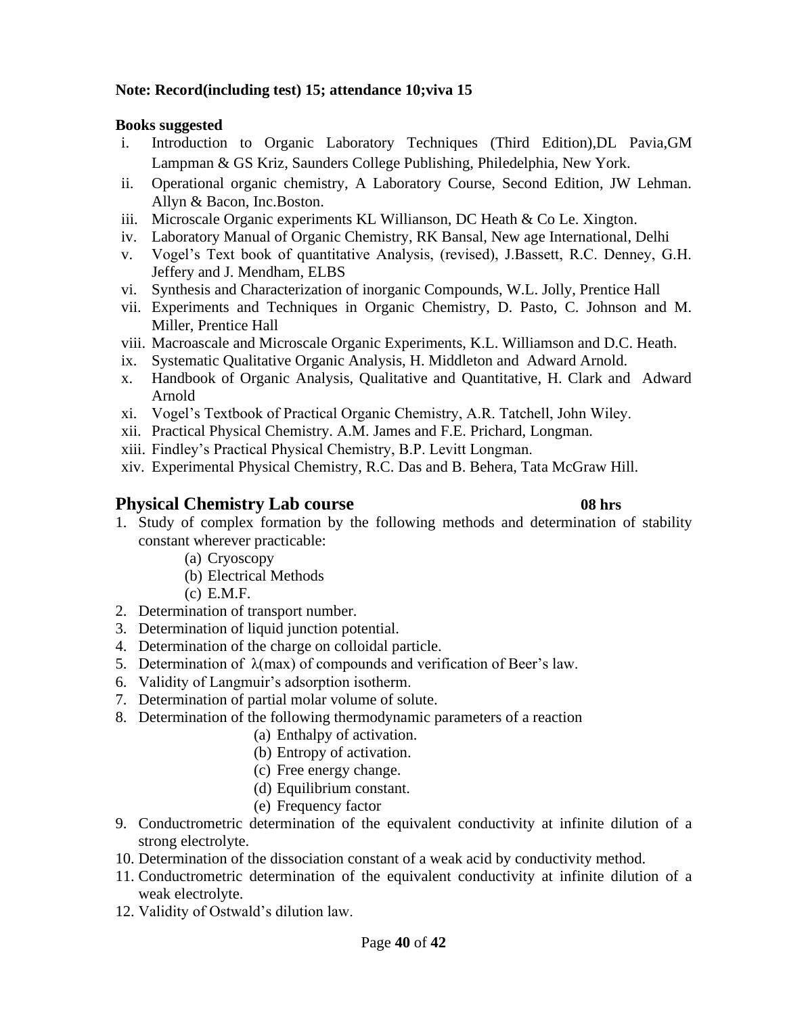#### **Note: Record(including test) 15; attendance 10;viva 15**

#### **Books suggested**

- i. Introduction to Organic Laboratory Techniques (Third Edition),DL Pavia,GM Lampman & GS Kriz, Saunders College Publishing, Philedelphia, New York.
- ii. Operational organic chemistry, A Laboratory Course, Second Edition, JW Lehman. Allyn & Bacon, Inc.Boston.
- iii. Microscale Organic experiments KL Willianson, DC Heath & Co Le. Xington.
- iv. Laboratory Manual of Organic Chemistry, RK Bansal, New age International, Delhi
- v. Vogel's Text book of quantitative Analysis, (revised), J.Bassett, R.C. Denney, G.H. Jeffery and J. Mendham, ELBS
- vi. Synthesis and Characterization of inorganic Compounds, W.L. Jolly, Prentice Hall
- vii. Experiments and Techniques in Organic Chemistry, D. Pasto, C. Johnson and M. Miller, Prentice Hall
- viii. Macroascale and Microscale Organic Experiments, K.L. Williamson and D.C. Heath.
- ix. Systematic Qualitative Organic Analysis, H. Middleton and Adward Arnold.
- x. Handbook of Organic Analysis, Qualitative and Quantitative, H. Clark and Adward Arnold
- xi. Vogel's Textbook of Practical Organic Chemistry, A.R. Tatchell, John Wiley.
- xii. Practical Physical Chemistry. A.M. James and F.E. Prichard, Longman.
- xiii. Findley's Practical Physical Chemistry, B.P. Levitt Longman.
- xiv. Experimental Physical Chemistry, R.C. Das and B. Behera, Tata McGraw Hill.

## **Physical Chemistry Lab course 08 hrs**

- 1. Study of complex formation by the following methods and determination of stability constant wherever practicable:
	- (a) Cryoscopy
	- (b) Electrical Methods
	- (c) E.M.F.
- 2. Determination of transport number.
- 3. Determination of liquid junction potential.
- 4. Determination of the charge on colloidal particle.
- 5. Determination of  $\lambda$ (max) of compounds and verification of Beer's law.
- 6. Validity of Langmuir's adsorption isotherm.
- 7. Determination of partial molar volume of solute.
- 8. Determination of the following thermodynamic parameters of a reaction
	- (a) Enthalpy of activation.
	- (b) Entropy of activation.
	- (c) Free energy change.
	- (d) Equilibrium constant.
	- (e) Frequency factor
- 9. Conductrometric determination of the equivalent conductivity at infinite dilution of a strong electrolyte.
- 10. Determination of the dissociation constant of a weak acid by conductivity method.
- 11. Conductrometric determination of the equivalent conductivity at infinite dilution of a weak electrolyte.
- 12. Validity of Ostwald's dilution law.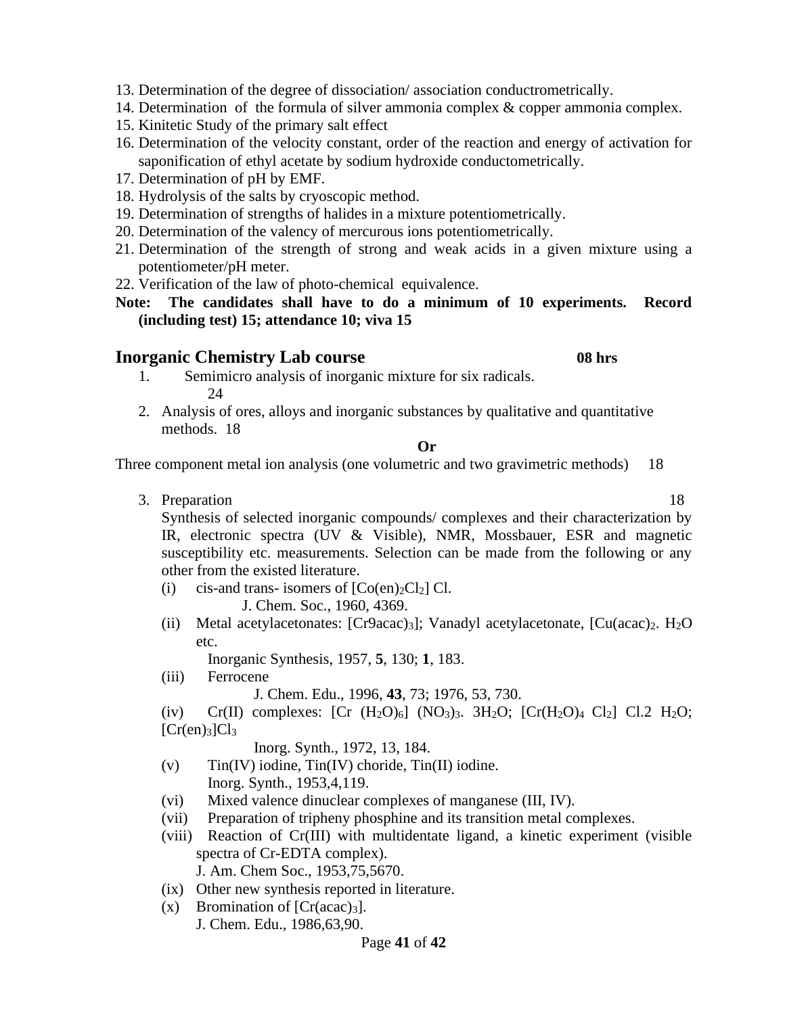13. Determination of the degree of dissociation/ association conductrometrically.

- 14. Determination of the formula of silver ammonia complex & copper ammonia complex.
- 15. Kinitetic Study of the primary salt effect
- 16. Determination of the velocity constant, order of the reaction and energy of activation for saponification of ethyl acetate by sodium hydroxide conductometrically.
- 17. Determination of pH by EMF.
- 18. Hydrolysis of the salts by cryoscopic method.
- 19. Determination of strengths of halides in a mixture potentiometrically.
- 20. Determination of the valency of mercurous ions potentiometrically.
- 21. Determination of the strength of strong and weak acids in a given mixture using a potentiometer/pH meter.
- 22. Verification of the law of photo-chemical equivalence.
- **Note: The candidates shall have to do a minimum of 10 experiments. Record (including test) 15; attendance 10; viva 15**

#### **Inorganic Chemistry Lab course 08 hrs**

- 1. Semimicro analysis of inorganic mixture for six radicals. 24
- 2. Analysis of ores, alloys and inorganic substances by qualitative and quantitative methods. 18

#### **Or**

Three component metal ion analysis (one volumetric and two gravimetric methods) 18

3. Preparation 18

Synthesis of selected inorganic compounds/ complexes and their characterization by IR, electronic spectra (UV & Visible), NMR, Mossbauer, ESR and magnetic susceptibility etc. measurements. Selection can be made from the following or any other from the existed literature.

(i) cis-and trans- isomers of  $[Co(en)_2Cl_2]$  Cl.

J. Chem. Soc., 1960, 4369.

(ii) Metal acetylacetonates:  $[Cr9acac)_3$ ]; Vanadyl acetylacetonate,  $[Cu(acac)_2, H_2O]$ etc.

Inorganic Synthesis, 1957, **5**, 130; **1**, 183.

(iii) Ferrocene

J. Chem. Edu., 1996, **43**, 73; 1976, 53, 730.

(iv) Cr(II) complexes:  $[Cr (H<sub>2</sub>O)<sub>6</sub>] (NO<sub>3</sub>)<sub>3</sub>$ .  $3H<sub>2</sub>O; [Cr(H<sub>2</sub>O)<sub>4</sub> Cl<sub>2</sub>] Cl.2 H<sub>2</sub>O;$  $[Cr(en)_3]Cl_3$ 

Inorg. Synth., 1972, 13, 184.

- $(v)$  Tin(IV) iodine, Tin(IV) choride, Tin(II) iodine. Inorg. Synth., 1953,4,119.
- (vi) Mixed valence dinuclear complexes of manganese (III, IV).
- (vii) Preparation of tripheny phosphine and its transition metal complexes.
- (viii) Reaction of Cr(III) with multidentate ligand, a kinetic experiment (visible spectra of Cr-EDTA complex).
	- J. Am. Chem Soc., 1953,75,5670.
- (ix) Other new synthesis reported in literature.
- $(x)$  Bromination of  $[Cr(\text{acac})_3]$ .
	- J. Chem. Edu., 1986,63,90.

#### Page **41** of **42**